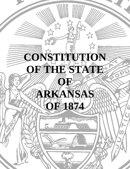# **CONSTITUTION OF THE STATE OF ARKANSAS OF 1874**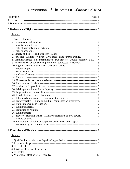# Constitution Of The State Of Arkansas Of 1874.

| Articles                                                                                      |  |
|-----------------------------------------------------------------------------------------------|--|
|                                                                                               |  |
|                                                                                               |  |
| Section:                                                                                      |  |
|                                                                                               |  |
|                                                                                               |  |
|                                                                                               |  |
|                                                                                               |  |
|                                                                                               |  |
|                                                                                               |  |
| 7. Jury trial - Right to - Waiver - Civil cases - Nine jurors agreeing. ------------------ 4  |  |
| 8. Criminal charges - Self-incrimination - Due process - Double jeopardy - Bail.---- 4        |  |
| 9. Excessive bail or punishment prohibited - Witnesses - Detention.------------------ 5       |  |
|                                                                                               |  |
|                                                                                               |  |
|                                                                                               |  |
|                                                                                               |  |
|                                                                                               |  |
|                                                                                               |  |
|                                                                                               |  |
|                                                                                               |  |
|                                                                                               |  |
|                                                                                               |  |
|                                                                                               |  |
| 22. Property rights - Taking without just compensation prohibited. ------------------- 6      |  |
|                                                                                               |  |
|                                                                                               |  |
|                                                                                               |  |
|                                                                                               |  |
| 27. Slavery - Standing armies - Military subordinate to civil power. ------------------- 7    |  |
|                                                                                               |  |
| 29. Enumeration of rights of people not exclusive of other rights -                           |  |
|                                                                                               |  |
|                                                                                               |  |
| Section:                                                                                      |  |
| 1. Qualifications of electors - Equal suffrage - Poll tax.--------------------------------- 9 |  |
|                                                                                               |  |
| 3. [Repealed.]                                                                                |  |
|                                                                                               |  |
| 5. [Repealed]                                                                                 |  |
|                                                                                               |  |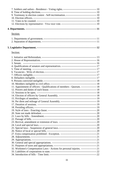| Section:                                                                                |  |
|-----------------------------------------------------------------------------------------|--|
|                                                                                         |  |
|                                                                                         |  |
|                                                                                         |  |
|                                                                                         |  |
| Section:                                                                                |  |
|                                                                                         |  |
|                                                                                         |  |
|                                                                                         |  |
|                                                                                         |  |
|                                                                                         |  |
|                                                                                         |  |
|                                                                                         |  |
|                                                                                         |  |
|                                                                                         |  |
|                                                                                         |  |
| 11. Appointment of officers - Qualifications of members - Quorum. ------------------ 18 |  |
|                                                                                         |  |
|                                                                                         |  |
|                                                                                         |  |
|                                                                                         |  |
|                                                                                         |  |
|                                                                                         |  |
|                                                                                         |  |
|                                                                                         |  |
|                                                                                         |  |
|                                                                                         |  |
|                                                                                         |  |
|                                                                                         |  |
|                                                                                         |  |
|                                                                                         |  |
|                                                                                         |  |
|                                                                                         |  |
|                                                                                         |  |
|                                                                                         |  |
|                                                                                         |  |
|                                                                                         |  |
| 32. Workmen's Compensation Laws - Actions for personal injuries. ------------------ 21  |  |
|                                                                                         |  |
|                                                                                         |  |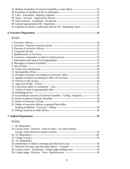| 41. Expenses incurred or authorized only by bill - Repealing clause. ------------------- 23 |  |
|---------------------------------------------------------------------------------------------|--|

# **[6. Executive Department. ----------------------------------------------------------------------- 24](#page-41-0)**

#### Section:

| 12. President of Senate succeeding to Governor's office. ----------------------------------- 26 |  |
|-------------------------------------------------------------------------------------------------|--|
|                                                                                                 |  |
|                                                                                                 |  |
|                                                                                                 |  |
|                                                                                                 |  |
|                                                                                                 |  |
|                                                                                                 |  |
| 19. Extraordinary sessions of General Assembly - Calling - Purposes. ---------------- 28        |  |
|                                                                                                 |  |
|                                                                                                 |  |
| 22. Duties of executive officers in general Dual office                                         |  |
|                                                                                                 |  |
|                                                                                                 |  |
|                                                                                                 |  |

# **[7. Judicial Department.-------------------------------------------------------------------------- 29](#page-46-0)**

| $1 - 18$ . [Repealed.]                                                                            |  |
|---------------------------------------------------------------------------------------------------|--|
| 19. Circuit clerks - Election - Term of office - Ex-officio duties -                              |  |
|                                                                                                   |  |
|                                                                                                   |  |
|                                                                                                   |  |
| 24 - 25. [Repealed.]                                                                              |  |
|                                                                                                   |  |
|                                                                                                   |  |
| 28. County courts - Jurisdiction - Single judge holding court. ------------------------------- 30 |  |
|                                                                                                   |  |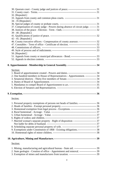| 30. Quorum court - County judge and justices of peace.--------------------------------- 31      |  |
|-------------------------------------------------------------------------------------------------|--|
| 32. [Repealed.]                                                                                 |  |
|                                                                                                 |  |
| 34 - 35 [Repealed.]                                                                             |  |
|                                                                                                 |  |
| 37. Compensation of county judge - Powers during absence of circuit judge. -------- 31          |  |
|                                                                                                 |  |
| 39 - 40. [Repealed.]                                                                            |  |
|                                                                                                 |  |
| 42 - 45. [Repealed.]                                                                            |  |
| 46. County executive officers - Compensation of county assessor.----------------------- 32      |  |
|                                                                                                 |  |
|                                                                                                 |  |
|                                                                                                 |  |
| 50. [Repealed.]                                                                                 |  |
| 51. Appeals from county or municipal allowances - Bond. ------------------------------ 33       |  |
|                                                                                                 |  |
|                                                                                                 |  |
| 8. Apportionment - Membership in General Assembly. -----------------------------------34        |  |
| Section:                                                                                        |  |
|                                                                                                 |  |
| 2. One hundred members in House of Representatives - Apportionment. ------------- 34            |  |
| 3. Senatorial districts - Thirty-five members of Senate. ----------------------------------- 34 |  |
|                                                                                                 |  |
| 5. Mandamus to compel Board of Apportionment to act. -------------------------------- 35        |  |
|                                                                                                 |  |
|                                                                                                 |  |
| Section:                                                                                        |  |
| 1. Personal property exemptions of persons not heads of families. --------------------- 36      |  |
|                                                                                                 |  |
| 3. Homestead exemption from legal process - Exceptions. ------------------------------- 36      |  |
|                                                                                                 |  |
|                                                                                                 |  |
|                                                                                                 |  |
| 7. Married woman's separate property - Right of disposition - ------------------------- 37      |  |
|                                                                                                 |  |
|                                                                                                 |  |
| 9. Exemptions under Constitution of 1868 - Existing obligations.----------------------- 38      |  |
|                                                                                                 |  |
|                                                                                                 |  |
| Section:                                                                                        |  |
|                                                                                                 |  |
| 2. State geologist - Creation of office - Appointment and removal. -------------------- 39      |  |
| 3. Exemption of mines and manufactures from taxation. ---------------------------------- 39     |  |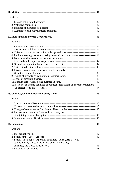| <b>11. Mili</b> |  |
|-----------------|--|
|-----------------|--|

# Section:

# **[12. Municipal and Private Corporations.---------------------------------------------------- 41](#page-58-0)**

# Section:

| 3. Cities and towns - Organization under general laws. ---------------------------------- 41 |  |
|----------------------------------------------------------------------------------------------|--|
| 4. Limitation on legislative and taxing power - Local bond issues.--------------------- 41   |  |
| 5. Political subdivisions not to become stockholders                                         |  |
|                                                                                              |  |
| 6. General incorporation laws - Charters - Revocation. -------------------------------- 42   |  |
|                                                                                              |  |
| 8. Private corporations - Issuance of stocks or bonds -                                      |  |
|                                                                                              |  |
| 9. Taking of property by corporation - Compensation. --------------------------------- 43    |  |
|                                                                                              |  |
|                                                                                              |  |
| 12. State not to assume liabilities of political subdivisions or private corporations -      |  |
|                                                                                              |  |
|                                                                                              |  |
|                                                                                              |  |
| Section:                                                                                     |  |
|                                                                                              |  |
|                                                                                              |  |
|                                                                                              |  |
| 3. Change of county seats - Conditions - New counties. ---------------------------------- 45 |  |
| 4. Lines of new counties - Distance from county seat                                         |  |
|                                                                                              |  |
|                                                                                              |  |
|                                                                                              |  |

# **[14. Education. -------------------------------------------------------------------------------------46](#page-63-0)**

| 3. School tax - Budget - Approval of tax rate (Const., Art. 14, § 3, |  |
|----------------------------------------------------------------------|--|
| as amended by Const. Amend. 11, Const. Amend. 40,                    |  |
|                                                                      |  |
|                                                                      |  |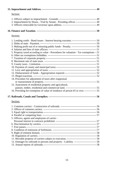| Section:                                                                                       |  |
|------------------------------------------------------------------------------------------------|--|
|                                                                                                |  |
| 2. Impeachment by House - Trial by Senate - Presiding officer. ------------------------ 49     |  |
|                                                                                                |  |
|                                                                                                |  |
| Section:                                                                                       |  |
|                                                                                                |  |
|                                                                                                |  |
| 3. Making profit out of or misusing public funds - Penalty. ------------------------------- 50 |  |
|                                                                                                |  |
| 5. Property taxed according to value - Procedures for valuation - Tax exemptions.--51          |  |
|                                                                                                |  |
|                                                                                                |  |
|                                                                                                |  |
|                                                                                                |  |
|                                                                                                |  |
|                                                                                                |  |
|                                                                                                |  |
|                                                                                                |  |
| 14. Procedure for adjustment of taxes after reappraisal                                        |  |
|                                                                                                |  |
| 15. Assessment of residential property and agricultural,                                       |  |
|                                                                                                |  |
| 16. Providing for exemption of value of residence of person 65 or over.--------------- 55      |  |
|                                                                                                |  |
| Section:                                                                                       |  |
|                                                                                                |  |
|                                                                                                |  |
|                                                                                                |  |
|                                                                                                |  |
| 5. Officers, agents and employees of carrier -                                                 |  |
|                                                                                                |  |
|                                                                                                |  |
|                                                                                                |  |
|                                                                                                |  |
|                                                                                                |  |
|                                                                                                |  |
|                                                                                                |  |
| 12. Damages by railroads to persons and property - Liability. ---------------------------- 58  |  |
|                                                                                                |  |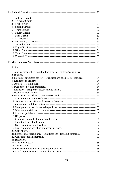| 6. |  |
|----|--|
|    |  |
| 8. |  |
|    |  |
|    |  |
|    |  |
|    |  |
|    |  |
|    |  |
|    |  |

# **[19. Miscellaneous Provisions. ------------------------------------------------------------------ 63](#page-80-0)**

| 1. Atheists disqualified from holding office or testifying as witness. ------------------- 63 |  |
|-----------------------------------------------------------------------------------------------|--|
|                                                                                               |  |
| 3. Elected or appointed officers - Qualifications of an elector required. --------------- 64  |  |
|                                                                                               |  |
|                                                                                               |  |
|                                                                                               |  |
|                                                                                               |  |
|                                                                                               |  |
|                                                                                               |  |
|                                                                                               |  |
| 11. Salaries of state officers - Increase or decrease                                         |  |
|                                                                                               |  |
|                                                                                               |  |
|                                                                                               |  |
|                                                                                               |  |
| 15. [Repealed.]                                                                               |  |
|                                                                                               |  |
|                                                                                               |  |
|                                                                                               |  |
|                                                                                               |  |
|                                                                                               |  |
| 21. Sureties on official bonds - Qualifications - Bonding companies.------------------ 67     |  |
|                                                                                               |  |
| 23. [Repealed.]                                                                               |  |
|                                                                                               |  |
|                                                                                               |  |
|                                                                                               |  |
|                                                                                               |  |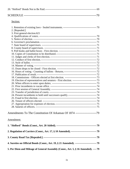| Section:                                                                            |  |
|-------------------------------------------------------------------------------------|--|
| 2. [Repealed.]                                                                      |  |
| 3. First general election.621                                                       |  |
|                                                                                     |  |
|                                                                                     |  |
|                                                                                     |  |
|                                                                                     |  |
|                                                                                     |  |
|                                                                                     |  |
|                                                                                     |  |
|                                                                                     |  |
|                                                                                     |  |
|                                                                                     |  |
|                                                                                     |  |
|                                                                                     |  |
|                                                                                     |  |
|                                                                                     |  |
|                                                                                     |  |
|                                                                                     |  |
|                                                                                     |  |
|                                                                                     |  |
|                                                                                     |  |
|                                                                                     |  |
|                                                                                     |  |
|                                                                                     |  |
|                                                                                     |  |
|                                                                                     |  |
|                                                                                     |  |
| Amendment:                                                                          |  |
|                                                                                     |  |
|                                                                                     |  |
|                                                                                     |  |
|                                                                                     |  |
| 5. Per Diem and Mileage of General Assembly (Const., Art. 5, § 16 Amended). ---- 79 |  |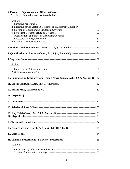| 6. Executive Department and Officers (Const.,                                                     |  |
|---------------------------------------------------------------------------------------------------|--|
|                                                                                                   |  |
| Section:                                                                                          |  |
|                                                                                                   |  |
| 2. Executive power vested in Governor and Lieutenant Governor.                                    |  |
|                                                                                                   |  |
|                                                                                                   |  |
| 5. Qualifications and duties of Lieutenant Governor                                               |  |
|                                                                                                   |  |
|                                                                                                   |  |
| 7. Initiative and Referendum (Const., Art. 5, § 1, Amended). --------------------------------- 81 |  |
|                                                                                                   |  |
|                                                                                                   |  |
| Section:                                                                                          |  |
|                                                                                                   |  |
|                                                                                                   |  |
| 10. Limitation on Legislative and Taxing Power (Const., Art. 12, § 4, Amended). -- 82             |  |
|                                                                                                   |  |
|                                                                                                   |  |
| 13. [Repealed.]                                                                                   |  |
|                                                                                                   |  |
|                                                                                                   |  |
|                                                                                                   |  |
|                                                                                                   |  |
|                                                                                                   |  |
|                                                                                                   |  |
|                                                                                                   |  |
|                                                                                                   |  |
| Section:                                                                                          |  |
|                                                                                                   |  |
|                                                                                                   |  |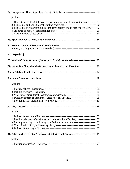| Section:                                                                                                                                                                            |  |
|-------------------------------------------------------------------------------------------------------------------------------------------------------------------------------------|--|
| 1. Homesteads of \$1,000.00 assessed valuation exempted from certain taxes. ------- 85<br>3. Legislature to restore tax funds eliminated hereby, and to pass enabling law. ----- 86 |  |
|                                                                                                                                                                                     |  |
| 24. Probate Courts - Circuit and County Clerks                                                                                                                                      |  |
| 25. [Repealed.]                                                                                                                                                                     |  |
| 26. Workers' Compensation (Const., Art. 5, § 32, Amended). ---------------------------------- 87                                                                                    |  |
| 27. Exempting New Manufacturing Establishment from Taxation.--------------------- 87                                                                                                |  |
|                                                                                                                                                                                     |  |
|                                                                                                                                                                                     |  |
| Section:                                                                                                                                                                            |  |
|                                                                                                                                                                                     |  |
|                                                                                                                                                                                     |  |
|                                                                                                                                                                                     |  |
|                                                                                                                                                                                     |  |
|                                                                                                                                                                                     |  |
|                                                                                                                                                                                     |  |
| Section:                                                                                                                                                                            |  |
|                                                                                                                                                                                     |  |
| 2. Result of election - Certification and proclamation - Tax levy. -------------------------- 89                                                                                    |  |
| 3. Raising, reducing or abolishing tax - Petition and election. -------------------------- 90                                                                                       |  |
|                                                                                                                                                                                     |  |
|                                                                                                                                                                                     |  |
| 31. Police and Firefighters' Retirement Salaries and Pensions. ------------------------- 91                                                                                         |  |
| Section:                                                                                                                                                                            |  |
|                                                                                                                                                                                     |  |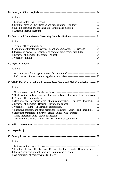| Section:                                                                                                                                                                                                                                                                                                                                                                                                                                                                              |  |
|---------------------------------------------------------------------------------------------------------------------------------------------------------------------------------------------------------------------------------------------------------------------------------------------------------------------------------------------------------------------------------------------------------------------------------------------------------------------------------------|--|
| 2. Result of election - Certification and proclamation - Tax levy. ---------------------- 92<br>3. Raising, reducing or abolishing tax - Petition and election. --------------------------- 93                                                                                                                                                                                                                                                                                        |  |
| 33. Boards and Commissions Governing State Institutions. ----------------------------- 93                                                                                                                                                                                                                                                                                                                                                                                             |  |
| Section:                                                                                                                                                                                                                                                                                                                                                                                                                                                                              |  |
| 2. Abolition or transfer of powers of board or commission - Restrictions. ------------ 94<br>3. Increase or decrease of members of board or commission prohibited. -------------- 94                                                                                                                                                                                                                                                                                                  |  |
|                                                                                                                                                                                                                                                                                                                                                                                                                                                                                       |  |
| Section:<br>1. Discrimination for or against union labor prohibited. -------------------------------- 94                                                                                                                                                                                                                                                                                                                                                                              |  |
| 35. Wild Life - Conservation - Arkansas State Game and Fish Commission. -------- 95                                                                                                                                                                                                                                                                                                                                                                                                   |  |
| Section:                                                                                                                                                                                                                                                                                                                                                                                                                                                                              |  |
| 2. Qualifications and appointment of members-Terms of office of first commission 95<br>4. Oath of office - Members serve without compensation - Expenses - Payment. ---- 96<br>7. Executive secretary and other personnel - Selection - Salaries and expenditures. - 96<br>8. Nepotism prohibited - Powers of arrest - Funds - Use - Purposes -<br>Game Protection Fund - Audit of accounts -<br>Resident hunting and fishing licenses - Powers of commission. ------------------- 96 |  |
|                                                                                                                                                                                                                                                                                                                                                                                                                                                                                       |  |
| <b>37. [Repealed.]</b>                                                                                                                                                                                                                                                                                                                                                                                                                                                                |  |
|                                                                                                                                                                                                                                                                                                                                                                                                                                                                                       |  |
| Section:                                                                                                                                                                                                                                                                                                                                                                                                                                                                              |  |
| 2. Result of election - Certification - Record - Tax levy - Funds - Disbursement. ---- 99<br>3. Raising, reducing or abolishing tax - Petition and election. --------------------------- 99                                                                                                                                                                                                                                                                                           |  |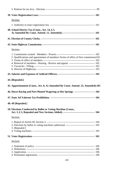| Section:                                                                              |  |
|---------------------------------------------------------------------------------------|--|
|                                                                                       |  |
| 40. School District Tax (Const., Art. 14, § 3,                                        |  |
|                                                                                       |  |
|                                                                                       |  |
| Section:                                                                              |  |
| 2. Qualifications and appointment of members-Terms of office of first commission102   |  |
| 4. Removal of members - Hearing - Review and appeal. ---------------------------- 102 |  |
|                                                                                       |  |
|                                                                                       |  |
| 44. [Repealed.]                                                                       |  |
| 45. Apportionment (Const., Art. 8, As Amended By Const. Amend. 23, Amended).103       |  |
| 46. Horse Racing and Pari-Mutuel Wagering at Hot Springs. ----------------------- 104 |  |
|                                                                                       |  |
| 48.-49 [Repealed.]                                                                    |  |
| 50. Elections Conducted by Ballot or Voting Machine (Const.,                          |  |
|                                                                                       |  |
| Section:                                                                              |  |
|                                                                                       |  |
| 3. [Repealed.]                                                                        |  |
|                                                                                       |  |
| Section:                                                                              |  |
|                                                                                       |  |
|                                                                                       |  |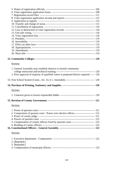| 8. Voter registration application records and reports.----------------------------------- 112  |  |
|------------------------------------------------------------------------------------------------|--|
|                                                                                                |  |
|                                                                                                |  |
|                                                                                                |  |
| 12. Loss or destruction of voter registration records. ----------------------------------- 118 |  |
|                                                                                                |  |
|                                                                                                |  |
|                                                                                                |  |
|                                                                                                |  |
|                                                                                                |  |
|                                                                                                |  |
|                                                                                                |  |
|                                                                                                |  |
|                                                                                                |  |
|                                                                                                |  |
| Section:                                                                                       |  |
| 1. General Assembly may establish districts to furnish community                               |  |
|                                                                                                |  |
| 2. Prior approval of majority of qualified voters in proposed district required. ----- 120     |  |
|                                                                                                |  |
|                                                                                                |  |
|                                                                                                |  |
| Section:                                                                                       |  |
|                                                                                                |  |
|                                                                                                |  |
|                                                                                                |  |
| Section:                                                                                       |  |
|                                                                                                |  |
| 2. Composition of quorum court - Power over elective offices.----------------------- 121       |  |
|                                                                                                |  |
|                                                                                                |  |
| 5. Compensation of county officers fixed by quorum court.--------------------------- 122       |  |
|                                                                                                |  |
|                                                                                                |  |
|                                                                                                |  |
| Section:                                                                                       |  |
|                                                                                                |  |
| 2. [Repealed.]                                                                                 |  |
| 3. [Repealed.]                                                                                 |  |
|                                                                                                |  |
|                                                                                                |  |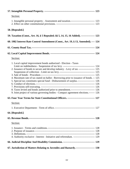| Section:                                                                                                                                                                                                                                                                                                                                                                                                                                                                                                                                                                                                                                                  |  |
|-----------------------------------------------------------------------------------------------------------------------------------------------------------------------------------------------------------------------------------------------------------------------------------------------------------------------------------------------------------------------------------------------------------------------------------------------------------------------------------------------------------------------------------------------------------------------------------------------------------------------------------------------------------|--|
|                                                                                                                                                                                                                                                                                                                                                                                                                                                                                                                                                                                                                                                           |  |
| 58. [Repealed.]                                                                                                                                                                                                                                                                                                                                                                                                                                                                                                                                                                                                                                           |  |
| 59. Taxation (Const., Art. 16, § 5 Repealed; §§ 5, 14, 15, 16 Added). ----------------- 123                                                                                                                                                                                                                                                                                                                                                                                                                                                                                                                                                               |  |
| 60. 1982 Interest Rate Control Amendment (Const., Art. 19, § 13, Amended). ---- 124                                                                                                                                                                                                                                                                                                                                                                                                                                                                                                                                                                       |  |
|                                                                                                                                                                                                                                                                                                                                                                                                                                                                                                                                                                                                                                                           |  |
|                                                                                                                                                                                                                                                                                                                                                                                                                                                                                                                                                                                                                                                           |  |
| Section:                                                                                                                                                                                                                                                                                                                                                                                                                                                                                                                                                                                                                                                  |  |
| 1. Local capital improvement bonds authorized - Election - Taxes<br>2. Issuance of bonds to secure and develop industry - Levy of tax -------------------- 125<br>4. Maximum rate of tax stated on ballot - Borrowing prior to issuance of bonds. -- 125<br>5. Special tax constitutes special fund - Disbursement of surplus.-------------------- 126<br>8. Taxes levied and bonds authorized prior to amendment.------------------------------ 126<br>9. Joint project of various governing bodies - Compact agreement elections.------- 126<br>63. Four Year Terms for State Constitutional Officers. -------------------------------- 127<br>Section: |  |
| 64. [Repealed.]                                                                                                                                                                                                                                                                                                                                                                                                                                                                                                                                                                                                                                           |  |
|                                                                                                                                                                                                                                                                                                                                                                                                                                                                                                                                                                                                                                                           |  |
| Section:                                                                                                                                                                                                                                                                                                                                                                                                                                                                                                                                                                                                                                                  |  |
| 4. Authority exclusive - Interest - Initiative and referendum. ------------------------- 129                                                                                                                                                                                                                                                                                                                                                                                                                                                                                                                                                              |  |
|                                                                                                                                                                                                                                                                                                                                                                                                                                                                                                                                                                                                                                                           |  |
| 67. Jurisdiction of Matters Relating to Juveniles and Bastardy.----------------------- 130                                                                                                                                                                                                                                                                                                                                                                                                                                                                                                                                                                |  |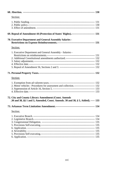| Section:                                                                                                                                                |     |
|---------------------------------------------------------------------------------------------------------------------------------------------------------|-----|
|                                                                                                                                                         |     |
| 69. Repeal of Amendment 44 (Protection of States' Rights).----------------------------- 131                                                             |     |
| 70. Executive Department and General Assembly Salaries -                                                                                                |     |
| Section:                                                                                                                                                |     |
| 1. Executive Department and General Assembly - Salaries -<br>2. Additional Constitutional amendments authorized.----------------------------------- 132 |     |
|                                                                                                                                                         |     |
|                                                                                                                                                         |     |
|                                                                                                                                                         |     |
| Section:                                                                                                                                                |     |
|                                                                                                                                                         |     |
| 2. Motor vehicles - Procedures for assessment and collection.------------------------- 132                                                              |     |
|                                                                                                                                                         |     |
| 72. City and County Library Amendment (Const. Amends)<br>.30 and 38, §§ 1 and 3, Amended, Const. Amends. 30 and 38, § 5, Added). ----- 133              |     |
| 73. Arkansas Term Limitation Amendment.---------------                                                                                                  | 134 |
| Section:                                                                                                                                                |     |
|                                                                                                                                                         |     |
|                                                                                                                                                         |     |
|                                                                                                                                                         |     |
|                                                                                                                                                         |     |
|                                                                                                                                                         |     |
|                                                                                                                                                         |     |
|                                                                                                                                                         |     |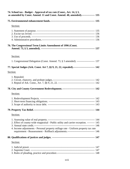| 74. School tax - Budget - Approval of tax rate (Const., Art. 14, § 3,<br>as amended by Const. Amend. 11 and Const. Amend. 40, amended).--------------- 135                                                                                                                 |  |
|----------------------------------------------------------------------------------------------------------------------------------------------------------------------------------------------------------------------------------------------------------------------------|--|
|                                                                                                                                                                                                                                                                            |  |
| Section:                                                                                                                                                                                                                                                                   |  |
|                                                                                                                                                                                                                                                                            |  |
| 76. The Congressional Term Limits Amendment of 1996 (Const.                                                                                                                                                                                                                |  |
| Section:                                                                                                                                                                                                                                                                   |  |
| 1. Congressional Delegation (Const. Amend. 73, § 3 amended). --------------------- 137                                                                                                                                                                                     |  |
| 77. Special Judges (Ark. Const. Art 7, §§ 9, 21, 22, repealed).------------------------- 142                                                                                                                                                                               |  |
| Section:                                                                                                                                                                                                                                                                   |  |
| 1. Repealed.                                                                                                                                                                                                                                                               |  |
|                                                                                                                                                                                                                                                                            |  |
| Section:                                                                                                                                                                                                                                                                   |  |
|                                                                                                                                                                                                                                                                            |  |
|                                                                                                                                                                                                                                                                            |  |
| Section:                                                                                                                                                                                                                                                                   |  |
| 2. Effect of county-wide reappraisal - Public utility and carrier exception. --------- 145<br>4. Income adjustments - Personal property millage rate - Uniform property tax rate<br>requirement - Reassessment - Rollback adjustments.-------------------------------- 146 |  |
|                                                                                                                                                                                                                                                                            |  |
| Section:                                                                                                                                                                                                                                                                   |  |
|                                                                                                                                                                                                                                                                            |  |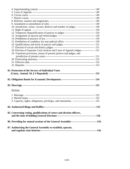| Section:<br>3. Capacity, rights, obligations, privileges, and immunities. -------------------------- 155<br>85. Concerning voting, qualifications of voters and election officers, |  |
|------------------------------------------------------------------------------------------------------------------------------------------------------------------------------------|--|
|                                                                                                                                                                                    |  |
|                                                                                                                                                                                    |  |
|                                                                                                                                                                                    |  |
|                                                                                                                                                                                    |  |
|                                                                                                                                                                                    |  |
|                                                                                                                                                                                    |  |
|                                                                                                                                                                                    |  |
|                                                                                                                                                                                    |  |
| 81. Protection of the Secrecy of Individual Votes                                                                                                                                  |  |
|                                                                                                                                                                                    |  |
|                                                                                                                                                                                    |  |
|                                                                                                                                                                                    |  |
|                                                                                                                                                                                    |  |
| 18. Election of Supreme Court Justices and Court of Appeals Judges.--------------- 151<br>19. Transition provisions, tenure of present justices and judges, and                    |  |
|                                                                                                                                                                                    |  |
|                                                                                                                                                                                    |  |
|                                                                                                                                                                                    |  |
|                                                                                                                                                                                    |  |
|                                                                                                                                                                                    |  |
|                                                                                                                                                                                    |  |
| 10. Jurisdiction, venue, circuits, districts and number of judges. --------------------- 149                                                                                       |  |
|                                                                                                                                                                                    |  |
|                                                                                                                                                                                    |  |
|                                                                                                                                                                                    |  |
|                                                                                                                                                                                    |  |
|                                                                                                                                                                                    |  |
|                                                                                                                                                                                    |  |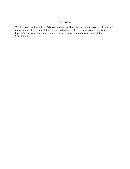# **Preamble.**

<span id="page-18-0"></span>We, the People of the State of Arkansas, grateful to Almighty God for the privilege of choosing our own form of government; for our civil and religious liberty; and desiring to perpetuate its blessings, and secure the same to our selves and posterity; do ordain and establish this Constitution.

——————————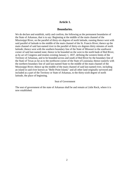# **Article 1.**

#### **Boundaries.**

<span id="page-19-0"></span>We do declare and establish, ratify and confirm, the following as the permanent boundaries of the State of Arkansas, that is to say: Beginning at the middle of the main channel of the Mississippi River, on the parallel of thirty-six degrees of north latitude, running thence west with said parallel of latitude to the middle of the main channel of the St. Francis River; thence up the main channel of said last-named river to the parallel of thirty-six degrees thirty minutes of north latitude; thence west with the southern boundary line of the State of Missouri to the southwest corner of said last-named state; thence to be bounded on the west to the north bank of Red River, as by act of Congress and treaties existing January 1, 1837, defining the western limits of the Territory of Arkansas, and to be bounded across and south of Red River by the boundary line of the State of Texas as far as to the northwest corner of the State of Louisiana; thence easterly with the northern boundary line of said last-named State to the middle of the main channel of the Mississippi River; thence up the middle of the main channel of said last-named river, including an island in said river known as "Belle Point Island," and all other land originally surveyed and included as a part of the Territory or State of Arkansas, to the thirty-sixth degree of north latitude, the place of beginning.

#### Seat of Government

The seat of government of the state of Arkansas shall be and remain at Little Rock, where it is now established.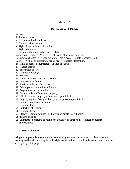# **Article 2.**

# **Declaration of Rights.**

<span id="page-20-0"></span>Section:

- 1. Source of power.
- 2. Freedom and independence.
- 3. Equality before the law.
- 4. Right of assembly and of petition.
- 5. Right to bear arms.
- 6. Liberty of the press and of speech Libel.
- 7. Jury trial Right to Waiver Civil cases Nine jurors agreeing.
- 8. Criminal charges Self-incrimination Due process Double jeopardy Bail.
- 9. Excessive bail or punishment prohibited Witnesses Detention.
- 10. Right of accused enumerated Change of venue.
- 11. Habeas corpus.
- 12. Suspension of laws.
- 13. Redress of wrongs.
- 14. Treason.
- 15. Unreasonable searches and seizures.
- 16. Imprisonment for debt.
- 17. Attainder Ex post facto laws.
- 18. Privileges and immunities Equality.
- 19. Perpetuities and monopolies.
- 20. Resident aliens Descent of property.
- 21. Life, liberty and property Banishment prohibited.
- 22. Property rights Taking without just compensation prohibited.
- 23. Eminent domain and taxation.
- 24. Religious liberty.
- 25. Protection of religion.
- 26. Religious tests.
- 27. Slavery Standing armies Military subordinate to civil power.
- 28. Tenure of lands.
- 29. Enumeration of rights of people not exclusive of other rights Protection against encroachment.

# **1. Source of power.**

All political power is inherent in the people and government is instituted for their protection, security and benefit; and they have the right to alter, reform or abolish the same, in such manner as they may think proper.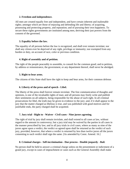#### <span id="page-21-0"></span>**2. Freedom and independence.**

All men are created equally free and independent, and have certain inherent and inalienable rights; amongst which are those of enjoying and defending life and liberty; of acquiring, possessing and protecting property, and reputation; and of pursuing their own happiness. To secure these rights governments are instituted among men, deriving their just powers from the consent of the governed.

#### **3. Equality before the law.**

The equality of all persons before the law is recognized, and shall ever remain inviolate; nor shall any citizen ever be deprived of any right, privilege or immunity; nor exempted from any burden or duty, on account of race, color or previous condition.

#### **4. Right of assembly and of petition.**

The right of the people peaceably to assemble, to consult for the common good; and to petition, by address or remonstrance, the government, or any department thereof, shall never be abridged.

#### **5. Right to bear arms.**

The citizens of this State shall have the right to keep and bear arms, for their common defense.

#### **6. Liberty of the press and of speech - Libel.**

The liberty of the press shall forever remain inviolate. The free communication of thoughts and opinions, is one of the invaluable rights of man; and all persons may freely write and publish their sentiments on all subjects, being responsible for the abuse of such right. In all criminal prosecutions for libel, the truth may be given in evidence to the jury; and, if it shall appear to the jury that the matter charged as libelous is true, and was published with good motives and for justifiable ends, the party charged shall be acquitted.

# **7. Jury trial - Right to - Waiver - Civil cases - Nine jurors agreeing.**

The right of trial by jury shall remain inviolate, and shall extend to all cases at law, without regard to the amount in controversy; but a jury trial may be waived by the parties in all cases in the manner prescribed by law; and in all jury trials in civil cases, where as many as nine of the jurors agree upon a verdict, the verdict so agreed upon shall be returned as the verdict of such jury, provided, however, that where a verdict is returned by less than twelve jurors all the jurors consenting to such verdict shall sign the same. [As amended by Const. Amend. 16.]

# **8. Criminal charges - Self-incrimination - Due process - Double jeopardy - Bail.**

No person shall be held to answer a criminal charge unless on the presentment or indictment of a grand jury, except in cases of impeachment or cases such as the General Assembly shall make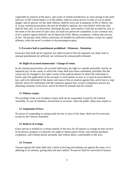<span id="page-22-0"></span>cognizable by justices of the peace, and courts of similar jurisdiction; or cases arising in the army and navy of the United States; or in the militia, when in actual service in time of war or public danger; and no person, for the same offense, shall be twice put in jeopardy of life or liberty; but if, in any criminal prosecution, the jury be divided in opinion, the court before which the trial shall be had, may, in its discretion, discharge the jury, and commit or bail the accused for trial, at the same or the next term of said court; nor shall any person be compelled, in any criminal case, to be a witness against himself; nor be deprived of life, liberty or property, without due process of law. All persons shall, before conviction, be bailable by sufficient sureties, except for capital offenses, when the proof is evident or the presumption great.

#### **9. Excessive bail or punishment prohibited - Witnesses - Detention.**

Excessive bail shall not be required; nor shall excessive fines be imposed; nor shall cruel or unusual punishments be inflicted; nor witnesses be unreasonably detained.

#### **10. Right of accused enumerated - Change of venue.**

In all criminal prosecutions, the accused shall enjoy the right to a speedy and public trial by an impartial jury of the county in which the crime shall have been committed; provided, that the venue may be changed to any other county of the judicial district in which the indictment is found, upon the application of the accused, in such manner as now is, or may be prescribed by law; and to be informed of the nature and cause of the accusation against him, and to have a copy thereof; and to be confronted with the witnesses against him; to have compulsory process for obtaining witnesses in his favor, and to be heard by himself and his counsel.

#### **11. Habeas corpus.**

The privilege of the writ of habeas corpus shall not be suspended; except by the General Assembly, in case of rebellion, insurrection or invasion, when the public safety may require it.

#### **12. Suspension of laws.**

No power of suspending or setting aside the law or laws of the State, shall ever be exercised, except by the General Assembly.

#### **13. Redress of wrongs.**

Every person is entitled to a certain remedy in the laws for all injuries or wrongs he may receive in his person, property or character; he ought to obtain justice freely, and without purchase; completely, and without denial; promptly and without delay; conformably to the laws.

#### **14. Treason.**

Treason against the State shall only consist in levying and making war against the same, or in adhering to its enemies, giving them aid and comfort. No person shall be convicted of treason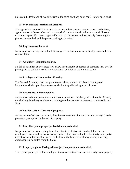<span id="page-23-0"></span>unless on the testimony of two witnesses to the same overt act, or on confession in open court.

#### **15. Unreasonable searches and seizures.**

The right of the people of this State to be secure in their persons, houses, papers, and effects, against unreasonable searches and seizures, shall not be violated; and no warrant shall issue, except upon probable cause, supported by oath or affirmation, and particularly describing the place to be searched, and the person or thing to be seized.

#### **16. Imprisonment for debt.**

No person shall be imprisoned for debt in any civil action, on mesne or final process, unless in cases of fraud.

#### **17. Attainder - Ex post facto laws.**

No bill of attainder, ex post facto law, or law impairing the obligation of contracts shall ever be passed; and no conviction shall work corruption of blood or forfeiture of estate.

#### **18. Privileges and immunities - Equality.**

The General Assembly shall not grant to any citizen, or class of citizens, privileges or immunities which, upon the same terms, shall not equally belong to all citizens.

#### **19. Perpetuities and monopolies.**

Perpetuities and monopolies are contrary to the genius of a republic, and shall not be allowed; nor shall any hereditary emoluments, privileges or honors ever be granted or conferred in this State.

#### **20. Resident aliens - Descent of property.**

No distinction shall ever be made by law, between resident aliens and citizens, in regard to the possession, enjoyment or descent of property.

#### **21. Life, liberty and property - Banishment prohibited.**

No person shall be taken, or imprisoned, or disseized of his estate, freehold, liberties or privileges; or outlawed, or in any manner destroyed, or deprived of his life, liberty or property; except by the judgment of his peers, or the law of the land; nor shall any person, under any circumstances, be exiled from the State.

#### **22. Property rights - Taking without just compensation prohibited.**

The right of property is before and higher than any constitutional sanction; and private property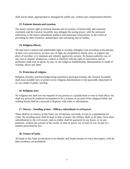<span id="page-24-0"></span>shall not be taken, appropriated or damaged for public use, without just compensation therefor.

#### **23. Eminent domain and taxation.**

The State's ancient right of eminent domain and of taxation, is herein fully and expressly conceded; and the General Assembly may delegate the taxing power, with the necessary restriction, to the State's subordinate political and municipal corporations, to the extent of providing for their existence, maintenance and well being, but no further.

# **24. Religious liberty.**

All men have a natural and indefeasible right to worship Almighty God according to the dictates of their own consciences; no man can, of right, be compelled to attend, erect, or support any place of worship; or to maintain any ministry against his consent. No human authority can, in any case or manner whatsoever, control or interfere with the right of conscience; and no preference shall ever be given, by law, to any religious establishment, denomination or mode of worship, above any other.

# **25. Protection of religion.**

Religion, morality and knowledge being essential to good government, the General Assembly shall enact suitable laws to protect every religious denomination in the peaceable enjoyment of its own mode of public worship.

# **26. Religious tests.**

No religious test shall ever be required of any person as a qualification to vote or hold office; nor shall any person be rendered incompetent to be a witness on account of his religious belief; but nothing herein shall be construed to dispense with oaths or affirmations.

# **27. Slavery - Standing armies - Military subordinate to civil power.**

There shall be no slavery in this State, nor involuntary servitude, except as a punishment for crime. No standing army shall be kept in time of peace; the military shall, at all times, be in strict subordination to the civil power; and no soldier shall be quartered in any house, or on any premises, without the consent of the owner, in time of peace; nor in time of war, except in a manner prescribed by law.

#### **28. Tenure of lands.**

All lands in this State are declared to be allodial; and feudal tenures of every description, with all their incidents, are prohibited.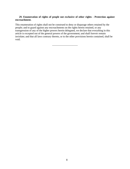#### <span id="page-25-0"></span>**29. Enumeration of rights of people not exclusive of other rights - Protection against encroachment.**

This enumeration of rights shall not be construed to deny or disparage others retained by the people; and to guard against any encroachments on the rights herein retained, or any transgression of any of the higher powers herein delegated, we declare that everything in this article is excepted out of the general powers of the government; and shall forever remain inviolate; and that all laws contrary thereto, or to the other provisions herein contained, shall be void.

——————————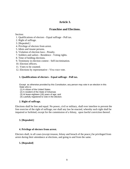# **Article 3.**

# **Franchise and Elections.**

<span id="page-26-0"></span>Section:

- 1. Qualifications of electors Equal suffrage Poll tax.
- 2. Right of suffrage.
- 3. [Repealed.]
- 4. Privilege of electors from arrest.
- 5. Idiots and insane persons.
- 6. Violation of election laws Penalty.
- 7. Soldiers and sailors Residence Voting rights.
- 8. Time of holding elections.
- 9. Testimony in election contest Self-incrimination.
- 10. Election officers.
- 11. Votes to be counted.
- 12. Elections by representative Viva voce vote.

#### **1. Qualifications of electors - Equal suffrage - Poll tax.**

 Except as otherwise provided by this Constitution, any person may vote in an election in this State who is:

- (1) A citizen of the United States
- (2) A resident of the State of Arkansas
- (3) At lease eighteen (18) years of age; and
- (4) Lawfully registered to vote in the election.

#### **2. Right of suffrage.**

Elections shall be free and equal. No power, civil or military, shall ever interfere to prevent the free exercise of the right of suffrage; nor shall any law be enacted, whereby such right shall be impaired or forfeited, except for the commission of a felony, upon lawful conviction thereof.

# **3. [Repealed.]**

#### **4. Privilege of electors from arrest.**

Electors shall, in all cases (except treason, felony and breach of the peace,) be privileged from arrest during their attendance at elections, and going to and from the same.

# **5. [Repealed]**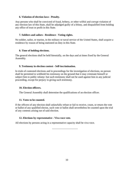#### <span id="page-27-0"></span>**6. Violation of election laws - Penalty.**

Any persons who shall be convicted of fraud, bribery, or other willful and corrupt violation of any election law of this State, shall be adjudged guilty of a felony, and disqualified from holding any office of trust or profit in this State.

#### **7. Soldiers and sailors - Residence - Voting rights.**

No soldier, sailor, or marine, in the military or naval service of the United States, shall acquire a residence by reason of being stationed on duty in this State.

#### **8. Time of holding elections.**

The general elections shall be held biennially, on the days and at times fixed by the General Assembly.

#### **9. Testimony in election contest - Self-incrimination.**

In trials of contested elections and in proceedings for the investigation of elections, no person shall be permitted to withhold his testimony on the ground that it may criminate himself or subject him to public infamy: but such testimony shall not be used against him in any judicial proceeding, except for perjury in giving such testimony.

#### **10. Election officers.**

The General Assembly shall determine the qualifications of an election officer.

#### **11. Votes to be counted.**

If the officers of any election shall unlawfully refuse or fail to receive, count, or return the vote or ballot of any qualified elector, such vote or ballot shall nevertheless be counted upon the trial of any contests arising out of said election.

——————————

#### **12. Elections by representative - Viva voce vote.**

All elections by persons acting in a representative capacity shall be viva voce.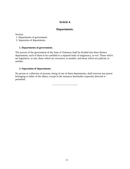# **Article 4.**

# **Departments.**

<span id="page-28-0"></span>Section:

- 1. Departments of government.
- 2. Separation of departments.

#### **1. Departments of government.**

The powers of the government of the State of Arkansas shall be divided into three distinct departments, each of them to be confided to a separate body of magistracy, to-wit: Those which are legislative, to one, those which are executive, to another, and those which are judicial, to another.

#### **2. Separation of departments.**

No person or collection of persons, being of one of these departments, shall exercise any power belonging to either of the others, except in the instances hereinafter expressly directed or permitted.

——————————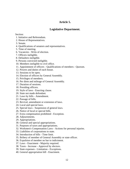# **Article 5.**

# **Legislative Department.**

- <span id="page-29-0"></span>1. Initiative and Referendum.
- 2. House of Representatives.
- 3. Senate.
- 4. Qualifications of senators and representatives.
- 5. Time of meeting.
- 6. Vacancies Writs of election.
- 7. Officers ineligible.
- 8. Defaulters ineligible.
- 9. Persons convicted ineligible.
- 10. Members ineligible to civil office.
- 11. Appointment of officers Qualifications of members Quorum.
- 12. Powers and duties of each house.
- 13. Sessions to be open.
- 14. Election of officers by General Assembly.
- 15. Privileges of members.
- 16. Per diem and mileage of General Assembly.
- 17. Duration of sessions.
- 18. Presiding officers.
- 19. Style of laws Enacting clause.
- 20. State not made defendant.
- 21. Laws by bills Amendment.
- 22. Passage of bills.
- 23. Revival, amendment or extension of laws.
- 24. Local and special laws.
- 25. Special laws Suspension of general laws.
- 26. Notice of local or special bills.
- 27. Extra compensation prohibited Exception.
- 28. Adjournments.
- 29. Appropriations.
- 30. General and special appropriations.
- 31. Purposes of taxes and appropriations.
- 32. Workmen's Compensation Laws Actions for personal injuries.
- 33. Liabilities of corporations to state.
- 34. Introduction of bills Time limit.
- 35. Bribery of member of General Assembly or state officer.
- 36. Expulsion of member no bar to indictment.
- 37. Laws Enactment Majority required.
- 38. Taxes Increase Approval by electors.
- 39. State expenses Limitation Exceptions.
- 40. General appropriation bill Enactment.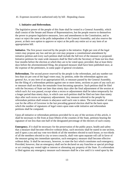<span id="page-30-0"></span>41. Expenses incurred or authorized only by bill - Repealing clause.

#### **1. Initiative and Referendum.**

The legislative power of the people of this State shall be vested in a General Assembly, which shall consist of the Senate and House of Representatives, but the people reserve to themselves the power to propose legislative measures, laws and amendments to the Constitution, and to enact or reject the same at the polls independent of the General Assembly; and also reserve the power, at their own option to approve or reject at the polls any entire act or any item of an appropriation bill.

**Initiative.** The first power reserved by the people is the initiative. Eight per cent of the legal voters may propose any law and ten per cent may propose a constitutional amendment by initiative petition and every such petition shall include the full text of the measure so proposed. Initiative petitions for state-wide measures shall be filed with the Secretary of State not less than four months before the election at which they are to be voted upon; provided, that at least thirty days before the aforementioned filing, the proposed measure shall have been published once, at the expense of the petitioners, in some paper of general circulation.

**Referendum.** The second power reserved by the people is the referendum, and any number not less than six per cent of the legal voters may, by petition, order the referendum against any general Act, or any item of an appropriation bill, or measure passed by the General Assembly, but the filing of a referendum petition against one or more items, sections or parts of any such act or measure shall not delay the remainder from becoming operative. Such petition shall be filed with the Secretary of State not later than ninety days after the final adjournment of the session at which such Act was passed, except when a recess or adjournment shall be taken temporarily for a longer period than ninety days, in which case such petition shall be filed not later than ninety days after such recess or temporary adjournment. Any measure referred to the people by referendum petition shall remain in abeyance until such vote is taken. The total number of votes cast for the office of Governor in the last preceding general election shall be the basis upon which the number of signatures of legal voters upon state-wide initiative and referendum petitions shall be computed.

Upon all initiative or referendum petitions provided for in any of the sections of this article, it shall be necessary to file from at least fifteen of the counties of the State, petitions bearing the signature of not less than one-half of the designated percentage of the electors of such county.

**Emergency.** If it shall be necessary for the preservation of the public peace, health and safety that a measure shall become effective without delay, such necessity shall be stated in one section, and if upon a yea and nay vote two-thirds of all the members elected to each house, or two-thirds of all the members elected to city or town councils, shall vote upon separate roll call in favor of the measure going into immediate operation, such emergency measure shall become effective without delay. It shall be necessary, however, to state the fact which constitutes such emergency. Provided, however, that an emergency shall not be declared on any franchise or special privilege or act creating any vested right or interest or alienating any property of the State. If a referendum is filed against any emergency measure such measure shall be a law until it is voted upon by the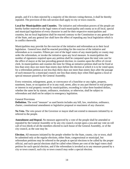people, and if it is then rejected by a majority of the electors voting thereon, it shall be thereby repealed. The provision of this sub-section shall apply to city or town councils.

**Local for Municipalities and Counties.** The initiative and referendum powers of the people are hereby further reserved to the legal voters of each municipality and county as to all local, special and municipal legislation of every character in and for their respective municipalities and counties, but no local legislation shall be enacted contrary to the Constitution or any general law of the State, and any general law shall have the effect of repealing any local legislation which is in conflict therewith.

Municipalities may provide for the exercise of the initiative and referendum as to their local legislation. General laws shall be enacted providing for the exercise of the initiative and referendum as to counties. Fifteen per cent of the legal voters of any municipality or county may order the referendum, or invoke the initiative upon any local measure. In municipalities the number of signatures required upon any petition shall be computed upon the total vote cast for the office of mayor at the last preceding general election; in counties upon the office of circuit clerk. In municipalities and counties the time for filing an initiative petition shall not be fixed at less than sixty days nor more than ninety days before the election at which it is to be voted upon; for a referendum petition at not less than thirty days nor more than ninety days after the passage of such measure by a municipal council; nor less than ninety days when filed against a local or special measure passed by the General Assembly.

Every extension, enlargement, grant, or conveyance of a franchise or any rights, property, easement, lease, or occupation of or in any road, street, alley or any part thereof in real property or interest in real property owned by municipalities, exceeding in value three hundred dollars, whether the same be by statute, ordinance, resolution, or otherwise, shall be subject to referendum and shall not be subject to emergency legislation.

#### General Provisions

**Definition.** The word "measure" as used herein includes any bill, law, resolution, ordinance, charter, constitutional amendment or legislative proposal or enactment of any character.

**No Veto.** The veto power of the Governor or mayor shall not extend to measures initiated by or referred to the people.

**Amendment and Repeal.** No measure approved by a vote of the people shall be amended or repealed by the General Assembly or by any city council, except upon a yea and nay vote on roll call of two-thirds of all the members elected to each house of the General Assembly, or of the city council, as the case may be.

**Election.** All measures initiated by the people whether for the State, county, city or town, shall be submitted only at the regular elections, either State, congressional or municipal, but referendum petitions may be referred to the people at special elections to be called by the proper official, and such special elections shall be called when fifteen per cent of the legal voters shall petition for such special election, and if the referendum is invoked as to any measure passed by a city or town council, such city or town council may order a special election.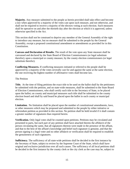**Majority.** Any measure submitted to the people as herein provided shall take effect and become a law when approved by a majority of the votes cast upon such measure, and not otherwise, and shall not be required to receive a majority of the electors voting at such election. Such measures shall be operative on and after the thirtieth day after the election at which it is approved, unless otherwise specified in the Act.

This section shall not be construed to deprive any member of the General Assembly of the right to introduce any measure, but no measure shall be submitted to the people by the General Assembly, except a proposed constitutional amendment or amendments as provided for in this Constitution.

**Canvass and Declaration of Results.** The result of the vote upon any State measure shall be canvassed and declared by the State Board of Election Commissioners (or legal substitute therefor); upon a municipal or county measure, by the county election commissioners (or legal substitute therefor).

**Conflicting Measures.** If conflicting measures initiated or referred to the people shall be approved by a majority of the votes severally cast for and against the same at the same election, the one receiving the highest number of affirmative votes shall become law.

#### The Petition

**Title.** At the time of filing petitions the exact title to be used on the ballot shall by the petitioners be submitted with the petition, and on state-wide measures, shall be submitted to the State Board of Election Commissioners, who shall certify such title to the Secretary of State, to be placed upon the ballot; on county and municipal measures such title shall be submitted to the county election board and shall by said board be placed upon the ballot in such county or municipal election.

**Limitation.** No limitation shall be placed upon the number of constitutional amendments, laws, or other measures which may be proposed and submitted to the people by either initiative or referendum petition as provided in this section. No petition shall be held invalid if it shall contain a greater number of signatures than required herein.

**Verification.** Only legal votes shall be counted upon petitions. Petitions may be circulated and presented in parts, but each part of any petition shall have attached thereto the affidavit of the person circulating the same, that all signatures thereon were made in the presence of the affiant, and that to the best of the affiant's knowledge and belief each signature is genuine, and that the person signing is a legal voter and no other affidavit or verification shall be required to establish the genuineness of such signatures.

**Sufficiency.** The sufficiency of all state-wide petitions shall be decided in the first instance by the Secretary of State, subject to review by the Supreme Court of the State, which shall have original and exclusive jurisdiction over all such causes. The sufficiency of all local petitions shall be decided in the first instance by the county clerk or the city clerk as the case may be, subject to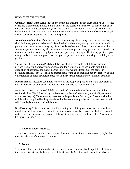<span id="page-33-0"></span>review by the chancery court.

**Court Decisions.** If the sufficiency of any petition is challenged such cause shall be a preference cause and shall be tried at once, but the failure of the courts to decide prior to the election as to the sufficiency of any such petition, shall not prevent the question from being placed upon the ballot at the election named in such petition, nor militate against the validity of such measure, if it shall have been approved by a vote of the people.

**Amendment of Petition.** If the Secretary of State, county clerk or city clerk, as the case may be, shall decide any petition to be insufficient, he shall without delay notify the sponsers of such petition, and permit at least thirty days from the date of such notification, in the instance of a state-wide petition, or ten days in the instance of a municipal or county petition, for correction or amendment. In the event of legal proceedings to prevent giving legal effect to any petition upon any grounds, the burden of proof shall be upon the person or persons attacking the validity of the petition.

**Unwarranted Restrictions Prohibited.** No law shall be passed to prohibit any person or persons from giving or receiving compensation for circulating petitions, nor to prohibit the circulation of petitions, nor in any manner interfering with the freedom of the people in procuring petitions; but laws shall be enacted prohibiting and penalizing perjury, forgery, and all other felonies or other fraudulent practices, in the securing of signatures or filing of petitions.

**Publication.** All measures submitted to a vote of the people by petition under the provisions of this section shall be published as is now, or hereafter may be provided by law.

**Enacting Clause.** The style of all bills initiated and submitted under the provisions of this section shall be, "Be It Enacted by the People of the State of Arkansas, (municipality or county, as the case may be)." In submitting measures to the people, the Secretary of State and all other officials shall be guided by the general election laws or municipal laws as the case may be until additional legislation is provided therefor.

**Self-Executing.** This section shall be self-executing, and all its provisions shall be treated as mandatory, but laws may be enacted to facilitate its operation. No legislation shall be enacted to restrict, hamper or impair the exercise of the rights herein reserved to the people. [As amended by Const. Amend. 7]

#### **2. House of Representatives.**

The House of Representatives shall consist of members to be chosen every second year, by the qualified electors of the several counties.

#### **3. Senate.**

The Senate shall consist of members to be chosen every four years, by the qualified electors of the several districts. At the first session of the Senate, the Senators shall divide themselves into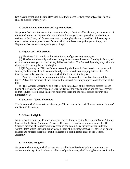<span id="page-34-0"></span>two classes, by lot, and the first class shall hold their places for two years only, after which all shall be elected for four years.

#### **4. Qualifications of senators and representatives.**

No person shall be a Senator or Representative who, at the time of his election, is not a citizen of the United States, nor any one who has not been for two years next preceding his election, a resident of this State, and for one year next preceding his election, a resident of the county or district whence he may be chosen. Senators shall be at least twenty-five years of age, and Representatives at least twenty-one years of age.

#### **5. Regular and fiscal sessions.**

(a) The General Assembly shall meet at the seat of government every year.

 (b) The General Assembly shall meet in regular session on the second Monday in January of each odd-numbered year to consider any bill or resolution. The General Assembly may alter the time at which the regular session begins.

 (c)(1) Beginning in 2010, the General Assembly shall meet in fiscal session on the second Monday in February of each even-numbered year to consider only appropriations bills. The General Assembly may alter the time at which the fiscal session begins.

 (2) A bill other than an appropriation bill may be considered in a fiscal session if twothirds (2/3) of the members of each house of the General Assembly approve consideration of the bill.

 (d) The General Assembly, by a vote of two-thirds (2/3) of the members elected to each house of the General Assembly, may alter the dates of the regular session and the fiscal session so that regular session occur in an even numbered years and the fiscal session occur in oddnumbered years.

#### **6. Vacancies - Writs of election.**

The Governor shall issue writs of election, to fill such vacancies as shall occur in either house of the General Assembly.

#### **7. Officers ineligible.**

No judge of the Supreme, Circuit or inferior courts of law or equity, Secretary of State, Attorney General for the State, Auditor or Treasurer, Recorder, clerk of any court of record, Sheriff, Coroner, member of Congress, nor any other person holding any lucrative office under the United States or this State (militia officers, justices of the peace, postmasters, officers of public schools and notaries excepted), shall be eligible to a seat in either house of the General Assembly.

#### **8. Defaulters ineligible.**

No person who now is, or shall be hereafter, a collector or holder of public money, nor any assistant or deputy of such holder or collector of public money, shall be eligible to a seat in either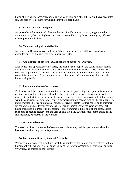<span id="page-35-0"></span>house of the General Assembly, nor to any office of trust or profit, until he shall have accounted for, and paid over, all sums for which he may have been liable.

#### **9. Persons convicted ineligible.**

No person hereafter convicted of embezzlement of public money, bribery, forgery or other infamous crime, shall be eligible to the General Assembly or capable of holding any office of trust or profit in this State.

#### **10. Members ineligible to civil office.**

No Senator or Representative shall, during the term for which he shall have been elected, be appointed or elected to any civil office under this State.

#### **11. Appointment of officers - Qualifications of members - Quorum.**

Each house shall appoint its own officers, and shall be sole judge of the qualifications, returns and elections of its own members. A majority of all the members elected to each house shall constitute a quorum to do business; but a smaller number may adjourn from day to day, and compel the attendance of absent members, in such manner and under such penalties as each house shall provide.

#### **12. Powers and duties of each house.**

Each house shall have power to determine the rules of its proceedings; and punish its members, or other persons, for contempt or disorderly behavior in its presence; enforce obedience to its process; to protect its members against violence or offers of bribes, or private solicitations; and, with the concurrence of two-thirds, expel a member; but not a second time for the same cause. A member expelled for corruption shall not, thereafter, be eligible to either house; and punishment for contempt, or disorderly behavior, shall not bar an indictment for the same offense. Each house shall keep a journal of its proceedings; and, from time to time, publish the same, except such parts as require secrecy; and the yeas and nays, on any question, shall, at the desire of any five members, be entered on the journals.

#### **13. Sessions to be open.**

The sessions of each house, and of committees of the whole, shall be open, unless when the business is such as ought to be kept secret.

# **14. Election of officers by General Assembly.**

Whenever an officer, civil or military, shall be appointed by the joint or concurrent vote of both houses, or by the separate vote of either house of the General Assembly, the vote shall be taken viva voce, and entered on the journals.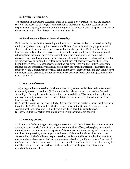#### **15. Privileges of members.**

The members of the General Assembly shall, in all cases except treason, felony, and breach or surety of the peace, be privileged from arrest during their attendance at the sessions of their respective houses; and, in going to and returning from the same; and, for any speech or debate in either house, they shall not be questioned in any other place.

#### **16. Per diem and mileage of General Assembly.**

Each member of the General Assembly shall receive six dollars per day for his services during the first sixty days of any regular session of the General Assembly, and if any regular session shall be extended, such member shall serve without further per diem. Each member of the General Assembly shall also receive ten cents per mile for each mile traveled in going to and returning from the seat of government, over the most direct and practicable route. When convened in extraordinary session by the Governor, they shall each receive three dollars per day for their services during the first fifteen days, and if such extraordinary session shall extend beyond fifteen days, they shall receive no further per diem. They shall be entitled to the same mileage for any extraordinary session as herein provided for regular sessions. The terms of all members of the General Assembly shall begin on the day of their election, and they shall receive no compensation, perquisite or allowance whatever, except as herein provided. [As amended by Const. Amend. 5.]

#### **17. Duration of sessions.**

 (a) A regular biennial sessions, shall not exceed sixty (60) calendar days in duration, unless extended by a vote of two-thirds (2/3) of the members elected to each house of the General Assembly. The regular biennial session shall not exceed thirty (75) calendar days in duration, unless extended by a vote of three-fourths (3/4) of the members elected to each house of the General Assembly.

(b) A fiscal session shall not exceed thirty (30) calendar days in duration, except that by a vote of three-fourths (3/4) of the members elected to each house of the General Assembly, a fiscal session may be extended one (1) time by no more that fifteen (15) calendar days. (c) Provided, that this section shall not apply when impeachments are pending

#### **18. Presiding officers.**

Each house, at the beginning of every regular session of the General Assembly, and whenever a vacancy may occur, shall elect from its members a presiding officer, to be styled, respectively, the President of the Senate, and the Speaker of the House of Representatives; and whenever, at the close of any session, it may appear that the term of the member elected President of the Senate will expire before the next regular session, the Senate shall elect another President from those members whose terms of office continue over, who shall qualify and remain President of the Senate until his successor may be elected and qualified; and who, in the case of a vacancy in the office of Governor, shall perform the duties and exercise the powers of Governor as elsewhere herein provided.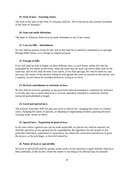#### **19. Style of laws - Enacting clause.**

The style of the laws of the State of Arkansas shall be: "Be it enacted by the General Assembly of the State of Arkansas."

#### **20. State not made defendant.**

The State of Arkansas shall never be made defendant in any of her courts.

#### **21. Laws by bills - Amendment.**

No law shall be passed except by bill, and no bill shall be so altered or amended on its passage through either house, as to change its original purpose.

#### **22. Passage of bills.**

Every bill shall be read at length, on three different days, in each house; unless the rules be suspended by two-thirds of the house, when the same may be read a second or third time on the same day; and no bill shall become a law unless, on its final passage, the vote be taken by yeas and nays; the names of the persons voting for and against the same be entered on the journal; and a majority of each house be recorded thereon as voting in its favor.

#### **23. Revival, amendment or extension of laws.**

No law shall be revived, amended, or the provisions thereof extended or conferred, by reference to its title only; but so much thereof as is revived, amended, extended or conferred, shall be reenacted and published at length.

#### **24. Local and special laws.**

The General Assembly shall not pass any local or special law, changing the venue in criminal cases; changing the names of persons, or adopting or legitimating children; granting divorces; vacating roads, streets or alleys.

#### **25. Special laws - Suspension of general laws.**

In all cases where a general law can be made applicable, no special law shall be enacted; nor shall the operation of any general law be suspended by the legislature for the benefit of any particular individual, corporation or association; nor where the courts have jurisdiction to grant the powers, or the privileges, or the relief asked for.

#### **26. Notice of local or special bills.**

No local or special bill shall be passed, unless notice of the intention to apply therefor shall have been published, in the locality where the matter or the thing to be affected may be situated;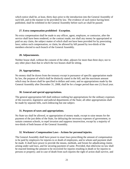which notice shall be, at least, thirty days prior to the introduction into the General Assembly of such bill, and in the manner to be provided by law. The evidence of such notice having been published, shall be exhibited in the General Assembly before such act shall be passed.

### **27. Extra compensation prohibited - Exception.**

No extra compensation shall be made to any officer, agent, employee, or contractor, after the service shall have been rendered, or the contract made; nor shall any money be appropriated or paid on any claim, the subject matter of which shall not have been provided for by preexisting laws; unless such compensation, or claim, be allowed by bill passed by two-thirds of the members elected to each branch of the General Assembly.

## **28. Adjournments.**

Neither house shall, without the consent of the other, adjourn for more than three days; nor to any other place than that in which the two houses shall be sitting.

## **29. Appropriations.**

No money shall be drawn from the treasury except in pursuance of specific appropriation made by law, the purpose of which shall be distinctly stated in the bill, and the maximum amount which may be drawn shall be specified in dollars and cents; and no appropriations made by the General Assembly after December 31, 2008, shall be for a longer period than one (1) fiscal year.

## **30. General and special appropriations.**

The general appropriation bill shall embrace nothing but appropriations for the ordinary expenses of the executive, legislative and judicial departments of the State; all other appropriations shall be made by separate bills, each embracing but one subject.

## **31. Purposes of taxes and appropriations.**

No State tax shall be allowed, or appropriation of money made, except to raise means for the payment of the just debts of the State, for defraying the necessary expenses of government, to sustain common schools, to repel invasion and suppress insurrection, except by a majority of two-thirds of both houses of the General Assembly.

## **32. Workmen's Compensation Laws - Actions for personal injuries.**

The General Assembly shall have power to enact laws prescribing the amount of compensation to be paid by employers for injuries to or death of employees, and to whom said payment shall be made. It shall have power to provide the means, methods, and forum for adjudicating claims arising under said laws, and for securing payment of same. Provided, that otherwise no law shall be enacted limiting the amount to be recovered for injuries resulting in death or for injuries to persons or property; and in case of death from such injuries the right of action shall survive, and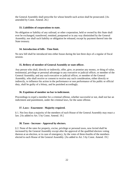the General Assembly shall prescribe for whose benefit such action shall be prosecuted. [As amended by Const. Amend. 26.]

#### **33. Liabilities of corporations to state.**

No obligation or liability of any railroad, or other corporation, held or owned by this State shall ever be exchanged, transferred, remitted, postponed or in any way diminished by the General Assembly; nor shall such liability or obligation be released, except by payment thereof into the State treasury.

#### **34. Introduction of bills - Time limit.**

No new bill shall be introduced into either house during the last three days of a regular of fiscal session.

#### **35. Bribery of member of General Assembly or state officer.**

Any person who shall, directly or indirectly, offer, give, or promise any money, or thing of value, testimonial, privilege or personal advantage to any executive or judicial officer, or member of the General Assembly; and any such executive or judicial officer, or member of the General Assembly, who shall receive or consent to receive any such consideration, either directly or indirectly, to influence his action in the performance or non performance of his public or official duty, shall be guilty of a felony, and be punished accordingly.

#### **36. Expulsion of member no bar to indictment.**

Proceedings to expel a member for a criminal offense, whether successful or not, shall not bar an indictment and punishment, under the criminal laws, for the same offense.

#### **37. Laws - Enactment - Majority required.**

§ 1. Not less than a majority of the members of each House of the General Assembly may enact a law. [As added to Art. 5 by Const. Amend. 19.]

#### **38. Taxes - Increase - Approval by electors.**

§ 2. None of the rates for property, excise, privilege or personal taxes, now levied shall be increased by the General Assembly except after the approval of the qualified electors voting thereon at an election, or in case of emergency, by the votes of three-fourths of the members elected to each House of the General Assembly. [As added to Art. 5 by Const. Amend. 19.]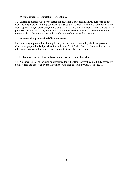#### **39. State expenses - Limitation - Exceptions.**

§ 3. Excepting monies raised or collected for educational purposes, highway purposes, to pay Confederate pensions and the just debts of the State, the General Assembly is hereby prohibited from appropriating or expending more than the sum of Two and One-Half Million Dollars for all purposes, for any fiscal year; provided the limit herein fixed may be exceeded by the votes of three-fourths of the members elected to each House of the General Assembly.

#### **40. General appropriation bill - Enactment.**

§ 4. In making appropriations for any fiscal year, the General Assembly shall first pass the General Appropriation Bill provided for in Section 30 of Article 5 of the Constitution, and no other appropriation bill may be enacted before that shall have been done.

#### **41. Expenses incurred or authorized only by bill - Repealing clause.**

§ 5. No expense shall be incurred or authorized for either House except by a bill duly passed by both Houses and approved by the Governor. [As added to Art. 5 by Const. Amend. 19.]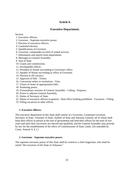# **Article 6.**

## **Executive Department.**

Section:

- 1. Executive officers.
- 2. Governor Supreme executive power.
- 3. Election of executive officers.
- 4. Contested election.
- 5. Qualifications of Governor.
- 6. Governor, commander-in-chief of armed services.
- 7. Information and reports from departments.
- 8. Messages to General Assembly.
- 9. Seal of State.
- 10. Grants and commissions.
- 11. Incompatible offices.
- 12. President of Senate succeeding to Governor's office.
- 13. Speaker of House succeeding to office of Governor.
- 14. Election to fill vacancy.
- 15. Approval of bills Vetoes.
- 16. Concurrent orders or resolutions Veto.
- 17. Vetoes of items of appropriation bills.
- 18. Pardoning power.
- 19. Extraordinary sessions of General Assembly Calling Purposes.
- 20. Power to adjourn General Assembly.
- 21. Duties of Secretary of State.
- 22. Duties of executive officers in general Dual office holding prohibited Vacancies Filling.
- 23. Filling vacancies in other offices.

#### **1. Executive officers.**

The executive department of this State shall consist of a Governor, Lieutenant Governor, Secretary of State, Treasurer of State, Auditor of State and Attorney General, all of whom shall keep their offices in person at the seat of government and hold their offices for the term of two years and until their successors are elected and qualified, and the General Assembly may provide by law for the establishment of the office of Commissioner of State Lands. [As amended by Const. Amend. 6, § 1.]

#### **2. Governor - Supreme executive power.**

The supreme executive power of this State shall be vested in a chief magistrate, who shall be styled "the Governor of the State of Arkansas."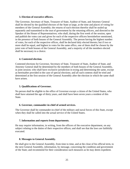#### **3. Election of executive officers.**

The Governor, Secretary of State, Treasurer of State, Auditor of State, and Attorney General shall be elected by the qualified electors of the State at large, at the time and places of voting for members of the General Assembly; the returns of each election therefor shall be sealed up separately and transmitted to the seat of government by the returning officers, and directed to the Speaker of the House of Representatives; who shall, during the first week of the session, open and publish the votes cast and given for each of the respective officers hereinbefore mentioned, in the presence of both houses of the General Assembly. The person having the highest number of votes, for each of the respective offices, shall be declared duly elected thereto; but if two or more shall be equal, and highest in votes for the same office, one of them shall be chosen by the joint vote of both houses of the General Assembly, and a majority of all the members elected shall be necessary to a choice.

#### **4. Contested election.**

Contested elections for Governor, Secretary of State, Treasurer of State, Auditor of State, and Attorney General shall be determined by the members of both houses of the General Assembly, in joint session; who shall have exclusive jurisdiction in trying and determining the same, except as hereinafter provided in the case of special elections; and all such contests shall be tried and determined at the first session of the General Assembly after the election in which the same shall have arisen.

#### **5. Qualifications of Governor.**

No person shall be eligible to the office of Governor except a citizen of the United States, who shall have attained the age of thirty years, and shall have been seven years a resident of this State.

#### **6. Governor, commander-in-chief of armed services.**

The Governor shall be commander-in-chief of the military and naval forces of this State, except when they shall be called into the actual service of the United States.

#### **7. Information and reports from departments.**

He may require information, in writing, from the officers of the executive department, on any subject relating to the duties of their respective offices; and shall see that the laws are faithfully executed.

#### **8. Messages to General Assembly.**

He shall give to the General Assembly, from time to time, and at the close of his official term, to the next General Assembly, information, by message, concerning the condition and government of the State; and recommend for their consideration such measures as he may deem expedient.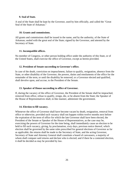#### **9. Seal of State.**

A seal of the State shall be kept by the Governor, used by him officially, and called the "Great Seal of the State of Arkansas."

#### **10. Grants and commissions.**

All grants and commissions shall be issued in the name, and by the authority, of the State of Arkansas; sealed with the great seal of the State; signed by the Governor, and attested by the Secretary of State.

#### **11. Incompatible offices.**

No member of Congress, or other person holding office under the authority of this State, or of the United States, shall exercise the office of Governor, except as herein provided.

#### **12. President of Senate succeeding to Governor's office.**

In case of the death, conviction on impeachment, failure to qualify, resignation, absence from the State, or other disability of the Governor, the powers, duties and emoluments of the office for the remainder of the term, or until the disability be removed, or a Governor elected and qualified, shall devolve upon, and accrue, to the President of the Senate.

#### **13. Speaker of House succeeding to office of Governor.**

If, during the vacancy of the office of Governor, the President of the Senate shall be impeached, removed from office, refuse to qualify, resign, die, or be absent from the State; the Speaker of the House of Representatives shall, in like manner, administer the government.

#### **14. Election to fill vacancy.**

Whenever the office of Governor shall have become vacant by death, resignation, removal from office or otherwise, provided such vacancy shall not happen within twelve months next before the expiration of the term of office for which the late Governor shall have been elected, the President of the Senate or Speaker of the House of Representatives, as the case may be, exercising the powers of Governor for the time being, shall immediately cause an election to be held to fill such vacancy, giving, by proclamation, sixty days, previous notice thereof, which election shall be governed by the same rules prescribed for general elections of Governor as far as applicable; the returns shall be made to the Secretary of State, and the acting Governor, Secretary of State and Attorney General shall constitute a board of canvassers, a majority of whom shall compare said returns and declare who is elected; and if there be a contested election, it shall be decided as may be provided by law.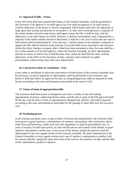#### **15. Approval of bills - Vetoes.**

Every bill which shall have passed both houses of the General Assembly, shall be presented to the Governor; if he approve it, he shall sign it; but if he shall not approve it, he shall return it, with his objections, to the house in which it originated; which house shall enter the objections at large upon their journal and proceed to reconsider it. If, after such reconsideration, a majority of the whole number elected to that house, shall agree to pass the bill, it shall be sent, with the objections, to the other house; by which, likewise, it shall be reconsidered; and, if approved by a majority of the whole number elected to that house, it shall be a law; but in such cases the vote of both houses shall be determined by "yeas and nays;" and the names of the members voting for or against the bill, shall be entered on the journals. If any bill shall not be returned by the Governor within five days, Sundays excepted, after it shall have been presented to him, the same shall be a law in like manner as if he had signed it; unless the General Assembly, by their adjournment, prevent its return; in which case it shall become a law, unless he shall file the same, with his objections, in the office of the Secretary of State, and give notice thereof, by public proclamation, within twenty days after such adjournment.

#### **16. Concurrent orders or resolutions - Veto.**

Every order or resolution in which the concurrence of both houses of the General Assembly may be necessary, except on questions of adjournment, shall be presented to the Governor, and, before it shall take effect, be approved by him; or, being disapproved, shall be repassed by both houses according to the rules and limitations prescribed in the case of a bill.

#### **17. Vetoes of items of appropriation bills.**

The Governor shall have power to disapprove any item, or items, of any bill making appropriation of money, embracing distinct items; and the part or parts of the bill approved shall be the law; and the item or items of appropriations disapproved, shall be void unless repassed according to the rules and limitations prescribed for the passage of other bills over the executive veto.

#### **18. Pardoning power.**

In all criminal and penal cases, except in those of treason and impeachment, the Governor shall have power to grant reprieves, commutations of sentence, and pardons, after conviction; and to remit fines and forfeitures, under such rules and regulations as shall be prescribed by law. In cases of treason, he shall have power, by and with the advice and consent of the Senate, to grant reprieves and pardons; and he may, in the recess of the Senate, respite the sentence until the adjournment of the next regular session of the General Assembly. He shall communicate to the General Assembly at every regular session each case of reprieve, commutation or pardon, with his reasons therefor; stating the name and crime of the convict, the sentence, its date, and the date of the commutation, pardon or reprieve.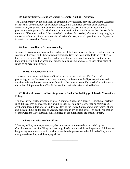#### **19. Extraordinary sessions of General Assembly - Calling - Purposes.**

The Governor may, by proclamation, on extraordinary occasions, convene the General Assembly at the seat of government, or at a different place, if that shall have become, since their last adjournment, dangerous from an enemy or contagious disease; and he shall specify in his proclamation the purpose for which they are convened; and no other business than that set forth therein shall be transacted until the same shall have been disposed of; after which they may, by a vote of two-thirds of all the members elected to both houses, entered upon their journals, remain in session not exceeding fifteen days.

#### **20. Power to adjourn General Assembly.**

In cases of disagreement between the two houses of the General Assembly, at a regular or special session, with respect to the time of adjournment, the Governor may, if the facts be certified to him by the presiding officers of the two houses, adjourn them to a time not beyond the day of their next meeting; and on account of danger from an enemy or disease, to such other place of safety as he may think proper.

#### **21. Duties of Secretary of State.**

The Secretary of State shall keep a full and accurate record of all the official acts and proceedings of the Governor; and, when required, lay the same with all papers, minutes and vouchers relating thereto, before either branch of the General Assembly. He shall also discharge the duties of Superintendent of Public Instruction, until otherwise provided by law.

#### **22. Duties of executive officers in general - Dual office holding prohibited - Vacancies - Filling.**

The Treasurer of State, Secretary of State, Auditor of State, and Attorney-General shall perform such duties as may be prescribed by law; they shall not hold any other office or commission, civil or military, in this State or under any State, or the United States, or any other power, at one and the same time; and in case of vacancy occurring in any of said offices, by death, resignation or otherwise, the Governor shall fill said office by appointment for the unexpired term.

#### **23. Filling vacancies in other offices.**

When any office, from any cause, may become vacant, and no mode is provided by the Constitution and laws for filling such vacancy, the Governor shall have the power to fill the same by granting a commission, which shall expire when the person elected to fill said office, at the next general election, shall be duly qualified.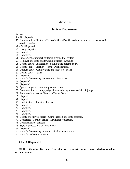## **Article 7.**

## **Judicial Department.**

#### Section:

- 1 18. [Repealed.]
- 19. Circuit clerks Election Term of office Ex-officio duties County clerks elected in certain counties.
- 20 22. [Repealed.]
- 23. Charge to juries.
- 24. [Repealed.]
- 25. [Repealed.]
- 26. Punishment of indirect contempt provided for by law.
- 27. Removal of county and township officers Grounds.
- 28. County courts Jurisdiction Single judge holding court.
- 29. County judge Election Term Qualifications.
- 30. Quorum court County judge and justices of peace.
- 31. County court Terms.
- 32. [Repealed.]
- 33. Appeals from county and common pleas courts.
- 34. [Repealed.]
- 35. [Repealed.]
- 36. Special judges of county or probate courts.
- 37. Compensation of county judge Powers during absence of circuit judge.
- 38. Justices of the peace Election Term Oath.
- 39. [Repealed.]
- 40. [Repealed.]
- 41. Qualifications of justice of peace.
- 42. [Repealed.]
- 43. [Repealed.]
- 44. [Repealed.]
- 45. [Repealed.]
- 46. County executive officers Compensation of county assessor.
- 47. Constables Term of office Certificate of election.
- 48. Commissions of officers.
- 49. Style of process and of indictments.
- 50. [Repealed.]
- 51. Appeals from county or municipal allowances Bond.
- 52. Appeals in election contests.

#### **§ 1 - 18. [Repealed.]**

#### **19. Circuit clerks - Election - Term of office - Ex-officio duties - County clerks elected in certain counties.**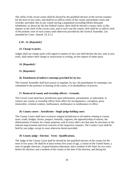The clerks of the circuit courts shall be elected by the qualified electors of the several counties for the term of two years, and shall be ex-officio clerks of the county and probate courts and recorder; provided, that in any county having a population exceeding fifteen thousand inhabitants, as shown by the last Federal census, there shall be elected a county clerk, in like manner as the clerk of the circuit court, and in such case the county clerk shall be ex-officio clerk of the probate court of such county until otherwise provided by the General Assembly. [As amended by Const. Amend. 24, § 3.]

## **§ 20 - 22. [Repealed.]**

## **23. Charge to juries.**

Judges shall not charge juries with regard to matters of fact, but shall declare the law; and, in jury trials, shall reduce their charge or instructions to writing, on the request of either party.

## **24. [Repealed.]**

## **25. [Repealed.]**

## **26. Punishment of indirect contempt provided for by law.**

The General Assembly shall have power to regulate, by law, the punishment of contempts; not committed in the presence or hearing of the courts, or in disobedience of process.

## **27. Removal of county and township officers - Grounds.**

The Circuit Court shall have jurisdiction upon information, presentment, or indictment, to remove any county or township officer from office for incompetency, corruption, gross immorality, criminal conduct, malfeasance, misfeasance or nonfeasance in office.

## **28. County courts - Jurisdiction - Single judge holding court.**

The County Courts shall have exclusive original jurisdiction in all matters relating to county taxes, roads, bridges, ferries, paupers, bastardy, vagrants, the apprenticeship of minors, the disbursement of money for county purposes, and in every other case that may be necessary to the internal improvement and local concerns of the respective counties. The County Court shall be held by one judge, except in cases otherwise herein provided.

## **29. County judge - Election - Term - Qualifications.**

The Judge of the County Court shall be elected by the qualified electors of the county for the term of two years. He shall be at least twenty-five years of age, a citizen of the United States, a man of upright character, of good business education, and a resident of the State for two years before his election; and a resident of the county at the time of his election, and during his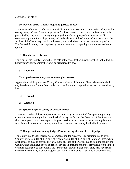continuance in office.

### **30. Quorum court - County judge and justices of peace.**

The Justices of the Peace of each county shall sit with and assist the County Judge in levying the county taxes, and in making appropriations for the expenses of the county, in the manner to be prescribed by law; and the County Judge, together with a majority of said Justices, shall constitute a quorum for such purposes; and in the absence of the County Judge a majority of the Justices of the Peace may constitute the court, who shall elect one of their number to preside. The General Assembly shall regulate by law the manner of compelling the attendance of such quorum.

## **31. County court - Terms.**

The terms of the County Courts shall be held at the times that are now prescribed for holding the Supervisors' Courts, or may hereafter be prescribed by law.

## **32. [Repealed.]**

## **33. Appeals from county and common pleas courts.**

Appeals from all judgments of County Courts or Courts of Common Pleas, when established, may be taken to the Circuit Court under such restrictions and regulations as may be prescribed by law.

#### **34. [Repealed.]**

**35. [Repealed.]** 

#### **36. Special judges of county or probate courts.**

Whenever a Judge of the County or Probate Court may be disqualified from presiding, in any cause or causes pending in his court, he shall certify the facts to the Governor of the State, who shall thereupon commission a special judge to preside in such cause or causes during the time said disqualification may continue, or until such cause or causes may be finally disposed of.

#### **37. Compensation of county judge - Powers during absence of circuit judge.**

The County Judge shall receive such compensation for his services as presiding Judge of the County Court, as Judge of the Court of Probate and Judge of the Court of Common Pleas, when established, as may be provided by law. In the absence of the Circuit Judge from the county, the County Judge shall have power to issue orders for injunctions and other provisional writs in their counties, returnable to the court having jurisdiction; provided, that either party may have such order reviewed by any superior Judge in vacation in such manner as shall be provided by law.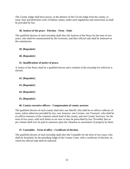The County Judge shall have power, in the absence of the Circuit Judge from the county, to issue, hear and determine writs of habeas corpus, under such regulations and restrictions as shall be provided by law.

### **38. Justices of the peace - Election - Term - Oath.**

The qualified electors of each township shall elect the Justices of the Peace for the term of two years; who shall be commissioned by the Governor, and their official oath shall be indorsed on the commission.

#### **39. [Repealed.]**

**40. [Repealed.]** 

## **41. Qualifications of justice of peace.**

A Justice of the Peace shall be a qualified elector and a resident of the township for which he is elected.

**42. [Repealed.]** 

**43. [Repealed.]** 

**44. [Repealed.]** 

**45. [Repealed.]** 

## **46. County executive officers - Compensation of county assessor.**

The qualified electors of each county shall elect one Sheriff, who shall be ex-officio collector of taxes, unless otherwise provided by law; one Assessor, one Coroner, one Treasurer, who shall be ex-officio treasurer of the common school fund of the county, and one County Surveyor; for the term of two years, with such duties as are now or may be prescribed by law: Provided, that no per centum shall ever be paid to assessors upon the valuation or assessment of property by them.

## **47. Constables - Term of office - Certificate of election.**

The qualified electors of each township shall elect the Constable for the term of two years, who shall be furnished, by the presiding Judge of the County Court, with a certificate of election, on which his official oath shall be indorsed.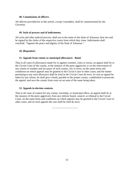#### **48. Commissions of officers.**

All officers provided for in this article, except Constables, shall be commissioned by the Governor.

#### **49. Style of process and of indictments.**

All writs and other judicial process, shall run in the name of the State of Arkansas, bear test and be signed by the clerks of the respective courts from which they issue. Indictments shall conclude: "Against the peace and dignity of the State of Arkansas."

## **50. [Repealed.]**

#### **51. Appeals from county or municipal allowances - Bond.**

That in all cases of allowances made for or against counties, cities or towns, an appeal shall lie to the Circuit Court of the county, at the instance of the party aggrieved, or on the intervention of any citizen or resident and tax payer of such county, city or town, on the same terms and conditions on which appeals may be granted to the Circuit Court in other cases; and the matter pertaining to any such allowance shall be tried in the Circuit Court de novo. In case an appeal be taken by any citizen, he shall give a bond, payable to the proper county, conditioned to prosecute the appeal, and save the county from costs on account of the same being taken.

#### **52. Appeals in election contests.**

That in all cases of contest for any county, township, or municipal office, an appeal shall lie at the instance of the party aggrieved, from any inferior board, council, or tribunal to the Circuit Court, on the same terms and conditions on which appeals may be granted to the Circuit Court in other cases, and on such appeals the case shall be tried de novo.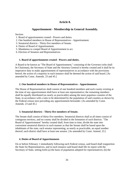# **Article 8.**

# **Apportionment - Membership in General Assembly.**

Section:

- 1. Board of apportionment created Powers and duties.
- 2. One hundred members in House of Representatives Apportionment.
- 3. Senatorial districts Thirty-five members of Senate.
- 4. Duties of Board of Apportionment.
- 5. Mandamus to compel Board of Apportionment to act.
- 6. Election of Senators and Representatives.

## **1. Board of apportionment created - Powers and duties.**

A Board to be known as "The Board of Apportionment," consisting of the Governor (who shall be Chairman), the Secretary of State and the Attorney General is hereby created and it shall be its imperative duty to make apportionment of representatives in accordance with the provisions hereof; the action of a majority in each instance shall be deemed the action of said board. [As amended by Const. Amends. 23 and 45.]

## **2. One hundred members in House of Representatives - Apportionment.**

The House of Representatives shall consist of one hundred members and each county existing at the time of any apportionment shall have at least one representative; the remaining members shall be equally distributed (as nearly as practicable) among the more populous counties of the State, in accordance with a ratio to be determined by the population of said counties as shown by the Federal census next preceding any apportionment hereunder. [As amended by Const. Amends. 23 and 45.]

## **3. Senatorial districts - Thirty-five members of Senate.**

The Senate shall consist of thirty-five members. Senatorial districts shall at all times consist of contiguous territory, and no county shall be divided in the formation of such districts. "The Board of Apportionment" hereby created shall, from time to time, divide the state into convenient senatorial districts in such manner as that the Senate shall be based upon the inhabitants of the state, each senator representing, as nearly as practicable, an equal number thereof; each district shall have at least one senator. [As amended by Const. Amend. 23.]

#### **4. Duties of Board of Apportionment.**

On or before February 1 immediately following each Federal census, said board shall reapportion the State for Representatives, and in each instance said board shall file its report with the Secretary of State, setting forth (a) the basis of population adopted for representatives; (b) the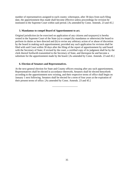number of representatives assigned to each county; whereupon, after 30 days from such filing date, the apportionment thus made shall become effective unless proceedings for revision be instituted in the Supreme Court within said period. [As amended by Const. Amends. 23 and 45.]

#### **5. Mandamus to compel Board of Apportionment to act.**

Original jurisdiction (to be exercised on application of any citizens and taxpayers) is hereby vested in the Supreme Court of the State (a) to compel (by mandamus or otherwise) the board to perform its duties as here directed and (b) to revise any arbitrary action of or abuse of discretion by the board in making such apportionment; provided any such application for revision shall be filed with said Court within 30 days after the filing of the report of apportionment by said board with the Secretary of State; if revised by the court, a certified copy of its judgment shall be by the clerk thereof forthwith transmitted to the Secretary of State, and thereupon be and become a substitute for the apportionment made by the board. [As amended by Const. Amends. 23 and 45.]

#### **6. Election of Senators and Representatives.**

At the next general election for State and County officers ensuing after any such apportionment, Representatives shall be elected in accordance therewith, Senators shall be elected henceforth according to the apportionment now existing, and their respective terms of office shall begin on January 1 next following. Senators shall be elected for a term of four years at the expiration of their present terms of office. [As amended by Const. Amends. 23 and 45.]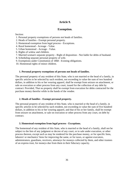# **Article 9.**

## **Exemption.**

Section:

- 1. Personal property exemptions of persons not heads of families.
- 2. Heads of families Exempt personal property.
- 3. Homestead exemption from legal process Exceptions.
- 4. Rural homestead Acreage Value.
- 5. Urban homestead Acreage Value.
- 6. Rights of widow and children.
- 7. Married woman's separate property Right of disposition Not liable for debts of husband.
- 8. Scheduling separate personal property of wife.
- 9. Exemptions under Constitution of 1868 Existing obligations.
- 10. Homestead rights of minor children.

#### **1. Personal property exemptions of persons not heads of families.**

The personal property of any resident of this State, who is not married or the head of a family, in specific articles to be selected by such resident, not exceeding in value the sum of two hundred dollars, in addition to his or her wearing apparel, shall be exempt from seizure on attachment, or sale on execution or other process from any court, issued for the collection of any debt by contract: Provided, That no property shall be exempt from execution for debts contracted for the purchase money therefor while in the hands of the vendee.

#### **2. Heads of families - Exempt personal property.**

The personal property of any resident of this State, who is married or the head of a family, in specific articles to be selected by such resident, not exceeding in value the sum of five hundred dollars, in addition to his or her wearing apparel, and that of his or her family, shall be exempt from seizure on attachment, or sale on execution or other process from any court, on debt by contract.

#### **3. Homestead exemption from legal process - Exceptions.**

The homestead of any resident of this State, who is married or the head of a family, shall not be subject to the lien of any judgment or decree of any court, or to sale under execution, or other process thereon, except such as may be rendered for the purchase money, or for specific liens, laborers' or mechanics' liens for improving the same, or for taxes, or against executors, administrators, guardians, receivers, attorneys for moneys collected by them, and other trustees of an express trust, for moneys due from them in their fiduciary capacity.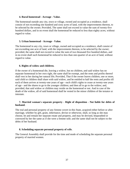#### **4. Rural homestead - Acreage - Value.**

The homestead outside any city, town or village, owned and occupied as a residence, shall consist of not exceeding one hundred and sixty acres of land, with the improvements thereon, to be selected by the owner; Provided, The same shall not exceed in value the sum of twenty-five hundred dollars, and in no event shall the homestead be reduced to less than eighty acres, without regard to value.

#### **5. Urban homestead - Acreage - Value.**

The homestead in any city, town or village, owned and occupied as a residence, shall consist of not exceeding one acre of land, with the improvements thereon, to be selected by the owner; provided, the same shall not exceed in value the sum of two thousand five hundred dollars, and in no event shall such homestead be reduced to less than one-quarter of an acre of land, without regard to value.

#### **6. Rights of widow and children.**

If the owner of a homestead die, leaving a widow, but no children, and said widow has no separate homestead in her own right, the same shall be exempt, and the rents and profits thereof shall vest in her during her natural life; Provided, That if the owner leaves children, one or more, said child or children shall share with said widow, and be entitled to half the rents and profits till each of them arrives at twenty-one years of age - each child's rights to cease at twenty-one years of age - and the shares to go to the younger children; and then all to go to the widow; and, provided, that said widow or children may reside on the homestead or not. And in case of the death of the widow, all of said homestead shall be vested in the minor children of the testator or intestate.

#### **7. Married woman's separate property - Right of disposition - Not liable for debts of husband.**

The real and personal property of any femme covert in this State, acquired either before or after marriage, whether by gift, grant, inheritance, devise or otherwise, shall, so long as she may choose, be and remain her separate estate and property, and may be devised, bequeathed or conveyed by her the same as if she were a femme sole; and the same shall not be subject to the debts of her husband.

#### **8. Scheduling separate personal property of wife.**

The General Assembly shall provide for the time and mode of scheduling the separate personal property of married women.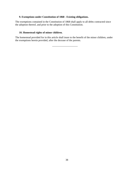#### **9. Exemptions under Constitution of 1868 - Existing obligations.**

The exemptions contained in the Constitution of 1868 shall apply to all debts contracted since the adoption thereof, and prior to the adoption of this Constitution.

#### **10. Homestead rights of minor children.**

The homestead provided for in this article shall inure to the benefit of the minor children, under the exemptions herein provided, after the decease of the parents.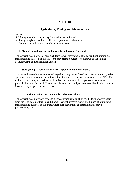# **Article 10.**

# **Agriculture, Mining and Manufacture.**

Section:

- 1. Mining, manufacturing and agricultural bureau State aid.
- 2. State geologist Creation of office Appointment and removal.
- 3. Exemption of mines and manufactures from taxation.

#### **1. Mining, manufacturing and agricultural bureau - State aid.**

The General Assembly shall pass such laws as will foster and aid the agricultural, mining and manufacturing interests of the State, and may create a bureau, to be known as the Mining, Manufacturing and Agricultural Bureau.

#### **2. State geologist - Creation of office - Appointment and removal.**

The General Assembly, when deemed expedient, may create the office of State Geologist, to be appointed by the Governor, by and with the advice and consent of the Senate, who shall hold his office for such time, and perform such duties, and receive such compensation as may be prescribed by law; Provided: That he shall be at all times subject to removal by the Governor, for incompetency or gross neglect of duty.

#### **3. Exemption of mines and manufactures from taxation.**

The General Assembly may, by general law, exempt from taxation for the term of seven years from the ratification of this Constitution, the capital invested in any or all kinds of mining and manufacturing business in this State, under such regulations and restrictions as may be prescribed by law.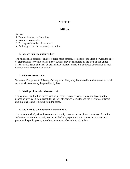# **Article 11.**

# **Militia.**

Section:

- 1. Persons liable to military duty.
- 2. Volunteer companies.
- 3. Privilege of members from arrest.
- 4. Authority to call out volunteers or militia.

## **1. Persons liable to military duty.**

The militia shall consist of all able-bodied male persons, residents of the State, between the ages of eighteen and forty-five years; except such as may be exempted by the laws of the United States, or this State; and shall be organized, officered, armed and equipped and trained in such manner as may be provided by law.

## **2. Volunteer companies.**

Volunteer Companies of Infantry, Cavalry or Artillery may be formed in such manner and with such restrictions as may be provided by law.

## **3. Privilege of members from arrest.**

The volunteer and militia forces shall in all cases (except treason, felony and breach of the peace) be privileged from arrest during their attendance at muster and the election of officers, and in going to and returning from the same.

## **4. Authority to call out volunteers or militia.**

The Governor shall, when the General Assembly is not in session, have power to call out the Volunteers or Militia, or both, to execute the laws, repel invasion, repress insurrection and preserve the public peace; in such manner as may be authorized by law.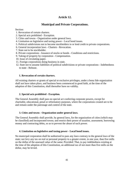# **Article 12.**

# **Municipal and Private Corporations.**

### Section:

- 1. Revocation of certain charters.
- 2. Special acts prohibited Exception.
- 3. Cities and towns Organization under general laws.
- 4. Limitation on legislative and taxing power Local bond issues.
- 5. Political subdivisions not to become stockholders in or lend credit to private corporations.
- 6. General incorporation laws Charters Revocation.
- 7. State not to be stockholder.
- 8. Private corporations Issuance of stocks or bonds Conditions and restrictions.
- 9. Taking of property by corporation Compensation.
- 10. Issue of circulating paper.
- 11. Foreign corporations doing business in state.
- 12. State not to assume liabilities of political subdivisions or private corporations Indebtedness to state - Release.

## **1. Revocation of certain charters.**

All existing charters or grants of special or exclusive privileges, under a bona fide organization shall not have taken place, and business been commenced in good faith, at the time of the adoption of this Constitution, shall thereafter have no validity.

## **2. Special acts prohibited - Exception.**

The General Assembly shall pass no special act conferring corporate powers, except for charitable, educational, penal or reformatory purposes, where the corporations created are to be and remain under the patronage and control of the state.

## **3. Cities and towns - Organization under general laws.**

The General Assembly shall provide, by general laws, for the organization of cities (which may be classified) and incorporated towns; and restrict their power of taxation, assessment, borrowing money and contracting debts, so as to prevent the abuse of such power.

## **4. Limitation on legislative and taxing power - Local bond issues.**

No municipal corporation shall be authorized to pass any laws contrary to the general laws of the state; nor levy any tax on real or personal property to a greater extent, in one year, than five mills on the dollar of the assessed value of the same; Provided: That, to pay indebtedness existing at the time of the adoption of this Constitution, an additional tax of not more than five mills on the dollar, may be levied.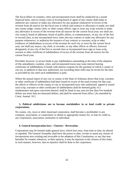The fiscal affairs of counties, cities and incorporated towns shall be conducted on a sound financial basis, and no county court or levying board or agent of any county shall make or authorize any contract or make any allowance for any purpose whatsoever in excess of the revenue from all sources for the fiscal year in which said contract or allowance is made; nor shall any county judge, county clerk, or other county officer, sign or issue any scrip warrant or make any allowance in excess of the revenue from all sources for the current fiscal year; nor shall any city council, board of aldermen, board of public affairs, or commissioners, of any city of the first or second class, or any incorporated town, enter into any contract or make any allowance for any purpose whatsoever, or authorize the issuance of any contract or warrants, scrip or other evidences of indebtedness in excess of the revenue for such city or town for the current fiscal year; nor shall any mayor, city clerk, or recorder, or any other officer or officers, however designated, of any city of the first or second class or incorporated town sign or issue scrip, warrant or other certificate of indebtedness of excess of the revenue from all sources for the current fiscal year.

Provided, however, to secure funds to pay indebtedness outstanding at the time of the adoption of this amendment, counties, cities, and incorporated towns may issue interest bearing certificates of indebtedness or bonds with interest coupons for the payment of which a county or city tax, in addition to that now authorized, not exceeding three mills may be levied for the time as provided by law until such indebtedness is paid.

Where the annual report of any city or county in the State of Arkansas shows that scrip, warrants or other certificate of indebtedness had been issued in excess of the total revenue for that year, the officer or officers of the county or city or incorporated town who authorized, signed or issued such scrip, warrants or other certificates of indebtedness shall be deemed guilty of a misdemeanor and upon conviction thereof, shall be fined in any sum not less than five hundred dollars nor more than ten thousand dollars, and shall be removed from office. [As amended by Const. Amend. 10.]

## **5. Political subdivisions not to become stockholders in or lend credit to private corporations.**

No county, city, town or other municipal corporation, shall become a stockholder in any company, association, or corporation; or obtain or appropriate money for, or loan its credit to, any corporation, association, institution or individual.

#### **6. General incorporation laws - Charters - Revocation.**

Corporations may be formed under general laws; which laws may, from time to time, be altered or repealed. The General Assembly shall have the power to alter, revoke or annul any charter of incorporation now existing and revocable at the adoption of this Constitution, or any that may hereafter be created, whenever, in their opinion, it may be injurious to the citizens of this State; in such manner, however, that no injustice shall be done to the corporators.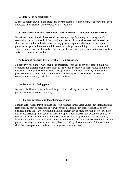#### **7. State not to be stockholder.**

Except as herein provided, the State shall never become a stockholder in, or subscribe to, or be interested in the stock of any corporation or association.

#### **8. Private corporations - Issuance of stocks or bonds - Conditions and restrictions.**

No private corporation shall issue stocks or bonds, except for money or property actually received, or labor done; and all fictitious increase of stock or indebtedness shall be void; nor shall the stock or bonded indebtedness of any private corporation be increased, except in pursuance of general laws; nor until the consent of the persons holding the larger amount, in value, of stock, shall be obtained at a meeting held after notice given, for a period not less than sixty days, in pursuance of law.

#### **9. Taking of property by corporation - Compensation.**

No property, nor right of way, shall be appropriated to the use of any corporation, until full compensation therefor shall be first made to the owner, in money; or first secured to him by a deposit of money; which compensation, irrespective of any benefit from any improvement proposed by such corporation, shall be ascertained by a jury of twelve men, in a court of competent jurisdiction, as shall be prescribed by law.

#### **10. Issue of circulating paper.**

No act of the General Assembly shall be passed authorizing the issue of bills, notes, or other paper which may circulate as money.

#### **11. Foreign corporations doing business in state.**

Foreign corporations may be authorized to do business in this State, under such limitations and restrictions as may be prescribed by law; Provided: That no such corporation shall do any business in this State, except while it maintains therein one or more known places of business, and an authorized agent or agents in the same, upon whom process may be served; and, as to contracts made or business done in this State, they shall be subject to the same regulations, limitations and liabilities as like corporations of this State; and shall exercise no other or greater powers, privileges or franchises than may be exercised by like corporations of this State; nor shall they have power to condemn or appropriate private property.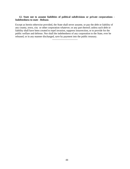#### **12. State not to assume liabilities of political subdivisions or private corporations - Indebtedness to state - Release.**

Except as herein otherwise provided, the State shall never assume, or pay the debt or liability of any county, town, city or other corporation whatever; or any part thereof; unless such debt or liability shall have been created to repel invasion, suppress insurrection, or to provide for the public welfare and defense. Nor shall the indebtedness of any corporation to the State, ever be released, or in any manner discharged, save by payment into the public treasury.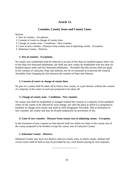# **Article 13.**

# **Counties, County Seats and County Lines.**

Section:

- 1. Size of counties Exceptions.
- 2. Consent of voters to change of county lines.
- 3. Change of county seats Conditions New counties.
- 4. Lines of new counties Distance from county seat of adjoining county Exception.

5. Sebastian County - Districts.

#### **1. Size of counties - Exceptions.**

No county now established shall be reduced to an area of less than six hundred square miles, nor to less than five thousand inhabitants: nor shall any new county be established with less than six hundred square miles and five thousand inhabitants: Provided, that this section shall not apply to the counties of Lafayette, Pope and Johnson, nor be so construed as to prevent the General Assembly from changing the line between the counties of Pope and Johnson.

## **2. Consent of voters to change of county lines.**

No part of a county shall be taken off to form a new county, or a part thereof, without the consent of a majority of the voters in such part proposed to be taken off.

## **3. Change of county seats - Conditions - New counties.**

No county seat shall be established or changed without the consent of a majority of the qualified voters of the county to be affected by such change, nor until the place at which it is proposed to establish or change such county seat shall be fully designated: Provided, That in formation of new counties, the county seat may be located temporarily by provisions of law.

## **4. Lines of new counties - Distance from county seat of adjoining county - Exception.**

In the formation of new counties no line thereof shall run within ten miles of the county seat of the county proposed to be divided, except the county seat of Lafayette County.

## **5. Sebastian County - Districts.**

Sebastian County may have two districts and two county seats, at which county, probate and circuit courts shall be held as may be provided by law, each district paying its own expenses.

————————————————————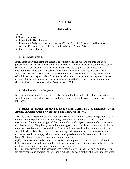# **Article 14.**

## **Education.**

Section:

- 1. Free school system.
- 2. School fund Use Purposes.
- 3. School tax Budget Approval of tax rate (Const., Art. 14, § 3, as amended by Const. Amend. 11, Const. Amend. 40, amended, and Const. Amend. 74).

4. Supervision of schools.

#### **1. Free school system.**

Intelligence and virtue being the safeguards of liberty and the bulwark of a free and good government, the State shall ever maintain a general, suitable and efficient system of free public schools and shall adopt all suitable means to secure to the people the advantages and opportunities of education. The specific intention of this amendment is to authorize that in addition to existing constitutional or statutory provisions the General Assembly and/or public school districts may spend public funds for the education of persons over twenty-one (21) years of age and under six (6) years of age, as may be provided by law, and no other interpretation shall be given to it. [As amended by Const. Amend. 53.]

#### **2. School fund - Use - Purposes.**

No money or property belonging to the public school fund, or to this State, for the benefit of schools or universities, shall ever be used for any other than for the respective purposes to which it belongs.

#### **3. School tax - Budget - Approval of tax rate (Const., Art. 14, § 3, as amended by Const. Amend. 11, Const. Amend. 40, amended, and Const. Amend. 74).**

 (a) The General Assembly shall provide for the support of common schools by general law. In order to provide quality education, it is the goal of this state to provide a fair system for the distribution of funds. It is recognized that, in providing such a system, some funding variations may be necessary. The primary reason for allowing such variations is to allow school districts, to the extent permissible, to raise additional funds to enhance the educational system within the school district. It is further recognized that funding variations or restrictions thereon may be necessary in order to comply with, or due to, other provisions of this Constitution, the United States Constitution, state or federal laws, or court orders.

(b)(1) There is established a uniform rate of ad valorem property tax of twenty-five (25) mills to be levied on the assessed value of all taxable real, personal, and utility property in the state to be used solely for maintenance and operation of the schools.

(2) Except as provided in this subsection the uniform rate of tax shall not be an additional levy for maintenance and operation of the schools but shall replace a portion of the existing rate of tax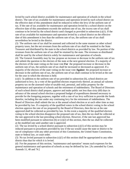levied by each school district available for maintenance and operation of schools in the school district. The rate of tax available for maintenance and operation levied by each school district on the effective date of this amendment shall be reduced to reflect the levy of the uniform rate of tax. If the rate of tax available for maintenance and operation levied by a school district on the effective date of this amendment exceeds the uniform rate of tax, the excess rate of tax shall continue to be levied by the school district until changed as provided in subsection (c)(1). If the rate of tax available for maintenance and operation levied by a school district on the effective date of this amendment is less than the uniform rate of tax, the uniform rate of tax shall nevertheless be levied in the district.

(3) The uniform rate of tax shall be assessed and collected in the same manner as other school property taxes, but the net revenues from the uniform rate of tax shall be remitted to the State Treasurer and distributed by the state to the school districts as provided by law. No portion of the revenues from the uniform rate of tax shall be retained by the state. The revenues so distributed shall be used by the school districts solely for maintenance and operation of schools.

(4) The General Assembly may by law propose an increase or decrease in the uniform rate of tax and submit the question to the electors of the state at the next general election. If a majority of the electors of the state voting on the issue vote **For** the proposed increase or decrease in the uniform rate of tax, the uniform rate of tax shall be increased or decreased as approved. If a majority of the electors of the state voting on the issue vote **Against** the proposed increase or decrease in the uniform rate of tax, the uniform rate of tax shall continue to be levied at the rate for the year in which the election is held.

(c)(1) In addition to the uniform rate of tax provided in subsection (b), school districts are authorized to levy, by a vote of the qualified electors respectively thereof, an annual ad valorem property tax on the assessed value of taxable real, personal, and utility property for the maintenance and operation of schools and the retirement of indebtedness. The Board of Directors of each school district shall prepare, approve and make public not less than sixty (60) days in advance of the annual school election a proposed budget of expenditures deemed necessary to provide for the foregoing purposes, together with a rate of tax levy sufficient to provide the funds therefor, including the rate under any continuing levy for the retirement of indebtedness. The Board of Directors shall submit the tax at the annual school election or at such other time as may be provided by law. If a majority of the qualified voters in the school district voting in the school election approve the rate of tax proposed by the Board of Directors, then the tax at the rate approved shall be collected as provided by law. In the event a majority of the qualified electors voting in the school election disapprove the proposed rate of tax, then the tax shall be collected at the rate approved in the last preceding school election. However, if the rate last approved has been modified pursuant to subsection (b) or  $(c)(2)$  of this section, then the tax shall be collected at the modified rate until another rate is approved.

(2) The tax levied by a school district pursuant to subsection  $(c)(1)$  of this section may be reduced pursuant to procedures provided by law if the tax would cause the state or district to be out of compliance with any other provision of this Constitution, the United States Constitution, state or federal law, or court order.

(3) No tax levied pursuant to subsection  $(c)(1)$  of this section shall be appropriated to any other district than that for which it is levied.

(d) For the purposes of this section, "maintenance and operation" means such expenses for the general maintenance and operation of schools as may be defined by law. [As amended by Const. Amends 11, 40 and 74.]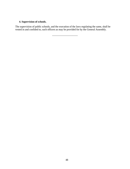## **4. Supervision of schools.**

The supervision of public schools, and the execution of the laws regulating the same, shall be vested in and confided to, such officers as may be provided for by the General Assembly.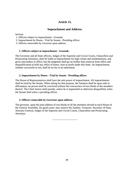# **Article 15.**

## **Impeachment and Address.**

Section:

- 1. Officers subject to impeachment Grounds.
- 2. Impeachment by House Trial by Senate Presiding officer.
- 3. Officers removable by Governor upon address.

#### **1. Officers subject to impeachment - Grounds.**

The Governor and all State officers, Judges of the Supreme and Circuit Courts, Chancellors and Prosecuting Attorneys, shall be liable to impeachment for high crimes and misdemeanors, and gross misconduct in office; but the judgment shall go no further than removal from office and disqualification to hold any office of honor, trust or profit under this State. An impeachment, whether successful or not, shall be no bar to an indictment.

#### **2. Impeachment by House - Trial by Senate - Presiding officer.**

The House of Representatives shall have the sole power of impeachment. All impeachments shall be tried by the Senate. When sitting for that purpose, the Senators shall be upon oath or affirmation; no person shall be convicted without the concurrence of two-thirds of the members thereof. The Chief Justice shall preside, unless he is impeached or otherwise disqualified, when the Senate shall select a presiding officer.

#### **3. Officers removable by Governor upon address.**

The governor, upon the joint address of two-thirds of all the members elected to each House of the General Assembly, for good cause, may remove the Auditor, Treasurer, Secretary of State, Attorney-General, Judges of the Supreme and Circuit Courts, Chancellors and Prosecuting Attorneys.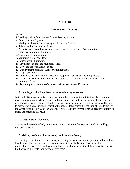# **Article 16.**

## **Finance and Taxation.**

Section:

- 1. Lending credit Bond issues Interest-bearing warrants.
- 2. Debts of state Payment.
- 3. Making profit out of or misusing public funds Penalty.
- 4. Salaries and fees of state officers.
- 5. Property taxed according to value Procedures for valuation Tax exemptions.
- 6. Other tax exemptions forbidden.
- 7. Taxation of corporate property.
- 8. Maximum rate of state taxes.
- 9. County taxes Limitation.
- 10. Payment of county and municipal taxes.
- 11. Levy and appropriation of taxes.
- 12. Disbursement of funds Appropriation required.
- 13. Illegal exactions.
- 14. Procedure for adjustment of taxes after reappraisal or reassessment of property.
- 15. Assessment of residential property and agricultural, pasture, timber, residential and commercial land.
- 16. Providing for exemption of value of residence of person 65 or over.

#### **1. Lending credit - Bond issues - Interest-bearing warrants.**

Neither the State nor any city, county, town or other municipality in this State shall ever lend its credit for any purpose whatever; nor shall any county, city or town or municipality ever issue any interest bearing evidences of indebtedness, except such bonds as may be authorized by law to provide for and secure the payment of the indebtedness existing at the time of the adoption of the Constitution of 1874, and the State shall never issue any interest-bearing treasury warrants or scrip. [As amended in 1918.]

#### **2. Debts of state - Payment.**

The General Assembly shall, from time to time, provide for the payment of all just and legal debts of the State.

#### **3. Making profit out of or misusing public funds - Penalty.**

The making of profit out of public moneys, or using the same for any purpose not authorized by law, by any officer of the State, or member or officer of the General Assembly, shall be punishable as may be provided by law, but part of such punishment shall be disqualification to hold office in this State for a period of five years.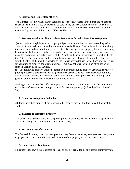#### **4. Salaries and fees of state officers.**

The General Assembly shall fix the salaries and fees of all officers in the State; and no greater salary or fee than that fixed by law shall be paid to any officer, employee or other person, or at any rate other than par value; and the number and salaries of the clerks and employees of the different departments of the State shall be fixed by law.

#### **5. Property taxed according to value - Procedures for valuation - Tax exemptions.**

 (a) All real and tangible personal property subject to taxation shall be taxed according to its value, that value to be ascertained in such manner as the General Assembly shall direct, making the same equal and uniform throughout the State. No one species of property for which a tax may be collected shall be taxed higher than another species of property of equal value, except as provided and authorized in Section 15 of this Article, and except as authorized in Section 14 of this Article. The General Assembly, upon the approval thereof by a vote of not less than threefourths (*3*/4ths) of the members elected to each house, may establish the methods and procedures for valuation of property for taxation purposes, but may not alter the method of valuation set forth in Section 15 of this Article.

(b) The following property shall be exempt from taxation: public property used exclusively for public purposes; churches used as such; cemeteries used exclusively as such; school buildings and apparatus; libraries and grounds used exclusively for school purposes; and buildings and grounds and materials used exclusively for public charity.

Nothing in this Section shall affect or repeal the provision of Amendment 57 to the Constitution of the State of Arkansas pertaining to intangible personal property. [Added by Const. Amend. 59.]

#### **6. Other tax exemptions forbidden.**

All laws exempting property from taxation, other than as provided in this Constitution shall be void.

#### **7. Taxation of corporate property.**

The power to tax corporations and corporate property, shall not be surrendered or suspended by any contract or grant to which the State may be a party.

#### **8. Maximum rate of state taxes.**

The General Assembly shall not have power to levy State taxes for any one year to exceed, in the aggregate, one per cent of the assessed valuation of the property of the State for that year.

#### **9. County taxes - Limitation.**

No county shall levy a tax to exceed one-half of one per cent., for all purposes; but may levy an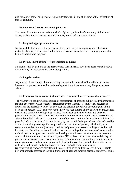additional one-half of one per cent. to pay indebtedness existing at the time of the ratification of this Constitution.

#### **10. Payment of county and municipal taxes.**

The taxes of counties, towns and cities shall only be payable in lawful currency of the United States, or the orders or warrants of said counties, towns and cities respectively.

### **11. Levy and appropriation of taxes.**

No tax shall be levied except in pursuance of law, and every law imposing a tax shall state distinctly the object of the same; and no moneys arising from a tax levied for any purpose shall be used for any other purpose.

## **12. Disbursement of funds - Appropriation required.**

No money shall be paid out of the treasury until the same shall have been appropriated by law; and then only in accordance with said appropriation.

## **13. Illegal exactions.**

Any citizen of any county, city or town may institute suit, in behalf of himself and all others interested, to protect the inhabitants thereof against the enforcement of any illegal exactions whatever.

#### **14. Procedure for adjustment of taxes after reappraisal or reassessment of property.**

 (a) Whenever a countywide reappraisal or reassessment of property subject to ad valorem taxes made in accordance with procedures established by the General Assembly shall result in an increase in the aggregate value of taxable real and personal property in any taxing unit in this State of ten percent (10%) or more over the previous year the rate of city or town, county, school district, and community college district taxes levied against the taxable real and personal property of each such taxing unit shall, upon completion of such reappraisal or reassessment, be adjusted or rolled back, by the governing body of the taxing unit, for the year for which levied as provided below. The General Assembly shall, by law, establish the procedures to be followed by a county in making a countywide reappraisal or reassessment of property which will, upon completion, authorize the adjustment or rollback of property tax rates or millage, as authorized hereinabove. The adjustment or rollback of tax rates or millage for the "base year" as hereinafter defined shall be designed to assure that each taxing unit will receive an amount of tax revenue from each tax source no greater than ten percent (10%) above the revenues received during the previous year from each such tax source, adjusted for any lawful tax or millage rate increase or reduction imposed in the manner provided by law for the year for which the tax adjustment or rollback is to be made, and after making the following additional adjustments:

(i) by excluding from such calculation the assessed value of, and taxes derived from, tangible personal property assessed in the taxing unit, and all real and tangible personal property of public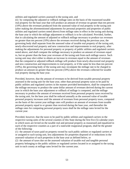utilities and regulated carriers assessed in the taxing unit, and

(ii) by computing the adjusted or rollback millage rates on the basis of the reassessed taxable real property for the base year that will produce an amount of revenue no greater than ten percent (10%) above the revenues produced from the assessed value of real property in the taxing unit (after making the aforementioned adjustments for personal properties and properties of public utilities and regulated carriers noted above) from millage rates in effect in the taxing unit during the base year in which the millage adjustment or rollback is to be calculated. Provided, further, that in calculating the amount of adjusted or rollback millage necessary to produce tax revenues no greater than ten percent (10%) above the revenues received during the previous year, the governing body shall separate from the assessed value of taxable real property of the taxing unit, newly-discovered real property and new construction and improvements to real property, after making the adjustments for personal property or property of public utilities and regulated carriers noted above, and shall compute the millage necessary to produce an amount of revenues equal to, but no greater than the base year revenues of the taxing unit from each millage source. Such taxing unit may elect either to obtain an increase in revenues equal to the amount of revenues that the computed or adjusted rollback millage will produce from newly-discovered real property and new construction and improvements to real property, or if the same be less than ten percent (10%), the governing body of the taxing unit may recompute the millage rate to be charged to produce an amount no greater than ten percent (10%) above the revenues collected for taxable real property during the base year.

Provided, however, that the amount of revenues to be derived from taxable personal property assessed in the taxing unit for the base year, other than personal property taxes to be paid by public utilities and regulated carriers in the manner provided hereinabove, shall be computed at the millage necessary to produce the same dollar amount of revenues derived during the current year in which the base year adjustment or rollback of millage is computed, and the millage necessary to produce the amount of revenues received from personal property taxes received by the taxing unit, for the base year shall be reduced annually as the assessed value of taxable personal property increases until the amount of revenues from personal property taxes, computed on the basis of the current year millage rates will produce an amount of revenues from taxable personal property equal to or greater than received during the base year, and thereafter the millage rates for computing personal property taxes shall be the millage rates levied for the current year.

Provided, however, that the taxes to be paid by public utilities and regulated carriers in the respective taxing units of the several counties of this State during the first five (5) calendar years in which taxes are levied on the taxable real and personal property as reassessed and equalized in each of the respective counties as a part of a statewide reappraisal program, shall be the greater of the following:

(1) the amount of taxes paid on property owned by such public utilities or regulated carriers in or assigned to such taxing unit, less adjustments for properties disposed of or reductions in the assessed valuation of such properties in the base year as defined below, or

(2) the amount of taxes due on the assessed valuation of taxable real and tangible personal property belonging to the public utilities or regulated carriers located in or assigned to the taxing unit in each county at millage rates levied for the current year.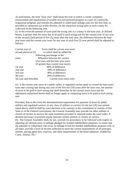As used herein, the term "base year" shall mean the year in which a county completes reassessment and equalization of taxable real and personal property as a part of a statewide reappraisal program, and extends the adjusted or rolled back millage rates for the first time, as provided in subsection (a) of this Section, for the respective taxing units in such county for collection in the following year.

(i) in the event the amount of taxes paid the taxing unit in a county in the base year, as defined herein, is greater than the taxes due to be paid to such taxing unit for the current year of any year of the second (2nd) period of five (5) years after the base year, the difference between the base year taxes and the current year taxes for any year of such five (5) year period shall be adjusted as follows:

| Current year of         | Taxes shall be current year taxes    |
|-------------------------|--------------------------------------|
| second period of $(5)$  | to which shall be added the          |
|                         | following percentage of the          |
| years                   | difference between the current       |
|                         | year taxes and the base year taxes   |
|                         | (if greater than current year taxes) |
| 1st year                | 80% of difference                    |
| 2nd year                | 60% of difference                    |
| 3rd year                | 40% of difference                    |
| 4th year                | 20% of difference                    |
| 5th year and thereafter | Current years taxes only.            |

(ii) if the current year taxes of a public utility or regulated carrier equal or exceed the base years taxes due a taxing unit during any year of the first ten (10) years after the base year, the amount of taxes to be paid to such taxing unit shall thereafter be the current years taxes and the adjustment authorized herein shall no longer apply in computing taxes to be paid to such taxing unit.

Provided, that in the event the aforementioned requirement for payment of taxes by public utilities and regulated carriers, or any class of utilities or carriers for the ten (10) year period noted above, shall be held by court decision to be contrary to the constitution or statutes of this State or of the Federal Government, the General Assembly may provide for other utilities or classes of carriers to receive the same treatment provided or required under the court order, if deemed necessary to promote equity between similar utilities or classes of carriers. (b) The General Assembly shall, by law, provide for procedures to be followed with respect to adjusting ad valorem taxes or millage pledged for bonded indebtedness purposes, to assure that the adjusted or rolled-back rate of tax or millage levied for bonded indebtedness purposes will, at all times, provide a level of income sufficient to meet the current requirements of all principal, interest, paying agent fees, reserves, and other requirements of the bond indenture. [Added by Const. Amend. 59.]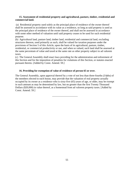#### **15. Assessment of residential property and agricultural, pasture, timber, residential and commercial land.**

 (a) Residential property used solely as the principal place of residence of the owner thereof shall be assessed in accordance with its value as a residence, so long as said property is used as the principal place of residence of the owner thereof, and shall not be assessed in accordance with some other method of valuation until said property ceases to be used for such residential purpose.

(b) Agricultural land, pasture land, timber land, residential and commercial land, excluding structures thereon, used primarily as such, shall be valued for taxation purposes under the provisions of Section 5 of this Article, upon the basis of its agricultural, pasture, timber, residential, or commercial productivity or use, and when so valued, such land shall be assessed at the same percentum of value and taxed at the same rate as other property subject to ad valorem taxes.

(c) The General Assembly shall enact laws providing for the administration and enforement of this Section and for the imposition of penalties for violations of this Section, or statutes enacted pursuant thereto. [Added by Const. Amend. 59.]

## **16. Providing for exemption of value of residence of person 65 or over.**

The General Assembly, upon approval thereof by a vote of not less than three-fourths (*3*/4ths) of the members elected to each house, may provide that the valuation of real property actually occupied by its owner as a residence who is sixty-five (65) years of age, or older, may be exempt in such amount as may be determined by law, but no greater than the first Twenty Thousand Dollars (\$20,000) in value thereof, as a homestead from ad valorem property taxes. [Added by Const. Amend. 59.]

——————————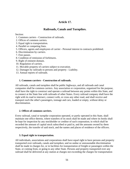# **Article 17.**

# **Railroads, Canals and Turnpikes.**

Section:

- 1. Common carriers Construction of railroads.
- 2. Offices of common carriers.
- 3. Equal right to transportation.
- 4. Parallel or competing lines.
- 5. Officers, agents and employees of carrier Personal interest in contracts prohibited.
- 6. Discrimination by carriers.
- 7. Free passes.
- 8. Condition of remission of forfeitures.
- 9. Right of eminent domain.
- 10. Regulation of carriers.
- 11. Movable property of carriers subject to execution.
- 12. Damages by railroads to persons and property Liability.
- 13. Annual reports of railroads.

## **1. Common carriers - Construction of railroads.**

All railroads, canals and turnpikes shall be public highways, and all railroads and canal companies shall be common carriers. Any association or corporation, organized for the purpose, shall have the right to construct and operate a railroad between any points within this State, and to connect at the State line with railroads of other States. Every railroad company shall have the right with its road to intersect, connect with, or cross any other road, and shall receive and transport each the other's passengers, tonnage and cars, loaded or empty, without delay or discrimination.

#### **2. Offices of common carriers.**

Every railroad, canal or turnpike corporation operated, or partly operated in this State, shall maintain one office therein, where transfers of its stock shall be made and where its books shall be kept for inspection by any stockholder or creditor of such corporation; in which shall be recorded the amount of capital stock subscribed or paid in, and the amounts owned by them respectively, the transfer of said stock, and the names and places of residence of the officers.

#### **3. Equal right to transportation.**

All individuals, associations and corporations shall have equal right to have persons and property transported over railroads, canals and turnpikes; and no undue or unreasonable discrimination shall be made in charges for, or in facilities for transportation of freight or passengers within the State, or coming from, or going to any other State. Persons and property transported over any railroad shall be delivered at any station at charges not exceeding the charges for transportation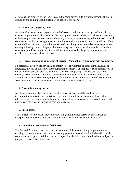of persons and property of the same class, in the same direction, to any more distant station. But excursion and commutation tickets may be issued at special rates.

## **4. Parallel or competing lines.**

No railroad, canal or other corporation, or the lessees, purchasers or managers of any railroad, canal or corporation shall consolidate the stock, property or franchises of such corporation with, or lease, or purchase the works or franchises of, or in any way control any other railroad or canal corporation owning or having under its control a parallel or competing line, nor shall any officer of such railroad or canal corporation act as an officer of any other railroad or canal corporation owning or having control of a parallel or competing line; and the question whether railroads or canals are parallel or competing lines shall, when demanded by the party complainant, be decided by a jury as in other civil issues.

## **5. Officers, agents and employees of carrier - Personal interest in contracts prohibited.**

No president, director, officer, agent or employee of any railroad or canal company, shall be interested, directly or indirectly, in the furnishing of material or supplies to such company, or in the business of transportation as a common carrier of freight or passengers over the works owned, leased, controlled or worked by such company. Nor in any arrangement which shall afford more advantageous terms, or greater facilities than are offered or accorded to the public. And all contracts and arrangements in violation of this section shall be void.

## **6. Discrimination by carriers.**

No discrimination in charges, or facilities for transportation, shall be made between transportation companies and individuals, or in favor of either by abatement, drawback or otherwise; and no railroad or canal company, or any lessee, manager or employee thereof shall make any preferences in furnishing cars or motive power.

## **7. Free passes.**

The General Assembly shall prevent by law the granting of free passes by any railroad or transportation company to any officer of this State, legislative, executive or judicial.

## **8. Condition of remission of forfeitures.**

The General Assembly shall not remit the forfeiture of the charter of any corporation now existing, or alter or amend the same, or pass any general or special law for the benefit of such corporation, except on condition that such corporation shall thereafter hold its charter subject to the provisions of this Constitution.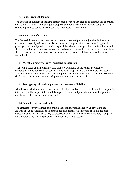### **9. Right of eminent domain.**

The exercise of the right of eminent domain shall never be abridged or so construed as to prevent the General Assembly from taking the property and franchises of incorporated companies, and subjecting them to public - use the same as the property of individuals.

## **10. Regulation of carriers.**

The General Assembly shall pass laws to correct abuses and prevent unjust discrimination and excessive charges by railroads, canals and turn-pike companies for transporting freight and passengers, and shall provide for enforcing such laws by adequate penalties and forfeitures, and shall provide for the creation of such offices and commissions and vest in them such authority as shall be necessary to carry into effect the powers hereby conferred. [As amended by Const. Amend. 2.]

## **11. Movable property of carriers subject to execution.**

That rolling stock and all other movable property belonging to any railroad company or corporation in this State shall be considered personal property, and shall be liable to execution and sale, in the same manner as the personal property of individuals, and the General Assembly shall pass no law exempting any such property from execution and sale.

## **12. Damages by railroads to persons and property - Liability.**

All railroads, which are now, or may be hereafter built, and operated either in whole or in part, in this State, shall be responsible for all damages to persons and property, under such regulations as may be prescribed by the General Assembly.

## **13. Annual reports of railroads.**

The directors of every railroad corporation shall annually make a report under oath to the Auditor of Public Accounts, of all of their acts and doings, which reports shall include such matters relating to railroads as may be prescribed by law, and the General Assembly shall pass laws enforcing, by suitable penalties, the provisions of this section.

——————————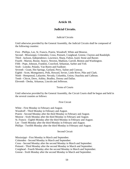# **Article 18.**

## **Judicial Circuits.**

#### Judicial Circuits

Until otherwise provided by the General Assembly, the Judicial Circuits shall be composed of the following counties:

First - Phillips, Lee, St. Francis, Prairie, Woodruff, White and Monroe. Second - Mississippi, Crittenden, Cross, Poinsett, Craighead, Greene, Clayton and Randolph. Third - Jackson, Independence, Lawrence, Sharp, Fulton, Izard, Stone and Baxter. Fourth - Marion, Boone, Searcy, Newton, Madison, Carroll, Benton and Washington. Fifth - Pope, Johnson, Franklin, Crawford, Sebastian, Sarber and Yell. Sixth - Lonoke, Pulaski, Van Buren and Faulkner. Seventh - Grant, Hot Springs, Garland, Perry, Saline and Conway. Eighth - Scott, Montgomery, Polk, Howard, Sevier, Little River, Pike and Clark. Ninth - Hempstead, Lafayette, Nevada, Columbia, Union, Ouachita and Calhoun. Tenth - Chicot, Drew, Ashley, Bradley, Dorsey and Dallas. Eleventh - Desha, Arkansas, Lincoln and Jefferson.

#### Terms of Courts

Until otherwise provided by the General Assembly, the Circuit Courts shall be begun and held in the several counties as follows:

#### First Circuit

White - First Monday in February and August. Woodruff - Third Monday in February and August. Prairie - Second Monday after the third Monday in February and August. Monroe - Sixth Monday after the third Monday in February and August. St. Francis - Eighth Monday after the third Monday in February and August. Lee - Tenth Monday after the third Monday in February and August. Phillips - Twelfth Monday after the third Monday in February and August.

#### Second Circuit

Mississippi - First Monday in March and September. Crittenden - Second Monday in March and September. Cross - Second Monday after the second Monday in March and September. Poinsett - Third Monday after the second Monday in March and September. Craighead - Fourth Monday after the second Monday in March and September. Greene - Sixth Monday after the second Monday in March and September.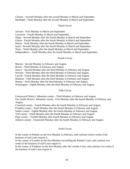Clayton - Seventh Monday after the second Monday in March and September. Randolph - Ninth Monday after the second Monday in March and September.

#### Third Circuit

Jackson - First Monday in March and September. Lawrence - Fourth Monday in March and September. Sharp - Second Monday after the fourth Monday in March and September. Fulton - Fourth Monday after the fourth Monday in March and September. Baxter - Sixth Monday after the fourth Monday in March and September. Izard - Seventh Monday after the fourth Monday in March and September. Stone - Ninth Monday after the fourth Monday in March and September. Independence - Tenth Monday after the fourth Monday in March and September.

#### Fourth Circuit

Marion - Second Monday in February and August.

Boone - Third Monday in February and August.

Searcy - Second Monday after the third Monday in February and August.

Newton - Third Monday after the third Monday in February and August.

Carroll - Fourth Monday after the third Monday in February and August.

Madison - Fifth Monday after the third Monday in February and August.

Benton - Sixth Monday after the third Monday in February and August.

Washington - Eighth Monday after the third Monday in February and August.

#### Fifth Circuit

Greenwood District, Sebastian county - Third Monday in February and August.

Fort Smith District, Sebastian county - First Monday after the fourth Monday in February and August.

Crawford county - Fourth Monday after the fourth Monday in February and August.

Franklin county - Sixth Monday after the fourth Monday in February and August.

Sarber county - Eighth Monday after the fourth Monday in February and August.

Yell county - Tenth Monday after the fourth Monday in February and August.

Pope county - Twelfth Monday after fourth Monday in February and August.

Johnson county - Fourteenth Monday after the fourth Monday in February and August.

## Sixth Circuit

In the county of Pulaski on the first Monday in February, and continue twelve weeks if the business of said court require it.

In the county of Lonoke on the first Monday succeeding the Pulaski Court, and continue two weeks if the business of said Court require it.

In the county of Faulkner on the first Monday after the Lonoke Court, and continue two weeks if the business of said Court require it.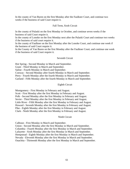In the county of Van Buren on the first Monday after the Faulkner Court, and continue two weeks if the business of said Court require it.

### Fall Term, Sixth Circuit

In the county of Pulaski on the first Monday in October, and continue seven weeks if the business of said Court require it.

In the county of Lonoke on the first Monday next after the Pulaski Court and continue two weeks if the business of said court require it.

In the county of Faulkner on the first Monday after the Lonoke Court, and continue one week if the business of said Court require it.

In the County of Van Buren on the first Monday after the Faulkner Court, and continue one week if the business of said Court require it.

#### Seventh Circuit

Hot Spring - Second Monday in March and September.

Grant - Third Monday in March and September.

Saline - Fourth Monday in March and September.

Conway - Second Monday after fourth Monday in March and September.

Perry - Fourth Monday after the fourth Monday in March and September.

Garland - Fifth Monday after the fourth Monday in March and September.

#### Eighth Circuit

Montgomery - First Monday in February and August.

Scott - First Monday after the first Monday in February and August. Polk - Second Monday after the first Monday in February and August. Sevier - Third Monday after the first Monday in February and August. Little River - Fifth Monday after the first Monday in February and August. Howard - Seventh Monday after the first Monday in February and August. Pike - Eighth Monday after the first Monday in February and August. Clark - Ninth Monday after the first Monday in February and August.

#### Ninth Circuit

Calhoun - First Monday in March and September.

Union - Second Monday after the first Monday in March and September. Columbia - Fourth Monday after the first Monday in March and September. Lafayette - Sixth Monday after the first Monday in March and September. Hempstead - Eighth Monday after the first Monday in March and September. Nevada - Eleventh Monday after the first Monday in March and September. Ouachita - Thirteenth Monday after the first Monday in March and September.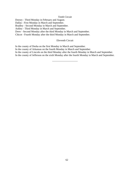#### Tenth Circuit

Dorsey - Third Monday in February and August. Dallas - First Monday in March and September. Bradley - Second Monday in March and September.

Ashley - Third Monday in March and September.

Drew - Second Monday after the third Monday in March and September.

Chicot - Fourth Monday after the third Monday in March and September.

#### Eleventh Circuit

In the county of Desha on the first Monday in March and September.

In the county of Arkansas on the fourth Monday in March and September.

In the county of Lincoln on the third Monday after the fourth Monday in March and September. In the county of Jefferson on the sixth Monday after the fourth Monday in March and September.

——————————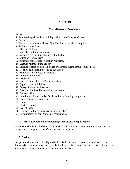# **Article 19.**

# **Miscellaneous Provisions.**

Section:

- 1. Atheists disqualified from holding office or testifying as witness.
- 2. Dueling.
- 3. Elected or appointed officers Qualifications of an elector required.
- 4. Residence of officers.
- 5. Officers Holding over.
- 6. Dual office holding prohibited.
- 7. Residence Temporary absence not to forfeit.
- 8. Deduction from salaries.
- 9. Permanent state offices Creation restricted.
- 10. Election returns State officers.
- 11. Salaries of state officers Increase or decrease during term prohibited Fees.
- 12. Receipts and expenditures to be published.
- 13. Maximum lawful rates of interest.
- 14. Lotteries prohibited.
- 15. [Repealed.]
- 16. Contracts for public buildings or bridges.
- 17. Digest of laws Publication.
- 18. Safety of miners and travelers.
- 19. Deaf and dumb and blind and insane persons.
- 20. Oath of office.
- 21. Sureties on official bonds Qualifications Bonding companies.
- 22. Constitutional amendments.
- 23. [Repealed.]
- 24. Election contests.
- 25. Seal of state.
- 26. Officers eligible to executive or judicial office.
- 27. Local improvements Municipal assessments.

## **1. Atheists disqualified from holding office or testifying as witness.**

No person who denies the being of a God shall hold any office in the civil departments of this State, nor be competent to testify as a witness in any Court.

## **2. Dueling.**

No person who may hereafter fight a duel, assist in the same as second, or send, accept, or knowingly carry a challenge therefor, shall hold any office in the State, for a period of ten years; and may be otherwise punished as the law may prescribe.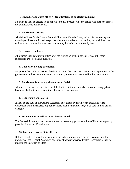### **3. Elected or appointed officers - Qualifications of an elector required.**

No persons shall be elected to, or appointed to fill a vacancy in, any office who does not possess the qualifications of an elector.

#### **4. Residence of officers.**

All civil officers for the State at large shall reside within the State, and all district, county and township officers within their respective districts, counties and townships, and shall keep their offices at such places therein as are now, or may hereafter be required by law.

#### **5. Officers - Holding over.**

All officers shall continue in office after the expiration of their official terms, until their successors are elected and qualified.

#### **6. Dual office holding prohibited.**

No person shall hold or perform the duties of more than one office in the same department of the government at the same time, except as expressly directed or permitted by this Constitution.

#### **7. Residence - Temporary absence not to forfeit.**

Absence on business of the State, or of the United States, or on a visit, or on necessary private business, shall not cause a forfeiture of residence once obtained.

## **8. Deduction from salaries.**

It shall be the duty of the General Assembly to regulate, by law in what cases, and what, deductions from the salaries of public officers shall be made for neglect of duty in their official capacity.

#### **9. Permanent state offices - Creation restricted.**

The General Assembly shall have no power to create any permanent State Office, not expressly provided for by this Constitution.

#### **10. Election returns - State officers.**

Returns for all elections, for officers who are to be commissioned by the Governor, and for members of the General Assembly, except as otherwise provided by this Constitution, shall be made to the Secretary of State.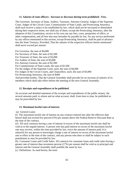#### **11. Salaries of state officers - Increase or decrease during term prohibited - Fees.**

The Governor, Secretary of State, Auditor, Treasurer, Attorney-General, Judges of the Supreme Court, Judges of the Circuit Court, Commissioner of State Lands, and Prosecuting Attorneys, shall each receive a salary to be established by law, which shall not be increased or diminished during their respective terms, nor shall any of them, except the Prosecuting Attorneys, after the adoption of this Constitution, receive to his own use any fees, costs, perquisites of office, or other compensation; and all fees that may hereafter by payable by law, for any service performed by any officer mentioned in this section, except Prosecuting Attorneys, shall be paid in advance into the State Treasury; Provided, That the salaries of the respective officers herein mentioned shall never exceed per annum:

For Governor, the sum of \$4,000 For Secretary of State, the sum of \$2,500 For Treasurer of State, the sum of \$3,000 For Auditor of State, the sum of \$3,000 For Attorney-General, the sum of \$2,500 For Commissioner of State Lands, the sum of \$2,500 For the Judges of the Supreme Court, each, the sum of \$4,000 For Judges of the Circuit Courts, and Chancellors, each, the sum of \$3,000 For Prosecuting Attorneys, the sum of \$400 And provided further, That the General Assembly shall provide for no increase of salaries of its members which shall take effect before the meeting of the next General Assembly.

## **12. Receipts and expenditures to be published.**

An accurate and detailed statement of the receipts and expenditures of the public money, the several amounts paid, to whom and on what account, shall, from time to time, be published as may be prescribed by law.

## **13. Maximum lawful rates of interest.**

(a) General Loans:

(i) The maximum lawful rate of interest on any contract entered into after the effective date hereof shall not exceed five percent (5%) per annum above the Federal Reserve Discount Rate at the time of the contract.

(ii) All such contracts having a rate of interest in excess of the maximum lawful rate shall be void as to the unpaid interest. A person who has paid interest in excess of the maximum lawful rate may recover, within the time provided by law, twice the amount of interest paid. It is unlawful for any person to knowingly charge a rate of interest in excess of the maximum lawful rate in effect at the time of the contract, and any person who does so shall be subject to such punishment as may be provided by law.

(b) Consumer Loans and Credit Sales: All contracts for consumer loans and credit sales having a greater rate of interest than seventeen percent (17%) per annum shall be void as to principal and interest and the General Assembly shall prohibit the same by law.

(c) Definitions: As used herein, the term: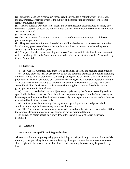(i) "consumer loans and credit sales" means credit extended to a natural person in which the money, property, or service which is the subject of the transaction is primarily for personal, family or household purposes.

(ii) "Federal Reserve Discount Rate" means the Federal Reserve discount Rate on ninety-day commercial paper in effect in the Federal Reserve Bank in the Federal Reserve District in which Arkansas is located.

(d) Miscellaneous:

(i) The rate of interest for contracts in which no rate of interest is agreed upon shall be six percent (6%) per annum.

(ii) The provisions hereof are not intended and shall not be deemed to supersede or otherwise invalidate any provisions of federal law applicable to loans or interest rates including loans secured by residential real property.

(iii) The provisions hereof revoke all provisions of State law which establish the maximum rate of interest chargeable in the State or which are otherwise inconsistent herewith. [As amended by Const. Amend. 60.]

#### **14. Lotteries .**

(a) The General Assembly may enact laws to establish, operate, and regulate State lotteries.

 (b) Lottery proceeds shall be used solely to pay the operating expenses of lotteries, including all prizes, and to fund or provide for scholarships and grants to citizens of this State enrolled in public and private non-profit two-year and four-year colleges and universities located within the State that are certified according to criteria established by the General Assembly. The General Assembly shall establish criteria to determine who is eligible to receive the scholarships and grants pursuant to this Amendment.

 (c) Lottery proceeds shall not be subject to appropriation by the General Assembly and are specifically declared to be cash funds held in trust separate and apart from the State treasury to be managed and maintained by the General Assembly or an agency or department of the State as determined by the General Assembly.

 (d) Lottery proceeds remaining after payment of operating expenses and prizes shall supplement, not supplant, non-lottery educational resources.

 (e) This Amendment does not repeal, supersede, amend or otherwise affect Amendment 84 to the Arkansas Constitution or games of bingo and raffles permitted therein.

 (f) Except as herein specifically provided, lotteries and the sale of lottery tickets are prohibited.

#### **15. [Repealed.]**

#### **16. Contracts for public buildings or bridges.**

All contracts for erecting or repairing public buildings or bridges in any county, or for materials therefor; or for providing for the care and keeping of paupers, where there are no alms-houses, shall be given to the lowest responsible bidder, under such regulations as may be provided by law.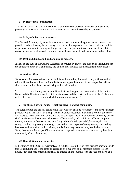#### **17. Digest of laws - Publication.**

The laws of this State, civil and criminal, shall be revised, digested, arranged, published and promulgated at such times and in such manner as the General Assembly may direct.

### **18. Safety of miners and travelers.**

The General Assembly, by suitable enactments, shall require such appliances and means to be provided and used as may be necessary to secure, as far as possible, the lives, health and safety of persons employed in mining, and of persons traveling upon railroads, and by other public conveyances, and shall provide for enforcing such enactments by adequate pains and penalties.

## **19. Deaf and dumb and blind and insane persons.**

It shall be the duty of the General Assembly to provide by law for the support of institutions for the education of the deaf and dumb, and of the blind; and also for the treatment of the insane.

## **20. Oath of office.**

Senators and Representatives, and all judicial and executive, State and county officers, and all other officers, both civil and military, before entering on the duties of their respective offices, shall take and subscribe to the following oath of affirmation:

"I, \_\_\_\_\_\_\_\_, do solemnly swear (or affirm) that I will support the Constitution of the United States and the Constitution of the State of Arkansas, and that I will faithfully discharge the duties of the office of \_\_\_\_\_\_\_\_, upon which I am now about to enter."

## **21. Sureties on official bonds - Qualifications - Bonding companies.**

The sureties upon the official bonds of all State Officers shall be residents of, and have sufficient property within the State, not exempt from sale under execution, attachment or other process of any court, to make good their bonds and the sureties upon the official bonds of all county officers shall reside within the counties where such officers reside, and shall have sufficient property therein, not exempt from such sale, to make good their bonds; provided, however, that any surety, bonding or guaranty company, organized for the purpose of doing a surety, or bonding business, and authorized to do business, in this State, may become surety on the bonds of all State, County and Municipal Officers under such regulations as may be prescribed by law. [As amended by Const. Amend. 4.]

## **22. Constitutional amendments.**

Either branch of the General Assembly, at a regular session thereof, may propose amendments to this Constitution; and if the same be agreed to by a majority of all members elected to each house, such proposed amendments shall be entered on the journals with the yeas and nays, and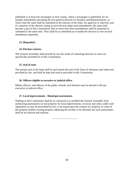published in at least one newspaper in each county, where a newspaper is published, for six months immediately preceding the next general election for Senators and Representatives, at which time the same shall be submitted to the electors of the State, for approval or rejection; and if a majority of the electors voting at such election adopt such amendments, the same shall become a part of this Constitution. But no more than three amendments shall be proposed or submitted at the same time. They shall be so submitted as to enable the electors to vote on each amendment separately.

## **23. [Repealed.]**

## **24. Election contests.**

The General Assembly shall provide by law the mode of contesting elections in cases not specifically provided for in this Constitution.

## **25. Seal of state.**

The present seal of the State shall be and remain the seal of the State of Arkansas until otherwise provided by law, and shall be kept and used as provided in this Constitution.

## **26. Officers eligible to executive or judicial office.**

Militia officers, and officers of the public schools, and Notaries may be elected to fill any executive or judicial office.

# **27. Local improvements - Municipal assessments.**

Nothing in this Constitution shall be so construed as to prohibit the General Assembly from authorizing assessments on real property for local improvements, in towns and cities, under such regulations as may be prescribed by law; to be based upon the consent of a majority in value of the property-holders owning property adjoining the locality to be affected; but such assessments shall be ad valorem and uniform.

————————————————————

68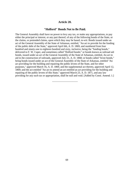## **Article 20.**

#### **"Holford" Bonds Not to Be Paid.**

The General Assembly shall have no power to levy any tax, or make any appropriations, to pay either the principal or interest, or any part thereof, of any of the following bonds of the State, or the claims, or pretended claims, upon which they may be based, to-wit: Bonds issued under an act of the General Assembly of the State of Arkansas, entitled, "An act to provide for the funding of the public debt of the State," approved April 6th, A. D. 1869, and numbered from four hundred and ninety-one to eighteen hundred and sixty, inclusive, being the "funding bonds," delivered to F. W. Caper, and sometimes called "Holford bonds;" or bonds known as railroad aid bonds, issued under an act of the General Assembly of the State of Arkansas, entitled, An act to aid in the construction of railroads, approved July 21, A. D. 1868; or bonds called "levee bonds," being bonds issued under an act of the General Assembly of the State of Arkansas, entitled "An act providing for the building and repairing the public levees of the State, and for other purposes," approved March 16, A. D. 1869, and the supplemental act thereto, approved April 12, 1869; and the act entitled "An act to amend an act entitled an act providing for the building and repairing of the public levees of this State," approved March 23, A. D. 1871, and any law providing for any such tax or appropriation, shall be null and void. [Added by Const. Amend. 1.]

——————————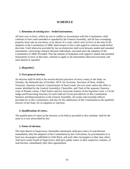# **SCHEDULE**

#### **1. Retention of existing laws - Sealed instruments.**

All laws now in force, which are not in conflict or inconsistent with this Constitution, shall continue in force until amended or repealed by the General Assembly, and all laws exempting property from sale on execution, or by decree of a court, which were in force at the time of the adoption of the Constitution of 1868, shall remain in force with regard to contracts made before that time. Until otherwise provided by law no distinction shall exist between sealed and unsealed instruments, concerning contracts between individuals, executed since the adoption of the Constitution of 1868; Provided: That the statutes of limitation with regard to sealed and unsealed instruments in force at that time, continue to apply to all instruments afterward executed, and until altered or repealed.

## **2. [Repealed.]**

## **3. First general election.**

An election shall be held at the several election precincts of every county in the State, on Tuesday, the thirteenth day of October, 1874, for Governor, Secretary of State, Auditor, Treasurer, Attorney-General, Commissioner of State Lands, (for two years unless the office is sooner abolished by the General Assembly), Chancellor, and Clerk of the separate Chancery court of Pulaski county, Chief Justice and two Associate Justices of the Supreme Court, a Circuit Judge and Prosecuting Attorney for each Judicial Circuit provided for in this Constitution; Senators and Representatives to the General Assembly, all county and township officers provided for in this Constitution; and also for the submission of this Constitution to the qualified electors of the State, for its adoption or rejection.

#### **4. Qualifications of voters.**

The qualification of voters at the election, to be held as provided in this schedule, shall be the same as is now prescribed by law.

## **5. Notice of election.**

The State Board of Supervisors, hereinafter mentioned, shall give notice of said election immediately after the adoption of this Constitution by this Convention, by proclamation in at least two newspapers published at Little Rock, and such other newspapers as they may select. And each county board of Supervisors, shall give public notice in their respective counties, of said election, immediately after their appointment.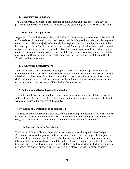#### **6. Governor's proclamation.**

The Governor shall also issue a proclamation enjoining upon all peace officers the duty of preserving good order on the day of said election, and preventing any disturbance of the same.

## **7. State board of supervisors.**

Augustus H. Garland, Gordon N. Peay and Dudley E. Jones are hereby constituted a State Board of Supervisors of said election, who shall take an oath faithfully and impartially to discharge the duties of their office; a majority of whom shall be a quorum, and who shall perform the duties herein assigned them. Should a vacancy occur in said Board, by refusal to serve, death, removal, resignation, or otherwise; or if any member should become incapacitated from performing said duties, the remaining members of the Board shall fill the vacancy by appointment. But if all the places on said Board become vacant at the same time, the said vacancies shall be filled by the President of this Convention.

## **8. County board of supervisors.**

Said State Board shall at once proceed to appoint a Board of Election Supervisors for each County of this State, consisting of three men of known intelligence and uprightness of character, who shall take the same oath as above provided for the State Board. A majority of each Board shall constitute a quorum, and shall perform the duties herein assigned to them; and vacancies occurring in the County Boards shall be filled by the State Board.

## **9. Poll books and ballot boxes - First election.**

The State Board shall provide the form of poll books and each County Board shall furnish the Judges of each election precinct with three copies of the poll books in the form prescribed, and with ballot-boxes at the expense of the county.

## **10. Copies of Constitution to be distributed.**

The State Board of Supervisors shall cause to be furnished in pamphlet form a sufficient number of copies of this Constitution to supply each County Supervisor and Judge of Election with a copy, and shall forward the same to the County Election Boards for distribution.

## **11. Judges and clerks of first election.**

The Boards of County Election Supervisors shall at once proceed to appoint three Judges of Election for each election precinct in their respective counties; and the Judges shall appoint three Election Clerks for their respective precincts, all of whom shall be good, competent men, and take an oath as prescribed above. Should the Judges of any election precinct fail to attend at the time and place provided by law, or decline to act, the assembled electors shall choose competent persons, in the manner provided by law, to act in their place, who shall be sworn as above.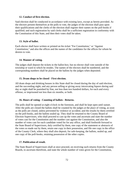#### **12. Conduct of first election.**

Said election shall be conducted in accordance with existing laws, except as herein provided. As the electors present themselves at the polls to vote, the judges of the election shall pass upon their qualifications and the clerks of the election shall register their names on the poll-books if qualified; and such registration by said clerks shall be a sufficient registration in conformity with the Constitution of this State, and then their votes shall be taken.

## **13. Style of ballot.**

Each elector shall have written or printed on his ticket "For Constitution," or "Against Constitution," and also the offices and the names of the candidates for the offices for whom he desires to vote.

## **14. Manner of voting.**

The judges shall deposit the tickets in the ballot-box; but no elector shall vote outside of the township or ward in which he resides. The names of the electors shall be numbered, and the corresponding numbers shall be placed on the ballots by the judges when deposited.

#### **15. Dram shops to be closed - First election.**

All dram shops and drinking houses in this State shall be closed during the day of said election, and the succeeding night; and any person selling or giving away intoxicating liquors during said day or night shall be punished by fine, not less than two hundred dollars, for each and every offense, or imprisoned not less than six months, or both.

## **16. Hours of voting - Counting of ballots - Returns.**

The polls shall be opened at eight o'clock in the forenoon, and shall be kept open until sunset. After the polls are closed the ballots shall be counted by the judges at the place of voting, as soon as the polls are closed, unless prevented by violence or accident; and the results by them certified on the poll-books, and the ballots sealed up. They shall be returned to the County Board of Election Supervisors, who shall proceed to cast up the votes and ascertain and state the number of votes cast for the Constitution and the number cast against the Constitution, and also the number of votes cast for each candidate voted for for any office, and shall forthwith forward to the State Board of Supervisors, duly certified by them, one copy of the statement or abstracts of the votes so made out by them, retain one copy in their possession, and file one copy in the office of the County Clerk, where they shall also deposit, for safe-keeping, the ballots, sealed up, and one copy of the poll-books, retaining possession of the other copies.

#### **17. Publication of result.**

The State Board of Supervisors shall at once proceed, on receiving such returns from the County Boards, to ascertain therefrom, and state the whole number of votes given for the Constitution,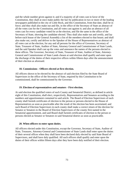and the whole number given against it; and if a majority of all votes cast in favor of the Constitution, they shall at once make public the fact by publication in two or more of the leading newspapers published in the city of Little Rock, and this Constitution, from that date, shall be in force; and they shall also make out and file, in the office of the Secretary of State an abstract of all the votes cast for the Constitution, and all votes cast against it; and also an abstract of all votes cast for every candidate voted for at the election, and file the same in the office of the Secretary of State, showing the candidate elected. They shall also make out and certify, and lay before each house of the General Assembly a list of the members elected to that house; and shall also make out, certify and deliver to the Speaker of the House of Representatives an abstract of all votes cast at the election, for any and all persons for the office of Governor, Secretary of State, Treasurer of State, Auditor of State, Attorney General and Commissioner of State Lands, and the said Speaker shall cast up the votes and announce the names of the persons elected to these offices. The Governor, Secretary of State, Treasurer of State, Auditor of State, Attorney-General and Commissioner of State Lands chosen at said election shall qualify and enter upon the discharge of the duties of their respective offices within fifteen days after the announcement of their election as aforesaid.

#### **18. Commissions - Officers elected at first election.**

All officers shown to be elected by the abstract of said election filed by the State Board of Supervisors in the office of the Secretary of State, required by this Constitution to be commissioned, shall be commissioned by the Governor.

#### **19. Election of representatives and senators - First election.**

At said election the qualified voters of each County and Senatorial District, as defined in article eight of this Constitution, shall elect, respectively, Representatives and Senators according to the numbers and apportionment contained in said article. The Board of Election Supervisors of each county shall furnish certificates of election to the person or persons elected to the House of Representatives as soon as practicable after the result of the election has been ascertained; and such Board of Election Supervisors in each county shall make a correct return of the election for Senator or Senators to the Board of Election Supervisors of the county first named in the Senatorial apportionment, and said Board shall furnish certificates of election to the person or persons elected as Senator or Senators in said Senatorial district as soon as practicable.

#### **20. When officers to enter upon duties.**

All officers elected under this Constitution, except the Governor, Secretary of State, Auditor of State, Treasurer, Attorney-General and Commissioner of State Lands shall enter upon the duties of their several offices when they shall have been declared duly elected by said State Board of Supervisors, and shall have duly qualified. All such officers shall qualify and enter upon the duties of their offices within fifteen days after they have been duly notified of their election.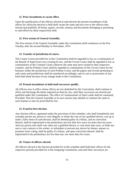#### **21. Prior incumbents to vacate office.**

Upon the qualification of the officers elected at said election the present incumbents of the offices for which the election is held shall vacate the same and turn over to the officers thus elected and qualified, all books, papers, records, moneys and documents belonging or pertaining to said offices by them respectively held.

#### **22. First session of General Assembly.**

The first session of the General Assembly under this constitution shall commence on the first Tuesday after the second Monday in November, 1874.

## **23. Transfer of jurisdiction of courts.**

The County Courts provided for in this Constitution shall be regarded in law as a continuation of the Boards of Supervisors now existing by law, and the Circuit Courts shall be regarded in law as continuations of the Criminal Courts wherever the same may have existed in their respective counties: and the Probate Courts shall be regarded as continuations of the Circuit Courts for the business within the jurisdiction of such Probate Courts, and the papers and records pertaining to said courts and jurisdictions shall be transferred accordingly; and no suit or prosecution of any kind shall abate because of any change made in this Constitution.

## **24. Present incumbents to hold until successors qualify.**

All officers now in office whose offices are not abolished by this Convention, shall continue in office and discharge the duties imposed on them by law, until their successors are elected and qualified under this Constitution. The office of Commissioner of State Lands shall be continued; Provided, That the General Assembly at its next session may abolish or continue the same in such manner as may be prescribed by law.

## **25. Fraud in first election.**

Any election officer, appointed under the provisions of this schedule, who shall fraudulently and corruptly permit any person to vote illegally or refuse the vote of any qualified elector, cast up or make a false return of said election, shall be deemed guilty of a felony, and on conviction thereof, shall be imprisoned in the penitentiary not less than five years nor more than ten years. And any person who shall vote when not a qualified elector, or vote more than once, or bribe any one to vote contrary to his wishes, or intimidate or prevent any elector by threats, menace or promises from voting, shall be guilty of a felony, and upon conviction thereof, shall be imprisoned in the penitentiary not less than one, nor more than five years.

## **26. Tenure of officers elected.**

All officers elected at the election provided for in this schedule shall hold their offices for the respective periods provided for in the foregoing Constitution, and until their successors are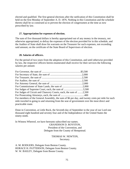elected and qualified. The first general elections after the ratification of this Constitution shall be held on the first Monday of September A. D. 1876. Nothing in this Constitution and the schedule thereto shall be so construed as to prevent the election of congressmen at the time as now prescribed by law.

### **27. Appropriation for expenses of election.**

The sum of five thousand dollars is hereby appropriated out of any money in the treasury, not otherwise appropriated, to defray the expenses of the election provided for in this schedule, and the Auditor of State shall draw his warrants on the Treasurer for such expenses, not exceeding said amount, on the certificate of the State Board of Supervisors of election.

#### **28. Salaries of officers.**

For the period of two years from the adoption of this Constitution, and until otherwise provided by law, the respective officers herein enumerated shall receive for their services the following salaries per annum:

| For Judges of Supreme Court, each, the sum of 3,500                                                                                                     |  |
|---------------------------------------------------------------------------------------------------------------------------------------------------------|--|
| For Judges of Circuit and Chancery Courts, each, the sum of 2,500                                                                                       |  |
|                                                                                                                                                         |  |
| $\Gamma$ and $\Gamma$ and $\Gamma$ and $\Gamma$ and $\Gamma$ and $\Gamma$ and $\Gamma$ and $\Gamma$ and $\Gamma$ and $\Gamma$ and $\Gamma$ and $\Gamma$ |  |

For members of the General Assembly, the sum of \$6 per day, and twenty cents per mile for each mile traveled in going to and returning from the seat of government over the most direct and practicable route.

Done in Convention, at Little Rock, the Seventh day of September in the year of our Lord one thousand eight hundred and seventy four and of the Independence of the United States the ninety-ninth.

In Witness Whereof, we have hereunto subscribed our names.

GRANDISON D. ROYSTON, President of the Convention, and Delegate from the County of Hempstead.

#### THOMAS W. NEWTON, Secretary.

A. M. RODGERS, Delegate from Benton County. HORACE H. PATTERSON, Delegate from Benton County. W. W. BAILEY, Delegate from Boone County.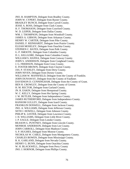JNO. R. HAMPTON, Delegate from Bradley County. JOHN W. CYPERT, Delegate from Baxter County. BRADLEY BUNCH, Delegate from Carroll County. JESSE A. ROSS, Delegate from Clark County. H. F. THOMASON, Delegate from Crawford County. W. D. LEIPER, Delegate from Dallas County. WM. J. THOMPSON, Delegate from Woodruff County. JAMES A. GIBSON, Delegate from Arkansas County. HENRY W. CARTER, Delegate from Pike County. DANIEL F. REINHARDT, Delegate from Prairie County. ELIJAH MOSELEY, Delegate from Ouachita County. STEPHEN C. BATES, Delegate from Polk County. G. P. SMOOTE, Delegate from Columbia County. D. L. KILLGORE, Delegate from Columbia County. WILLIAM S. HANNA, Delegate from Conway County. JOHN S. ANDERSON, Delegate from Craighead County. J. G. FRIERSON, Delegate from Cross County. E. FOSTER BROWN, Delegate from Clayton County. JAS. P. STANLEY, Delegate from Drew County. JOHN NIVEN, Delegate from Dorsey County. WILLIAM W. MANSFIELD, Delegate from the County of Franklin. JOHN DUNAWAY, Delegate from the County of Faulkner. DAVIDSON D. CUNNINGHAM, Delegate from the County of Grant. BEN H. CROWLEY, Delegate from the County of Greene. H. M. RECTOR, Delegate from Garland County. JN. R. EAKIN, Delegate from Hempstead County. W. C. KELLY, Delegate from Hot Spring County. J. W. BUTLER, Delegate from Independence County. JAMES RUTHERFORD, Delegate from Independence County. RANSOM GULLEY, Delegate from Izard County. FRANKLIN DOSWELL, Delegate from Jackson County. JNO. A. WILLIAMS, Delegate from Jefferson County. SETH J. HOWELL, Delegate from Johnson County. PHILIP K. LESTER, Delegate from Lawrence County. J. H. WILLIAMS, Delegate from Little River County. J. P. EAGLE, Delegate from Lonoke County. REASON G. PUNTNEY, Delegate from Lincoln County. MONROE ANDERSON, Delegate from Lee County. JOHN CARROLL, Delegate from Madison County. S. P. HUGHES, Delegate from Monroe County. NICHOLAS W. CABLE, Delegate from Montgomery County. CHARLES BOWEN, Delegate from Mississippi County. R. K. GARLAND, Delegate from Nevada County. HENRY G. BUNN, Delegate from Ouachita County W. H. BLACKWELL, Delegate from Perry County JNO. J. HORNOR, Delegate from Phillips County.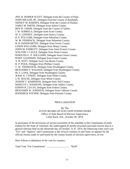JNO. R. HOMER SCOTT, Delegate from the County of Pope. JOHN MILLER, JR., Delegate from the County of Randolph. SIDNEY M. BARNES, Delegate from the County of Pulaski. JABEZ M. SMITH, Delegate from Saline County. BEN B. CHISM, Delegate from the County of Sarber. J. W. SORRELS, Delegate from Scott County. W. S. LINDSEY, Delegate from Searcy County. R. P. PULLIAM, Delegate from Sebastian County. W. M. FISHBACK, Delegate from Sebastian County. B. H. KINSWORTHY, Delegate from Sevier County. LEWIS WILLIAMS, Delegate from Sharp County. JOHN M. PARROTT, Delegate from Saint Francis County. WALTER J. CAGLE, Delegate from Stone County. HORATIO G. P. WILLIAMS, Delegate from Union County. ROBT. GOODWIN, Delegate from Union County. A. R. WITT, Delegate from Van Buren County. R. P. POLK, Delegate from Phillips County. T. W. THOMASON, Delegate from Washington County. BENJAMIN F. WALKER, Delegate from Washington County. M. F. LAKE, Delegate from Washington County. JESSE N. CYPERT, Delegate from White County. J. W. HOUSE, Delegate from White County. JOSEPH T. HARRISON, Delegate from Yell County. MARCUS L. HAWKINS, Delegate from Ashley County. EDWIN R. LUCAS, Delegate from Fulton County. BENJAMIN W. JOHNSON, Delegate from Calhoun County. RODERICK JOYNER, Delegate from Poinsett County.

## PROCLAMATION

By The

STATE BOARD OF ELECTION SUPERVISORS Office of State Board of Election Supervisors, Little Rock, Ark., October 30, 1874.

In pursuance of the provisions of section seventeen of the schedule to the Constitution recently framed for the State of Arkansas, the undersigned do hereby proclaim and make known that at a general election held on the thirteenth day of October, A. D. 1874, the following votes were cast "For" and "Against" said Constitution in the several counties of said State, as appears by the official returns made to said board by the county boards of election supervisors, to-wit:

Here follows a tabulation of the vote by counties.

Total Vote "For Constitution" .................................... 78,697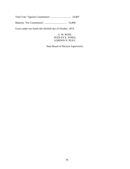Total Vote "Against Constitution" ................................ 24,807

Majority "For Constitution" .................................... 53,890

Given under our hands this thirtieth day of October, 1874.

U. M. ROSE, DUDLEY E. JONES, GORDON N. PEAY,

State Board of Election Supervisors.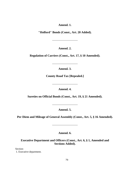**Amend. 1.** 

**"Holford" Bonds (Const., Art. 20 Added).** 

——————————

**Amend. 2.** 

**Regulation of Carriers (Const., Art. 17, § 10 Amended).** 

**Amend. 3.** 

——————————

**County Road Tax [Repealed.]** 

**Amend. 4.** 

——————————

**Sureties on Official Bonds (Const., Art. 19, § 21 Amended).** 

**Amend. 5.** 

**Per Diem and Mileage of General Assembly (Const., Art. 5, § 16 Amended).** 

**Amend. 6.** 

——————————

**Executive Department and Officers (Const., Art. 6, § 1, Amended and Sections Added).** 

Section:

1. Executive department.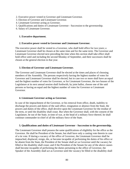2. Executive power vested in Governor and Lieutenant Governor.

3. Election of Governor and Lieutenant Governor.

- 4. Lieutenant Governor acting as Governor.
- 5. Qualifications and duties of Lieutenant Governor Succession to the governorship.
- 6. Salary of Lieutenant Governor.

#### **1. Executive department.**

#### **2. Executive power vested in Governor and Lieutenant Governor.**

The executive power shall be vested in a Governor, who shall hold office for two years; a Lieutenant Governor shall be chosen at the same time and for the same term. The Governor and Lieutenant Governor elected next preceding the time when this section shall take effect shall hold office until and including the second Monday of September, and their successors shall be chosen at the general election in that year.

#### **3. Election of Governor and Lieutenant Governor.**

The Governor and Lieutenant Governor shall be elected at the times and places of choosing members of the Assembly. The persons respectively having the highest number of votes for Governor and Lieutenant Governor shall be elected, but in case two or more shall have an equal and the highest number of votes for Governor, or for Lieutenant Governor, the two houses of the Legislature at its next annual session shall forthwith, by joint ballot, choose one of the said persons so having an equal and the highest number of votes for Governor or Lieutenant Governor.

#### **4. Lieutenant Governor acting as Governor.**

In case of the impeachment of the Governor, or his removal from office, death, inability to discharge the powers and duties of the said office, resignation or absence from the State, the powers and duties of the office, shall devolve upon the Lieutenant Governor for the residue of the term, or until the disability shall cease. But when the Governor shall, with the consent of the Legislature, be out of the State, in time of war, at the head of a military force thereof, he shall continue commander-in-chief of all the military force of the State.

#### **5. Qualifications and duties of Lieutenant Governor - Succession to the governorship.**

The Lieutenant Governor shall possess the same qualifications of eligibility for the office as the Governor. He shall be President of the Senate, but shall have only a casting vote therein in case of a tie vote. If during a vacancy of the office of Governor, the Lieutenant Governor shall be impeached, displaced, resign, die, or become incapable of performing the duties of his office or be absent from the State, the President of the Senate shall act as Governor until the vacancy be filled or the disability shall cease; and if the President of the Senate for any of the above causes shall become incapable of performing the duties pertaining to the office of Governor, the Speaker of the Assembly shall act as Governor until the vacancy be filled or the disability shall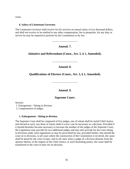cease.

#### **6. Salary of Lieutenant Governor.**

The Lieutenant Governor shall receive for his services an annual salary of two thousand dollars, and shall not receive or be entitled to any other compensation, fee or perquisite, for any duty or service he may be required to perform by the Constitution or by law.

## **Amend. 7.**

——————————

# **Initiative and Referendum (Const., Art. 5, § 1, Amended).**

# **Amend. 8.**

——————————

# **Qualifications of Electors (Const., Art. 3, § 1, Amended).**

——————————

# **Amend. 9.**

# **Supreme Court.**

Section:

1. Enlargement - Sitting in division.

2. Compensation of judges.

#### **1. Enlargement - Sitting in division.**

The Supreme Court shall be composed of five judges, one of whom shall be styled Chief Justice and elected as such, any three of whom shall in every case be necessary to a decision. Provided if it should hereafter become necessary to increase the number of the judges of the Supreme Court, the Legislature may provide for two additional judges and may also provide for the court sitting in divisions under such regulations as may be prescribed by law; provided further, that should the court sit in divisions, in all cases where the construction of the Constitution is involved, the cause shall be heard by the court in banc, and in all cases when a judge of a division dissents from the opinion therein, at the request of the Chief Justice, or such dissenting justice, the cause shall be transferred to the court in banc for its decision.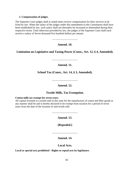#### **2. Compensation of judges.**

The Supreme Court judges shall at stated times receive compensation for their services to be fixed by law. When the salary of the judges under this amendment to the Constitution shall have been established by law, such salary shall not thereafter be increased or diminished during their respective terms. Until otherwise provided by law, the judges of the Supreme Court shall each receive a salary of Seven thousand five hundred dollars per annum.

## **Amend. 10.**

——————————

**Limitation on Legislative and Taxing Power (Const., Art. 12, § 4, Amended).** 

**Amend. 11.** 

——————————

**School Tax (Const., Art. 14, § 3, Amended).** 

## **Amend. 12.**

——————————

## **Textile Mills, Tax Exemption.**

#### **Cotton mills tax exempt for seven years.**

All capital invested in a textile mill in this state for the manufacture of cotton and fiber goods in any manner shall be and is hereby declared to be exempt from taxation for a period of seven years from the date of the location of said textile mill.

## **Amend. 13.**

——————————

**[Repealed.]** 

# **Amend. 14.**

——————————

# **Local Acts.**

**Local or special acts prohibited - Rights to repeal acts by legislature.**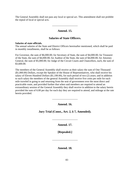The General Assembly shall not pass any local or special act. This amendment shall not prohibit the repeal of local or special acts.

# **Amend. 15.**

——————————

## **Salaries of State Officers.**

### **Salaries of state officials.**

The annual salaries of the State and District Officers hereinafter mentioned, which shall be paid in monthly installments, shall be as follows:

For Governor, the sum of \$6,000.00; for Secretary of State, the sum of \$4,000.00; for Treasurer of the State, the sum of \$4,000.00; for Auditor of the State, the sum of \$4,000.00; for Attorney General, the sum of \$5,000.00; for Judge of the Circuit Courts and Chancellors, each, the sum of \$3,600.00.

The members of the General Assembly shall receive as their salary the sum of One Thousand (\$1,000.00) Dollars, except the Speaker of the House of Representatives, who shall receive his salary of Eleven Hundred Dollars (\$1,100.00), for each period of two (2) years; and in addition to such salary the members of the general Assembly shall receive five cents per mile for each mile traveled in going to and returning from the seat of government over the most direct and practicable route, and provided further that when said members are required to attend an extraordinary session of the General Assembly they shall receive in addition to the salary herein provided the sum of 6.00 per day for each day they are required to attend, and mileage at the rate herein provided.

# **Amend. 16.**

——————————

**Jury Trial (Const., Art. 2, § 7, Amended).** 

**Amend. 17.** 

——————————

**[Repealed.]** 

**Amend. 18.** 

——————————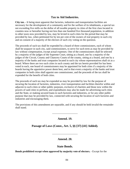## **Tax to Aid Industries.**

**City tax. -** It being most apparent that factories, industries and transportation facilities are necessary for the development of a community and for the welfare of its inhabitants, a special tax not exceeding five mills on the dollar of all taxable property in cities of the first class located in counties now or hereafter having not less than one hundred five thousand population, in addition to other taxes now provided by law, may be levied in such cities for the period that may be provided by law, when petitioned for by ten per cent of the owners of real property in such city and on consent of a majority of the electors of such city voting on the question.

The proceeds of such tax shall be expended by a board of three commissioners, each of whom shall be taxpayer in such city, said commissioners, to serve for such term as may be provided by law without compensation, except actual expenses. One of the commissioners shall be selected by a majority of the judges of the Supreme Court, sitting as a board, one by a majority of the judges of the Circuit, County and Chancery Courts of the county, sitting as a board, and one by a majority of the banks and trust companies located in such city whose representatives shall sit as a board. Where there are two such cities in such county and the tax herein provided for has been voted in each, one board of commissioners may be appointed for both cities if a majority of the boards having the appointive power deem best, and in that event a majority of the banks and trust companies in both cities shall appoint one commissioner, and the proceeds of the tax shall be expended for the benefit of both cities.

The proceeds of such tax may be expended as may be provided by law for the purpose of securing the location of factories, industries, river transportation and facilities therefor within and adjacent to such cities or other public purposes, exclusive of charities and those now within the powers of said cities to perform, and expenditures may also be made for advertising such cities and the State, or making secured loans to such factories and industries, or for any other public purpose that may be provided by law, connected with securing the location of such factories and industries and encouraging them.

The provisions of this amendment are separable, and if any should be held invalid the remainder shall stand.

## **Amend. 19.**

——————————

**Passage of Laws (Const., Art. 5, §§ [37]-[41] Added).** 

**Amend. 20.** 

——————————

**State Bonds.** 

**Bonds prohibited except when approved by majority vote of electors. - Except for the**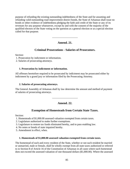purpose of refunding the existing outstanding indebtedness of the State and for assuming and refunding valid outstanding road improvement district bonds, the State of Arkansas shall issue no bonds or other evidence of indebtedness pledging the faith and credit of the State or any of its revenues for any purpose whatsoever, except by and with the consent of the majority of the qualified electors of the State voting on the question at a general election or at a special election called for that purpose.

# **Amend. 21.**

——————————

# **Criminal Prosecutions - Salaries of Prosecutors.**

Section:

1. Prosecution by indictment or information.

2. Salaries of prosecuting attorneys.

## **1. Prosecution by indictment or information.**

All offenses heretofore required to be prosecuted by indictment may be prosecuted either by indictment by a grand jury or information filed by the Prosecuting Attorney.

## **2. Salaries of prosecuting attorneys.**

The General Assembly of Arkansas shall by law determine the amount and method of payment of salaries of prosecuting attorneys.

# **Amend. 22.**

——————————

# **Exemption of Homesteads from Certain State Taxes.**

Section:

- 1. Homesteads of \$1,000.00 assessed valuation exempted from certain taxes.
- 2. Legislature authorized to make further exemptions.
- 3. Legislature to restore tax funds eliminated hereby, and to pass enabling law.
- 4. No notes or bonds of state impaired hereby.
- 5. Amendment in effect, when.

## **1. Homesteads of \$1,000.00 assessed valuation exempted from certain taxes.**

The homestead of each and every resident of the State, whether or not such resident be married or unmarried, male or female, shall be wholly exempt from all state taxes authorized or referred to in Section 8 of Article 16 of the Constitution of Arkansas in all cases where such homestead does not exceed the assessed valuation of one thousand dollars (\$1,000.00). Where the assessed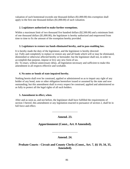valuation of such homestead exceeds one thousand dollars (\$1,000.00) this exemption shall apply to the first one thousand dollars (\$1,000.00) of such valuation.

## **2. Legislature authorized to make further exemptions.**

Within a maximum limit of two thousand five hundred dollars (\$2,500.00) and a minimum limit of one thousand dollars (\$1,000.00), the legislature is hereby authorized and empowered from time to time to fix the amount of the exemption hereby provided.

## **3. Legislature to restore tax funds eliminated hereby, and to pass enabling law.**

It is hereby made the duty of the legislature, and the legislature is hereby directed: (a) Fully and completely to replace or restore any and all funds which will or may be eliminated, diminished or otherwise affected hereby or hereunder; but the legislature shall not, in order to accomplish that purpose, impose or levy any new form of tax.

(b) To enact, without unnecessary delay, all legislation necessary and sufficient to make this amendment in all respects effective and workable.

## **4. No notes or bonds of state impaired hereby.**

Nothing herein shall ever be construed, applied or administered so as to impair any right of any holder of any bond, note or other obligation heretofore issued or assumed by the state and now outstanding; but this amendment shall in every respect be construed, applied and administered so as fully to protect all the legal rights of all such holders.

## **5. Amendment in effect, when.**

After and as soon as, and not before, the legislature shall have fulfilled the requirements of section 3 hereof, this amendment or any legislation enacted in pursuance of section 2, shall be in full force and effect.

# **Amend. 23.**

——————————

# **Apportionment (Const., Art. 8 Amended).**

**Amend. 24.** 

——————————

**Probate Courts - Circuit and County Clerks (Const., Art. 7, §§ 19, 34, 35, Amended).**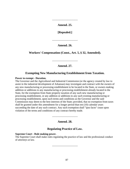**Amend. 25.** 

——————————

**[Repealed.]** 

**Amend. 26.** 

——————————

**Workers' Compensation (Const., Art. 5, § 32, Amended).** 

**Amend. 27.** 

——————————

# **Exempting New Manufacturing Establishment from Taxation.**

#### **Power to exempt - Duration.**

The Governor and the Agricultural and Industrial Commission (or the agency created by law to assist in the industrial development of Arkansas) may investigate and contract with the owners of any new manufacturing or processing establishment to be located in the State, or owners making addition or additions to any manufacturing or processing establishment already located in the State, for the exemption from State property taxation of any such new manufacturing or processing establishment, or any addition or additions to any such existing manufacturing or processing establishment, upon such terms and conditions as the Governor and the said Commission may deem to the best interests of the State; provided, that no exemption from taxes shall be granted under this amendment for a longer period than ten (10) calendar years succeeding the date of any such contract. Any such exemption shall "ipso facto" cease upon violation of the terms and conditions of any contract hereby made.

**Amend. 28.** 

——————————

# **Regulating Practice of Law.**

#### **Supreme Court - Rule making power.**

The Supreme Court shall make rules regulating the practice of law and the professional conduct of attorneys at law.

——————————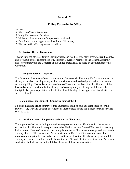## **Amend. 29.**

# **Filling Vacancies in Office.**

Section:

- 1. Elective offices Exceptions.
- 2. Ineligible persons Nepotism.
- 3. Violation of amendment Compensation withheld.
- 4. Duration of term of appointee Election to fill vacancy.
- 5. Election to fill Placing names on ballots.

#### **1. Elective offices - Exceptions.**

Vacancies in the office of United States Senator, and in all elective state, district, circuit, county, and township offices except those of Lieutenant Governor, Member of the General Assembly and Representative in the Congress of the United States, shall be filled by appointment by the Governor.

#### **2. Ineligible persons - Nepotism.**

The Governor, Lieutenant Governor and Acting Governor shall be ineligible for appointment to fill any vacancies occurring or any office or position created, and resignation shall not remove such ineligibility. Husbands and wives of such officers, and relatives of such officers, or of their husbands and wives within the fourth degree of consanguinity or affinity, shall likewise be ineligible. No person appointed under Section 1 shall be eligible for appointment or election to succeed himself.

#### **3. Violation of amendment - Compensation withheld.**

No person holding office contrary to this amendment shall be paid any compensation for his services. Any warrant, voucher or evidence of indebtedness issued in payment for such services shall be void.

#### **4. Duration of term of appointee - Election to fill vacancy.**

The appointee shall serve during the entire unexpired term in the office in which the vacancy occurs if such office would in regular course be filled at the next General Election if no vacancy had occurred. If such office would not in regular course be filled at such next general election the vacancy shall be filled as follows: At the next General Election, if the vacancy occurs four months or more prior thereto, and at the second General Election after the vacancy occurs if the vacancy occurs less than four months before the next General Election after it occurs. The person so elected shall take office on the 1st day of January following his election.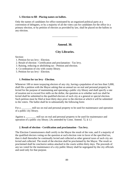#### **5. Election to fill - Placing names on ballots.**

Only the names of candidates for office nominated by an organized political party at a convention of delegates, or by a majority of all the votes cast for candidates for the office in a primary election, or by petition of electors as provided by law, shall be placed on the ballots in any election.

## **Amend. 30.**

——————————

# **City Libraries.**

#### Section:

- 1. Petition for tax levy Election.
- 2. Result of election Certification and proclamation Tax levy.
- 3. Raising, reducing or abolishing tax Petition and election.
- 4. Co-ordination of city with county library.
- 5. Petition for tax levy Election.

#### **1. Petition for tax levy - Election.**

Whenever 100 or more taxpaying electors of any city, having a population of not less than 5,000, shall file a petition with the Mayor asking that an annual tax on real and personal property be levied for the purpose of maintaining and operating a public city library and shall specify a rate of taxation not to exceed five mills on the dollar, the question as to whether such tax shall be levied shall be submitted to the qualified electors of such city at a general or special election. Such petition must be filed at least thirty days prior to the election at which it will be submitted to the voters. The ballot shall be in substantially the following form:

For a \_\_\_\_\_\_\_\_ mill tax on real and personal property to be used for maintenance and operation of a public city library.

Against a \_\_\_\_\_\_\_\_ mill tax on real and personal property to be used for maintenance and operation of a public city library. [As amended by Const. Amend. 72, § 1.]

## **2. Result of election - Certification and proclamation - Tax levy.**

The Election Commissioners shall certify to the Mayor the result of the vote, and if a majority of the qualified electors voting on the question at such election vote in favor of the specified tax, then it shall thereafter be continually levied and collected as other general taxes of such city are levied and collected. The result of the election shall be proclaimed by the Mayor. The result so proclaimed shall be conclusive unless attacked in the courts within thirty days. The proceeds of any tax voted for the maintenance of a city public library shall be segregated by the city officials and used only for that purpose.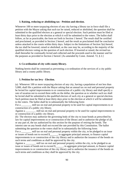#### **3. Raising, reducing or abolishing tax - Petition and election.**

Whenever 100 or more taxpaying electors of any city having a library tax in force shall file a petition with the Mayor asking that such tax be raised, reduced or abolished, the question shall be submitted to the qualified electors at a general or special election. Such petition must be filed at least thirty days prior to the election at which it will be submitted to the voters. The ballot shall follow, as far as practicable, the form set forth in Section 1 hereof. The result shall be certified and proclaimed, as provided in Section 2 hereof, and the result as proclaimed shall be conclusive unless attacked in the courts within thirty days. Subject to the limitations of Section 5(e) hereof, the tax shall be lowered, raised or abolished, as the case may be, according to the majority of the qualified electors voting on the question of such election. If lowered or raised, the revised tax shall thereafter be continually levied and collected and the proceeds used in the manner and for the purposes as provided in Section 2 hereof. [As amended by Const. Amend. 72, § 2.]

#### **4. Co-ordination of city with county library.**

Nothing herein shall be construed as preventing a co-ordination of the services of a city public library and a county public library.

#### **5. Petition for tax levy - Election.**

(a) Whenever 100 or more taxpaying electors of any city, having a population of not less than 5,000, shall file a petition with the Mayor asking that an annual tax on real and personal property be levied for capital improvements to or construction of a public city library and shall specify a rate of taxation not to exceed three mills on the dollar, the question as to whether such tax shall be levied shall be submitted to the qualified electors of such city at a general or special election. Such petition must be filed at least thirty days prior to the election at which it will be submitted to the voters. The ballot shall be in substantially the following form:

For a \_\_\_\_\_\_\_\_ mill tax on real and personal property to be used for capital improvements to or construction of a public city library.

Against a \_\_\_\_\_\_\_ mill tax on real and personal property to be used for capital improvements to or construction of a public city library.

(b) The electors may authorize the governing body of the city to issue bonds as prescribed by law for capital improvements to or construction of the library and to authorize the pledge of all, or any part of, the tax authorized by this section for the purpose of retiring the bonds. The interest rate on any bonds shall not exceed the rate provided by this Constitution. The ballot submitting the question to the voters shall be in substantially the following form:

For a \_\_\_\_\_\_\_\_ mill tax on real and personal property within the city, to be pledged to an issue or issues of bonds not to exceed \$\_\_\_\_\_\_, in aggregate principal amount, to finance capital improvements to or construction of the city library and to authorize the issuance of the bonds on such terms and conditions as shall be approved by the city.

Against a \_\_\_\_\_\_\_\_ mill tax on real and personal property within the city, to be pledged to an issue or issues of bonds not to exceed \$\_\_\_\_\_\_, in aggregate principal amount, to finance capital improvements to or construction of the city library and to authorize the issuance of the bonds on such terms and conditions as they shall be approved by the city.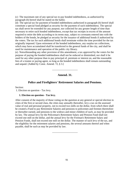(c) The maximum rate of any special tax to pay bonded indebtedness, as authorized by paragraph (b) hereof shall be stated on the ballot.

(d) The special tax for payment of bonded indebtedness authorized in paragraph (b) hereof shall constitute a special fund pledged as security for the payment of such indebtedness. The special tax shall never be extended for any purpose, nor collected for any greater length of time than necessary to retire such bonded indebtedness, except that tax receipts in excess of the amount required to retire the debt according to its terms may, subject to covenants entered into with the holders of the bonds, be pledged as security for the issuance of additional bonds if authorized by the voters. The tax for such additional bonds shall terminate within the time provided for the tax originally imposed. Upon retirement of the bonded indebtedness, any surplus tax collections, which may have accumulated shall be transferred to the general funds of the city, and shall be used for maintenance and operation of the public city library.

(e) Notwithstanding any other provision of this amendment, a tax approved by the voters for the purpose of paying the bonded indebtedness shall not be reduced or diminished, nor shall it be used for any other purpose than to pay principal of, premium or interest on, and the reasonable fees of a trustee or paying agent, so long as the bonded indebtedness shall remain outstanding and unpaid. [Added by Const. Amend. 72, § 3.]

# **Amend. 31.**

——————————

## **Police and Firefighters' Retirement Salaries and Pensions.**

Section:

1. Election on question - Tax levy.

#### **1. Election on question - Tax levy.**

After consent of the majority of those voting on the question at any general or special election in cities of the first or second class, the cities may annually thereafter, levy a tax on the assessed value of real and personal property, not to exceed two mills on the dollar, from which there shall be created a Fund to pay Retirement Salaries and pensions to policemen and firemen theretofore or thereafter earned, and pensions to the widows and minor children of such, as may be provided by law. The annual levy for the Policeman's Retirement Salary and Pension Fund shall not exceed one mill on the dollar, and the annual levy for the Fireman's Retirement Salary and Pension Funds, shall not exceed one mill on the dollar. The manner of such levy of the tax, and the eligibility for the retirement salaries and pensions, the several amounts thereof and when payable, shall be such as may be provided by law.

——————————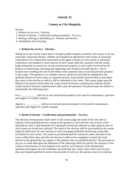# **Amend. 32.**

# **County or City Hospitals.**

Section:

- 1. Petition for tax levy Election.
- 2. Result of election Certification and proclamation Tax levy.
- 3. Raising, reducing or abolishing tax Petition and election.
- 4. Amendment self executing.

### **1. Petition for tax levy - Election.**

Whenever in any county where there is located a public hospital owned by such county or by any municipal corporation therein, whether such hospital be operated by such county or municipal corporation or by a benevolent association as the agent or lessee of such county or municipal corporation, one hundred or more electors of such county shall file a petition with the county judge asking that an annual tax on real and personal property in such county be levied for the purpose of maintaining, operating and supporting such hospital and shall specify a rate of taxation not exceeding one mill on the dollar of the assessed value of real and personal property in the county. The question as to whether such tax shall be levied shall be submitted to the qualified electors of such county at a general election. Such petition must be filed at least thirty days prior to the election at which it will be submitted to the voters. The county judge upon the filing of such petition shall notify the county board of election commissioners thereof and the county board of election commissioners shall cause the question to be placed upon the ballots in substantially the following form:

For a mill tax on real and personal property to be used for maintenance, operation and support of a public hospital.

Against a \_\_\_\_\_\_\_\_\_\_\_\_\_ mill tax on real and personal property to be used for maintenance, operation and support of a public hospital.

#### **2. Result of election - Certification and proclamation - Tax levy.**

The election commissioners shall certify to the county judge the result of the vote and if a majority of the qualified electors voting on the question at such election vote in favor of the specified tax then it shall thereafter be continually levied and collected as other general taxes of such county are levied and collected. The result of the election shall be proclaimed by the county judge by publication for one insertion in some newspaper published and having a bona fide circulation in such county. The result so proclaimed shall be conclusive unless attacked in the courts within thirty days and after the election it shall not be competent to attack the result thereof on the ground that any signers of the petition were not qualified electors. The proceeds of any tax so voted shall upon the settlement of the collecting officer be paid by the treasurer of the county to the treasurer of such hospital to be used by such treasurer in the maintenance, operation and support of such institution; provided that any county where there may be more than one hospital qualified to receive the proceeds of such tax, the quorum court at its meeting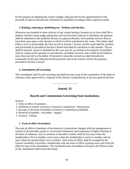for the purpose of adopting the county's budget, shall provide for the apportionment of the proceeds of said tax between the institutions so qualified according to their respective needs.

#### **3. Raising, reducing or abolishing tax - Petition and election.**

Whenever one hundred or more electors of any county having a hospital tax in force shall file a petition with the county judge asking that such tax be raised, reduced or abolished, the question shall be submitted to the qualified electors at a general election. Such petition must be filed at least thirty days prior to the election at which it will be submitted to the voters. The ballots shall follow, as far as practicable, the form set out in Section 1 hereof, and the result shall be certified and proclaimed as provided in Section 2 hereof and shall be conclusive in like manner. The tax shall be lowered, raised or abolished as the case may be, according to the majority of qualified electors voting on the question at such election, provided, however, that it shall not be raised to more than one mill on the dollar. If lowered or raised the revised tax shall thereafter be continually levied and collected and the proceeds used in the manner and for the purposes provided in Section 2 hereof.

### **4. Amendment self executing.**

This amendment shall be self executing and shall become a part of the constitution of the State of Arkansas when approved by a majority of the electors voting thereon at the next general election.

# **Amend. 33.**

——————————

## **Boards and Commissions Governing State Institutions.**

Section:

- 1. Term of office of members.
- 2. Abolition or transfer of powers of board or commission Restrictions.
- 3. Increase or decrease of members of board or commission prohibited.
- 4. Removal of member Procedure Appeal.
- 5. Vacancy Filling.

### **1. Term of office of members.**

The term of office of members of the boards or commissions charged with the management or control of all charitable, penal or correctional institutions and institutions of higher learning of the State of Arkansas, now in existence or hereafter created, shall be five years when the membership is five in number, seven years when the membership is seven in number, and ten years when the membership is ten in number. Such terms of office shall be arranged by the General Assembly to provide a membership with one term of office expiring every year from the effective date of this amendment. The unexpired terms of members serving on the effective date of this amendment shall not be decreased.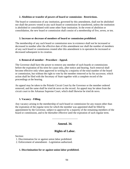### **2. Abolition or transfer of powers of board or commission - Restrictions.**

The board or commission of any institution, governed by this amendment, shall not be abolished nor shall the powers vested in any such board or commission be transferred, unless the institution is abolished or consolidated with some other State institution. In the event of abolition or consolidation, the new board or commission shall consist of a membership of five, seven, or ten.

### **3. Increase or decrease of members of board or commission prohibited.**

The membership of any such board or commission now in existence shall not be increased or decreased in number after the effective date of this amendment nor shall the number of members of any such board or commission created after this amendment is in operation be increased or decreased subsequent to its creation.

### **4. Removal of member - Procedure - Appeal.**

The Governor shall have the power to remove any member of such boards or commissions before the expiration of his term for cause only, after notice and hearing. Such removal shall become effective only when approved in writing by a majority of the total number of the board or commission, but without the right to vote by the member removed or by his successor, which action shall be filed with the Secretary of State together with a complete record of the proceedings at the hearing.

An appeal may be taken to the Pulaski Circuit Court by the Governor or the member ordered removed, and the same shall be tried de novo on the record. An appeal may be taken from the circuit court to the Arkansas Supreme Court, which shall likewise be tried de novo.

### **5. Vacancy - Filling.**

Any vacancy arising in the membership of such board or commission for any reason other than the expiration of the regular term for which the member was appointed shall be filled by appointment by the Governor, subject to approval by a majority of the remaining members of the board or commission, and to be thereafter effective until the expiration of such regular term.

## **Amend. 34.**

——————————

# **Rights of Labor.**

Section:

1. Discrimination for or against union labor prohibited.

2. Enforcement of amendment - Legislation authorized.

#### **1. Discrimination for or against union labor prohibited.**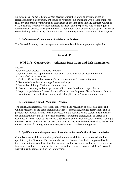No person shall be denied employment because of membership in or affiliation with or resignation from a labor union, or because of refusal to join or affiliate with a labor union; nor shall any corporation or individual or association of any kind enter into any contract, written or oral, to exclude from employment members of a labor union or persons who refuse to join a labor union, or because of resignation from a labor union; nor shall any person against his will be compelled to pay dues to any labor organization as a prerequisite to or condition of employment.

### **2. Enforcement of amendment - Legislation authorized.**

The General Assembly shall have power to enforce this article by appropriate legislation.

# **Amend. 35.**

——————————

# **Wild Life - Conservation - Arkansas State Game and Fish Commission.**

Section:

- 1. Commission created Members Powers.
- 2. Qualifications and appointment of members Terms of office of first commission.
- 3. Term of office of members.
- 4. Oath of office Members serve without compensation Expenses Payment.
- 5. Removal of members Hearing Review and appeal.
- 6. Vacancies Filling Chairman of commission.
- 7. Executive secretary and other personnel Selection Salaries and expenditures.
- 8. Nepotism prohibited Powers of arrest Funds Use Purposes Game Protection Fund Audit of accounts - Resident hunting and fishing licenses - Powers of commission.

### **1. Commission created - Members - Powers.**

The control, management, restoration, conservation and regulation of birds, fish, game and wildlife resources of the State, including hatcheries, sanctuaries, refuges, reservations and all property now owned, or used for said purposes and the acquisition and establishment of same, the administration of the laws now and/or hereafter pertaining thereto, shall be vested in a Commission to be known as the Arkansas State Game and Fish Commission, to consist of eight members. Seven of whom shall be active and one an associate member who shall be the Head of the Department of Zoology at the University of Arkansas, without voting power.

#### **2. Qualifications and appointment of members - Terms of office of first commission.**

Commissioners shall have knowledge of and interest in wildlife conservation. All shall be appointed by the Governor. The first members of the Commission shall be appointed by the Governor for terms as follows: One for one year, one for two years, one for three years, one for four years, one for five years, one for six years, and one for seven years. Each Congressional District must be represented on the Commission.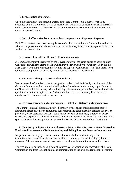#### **3. Term of office of members.**

Upon the expiration of the foregoing terms of the said Commission, a successor shall be appointed by the Governor for a term of seven years, which term of seven years shall thereafter be for each member of the Commission. No Commissioner can serve more than one term and none can succeed himself.

### **4. Oath of office - Members serve without compensation - Expenses - Payment.**

Each Commissioner shall take the regular oath of office provided in the Constitution and serve without compensation other than actual expenses while away from home engaged entirely on the work of the Commission.

### **5. Removal of members - Hearing - Review and appeal.**

A Commissioner may be removed by the Governor only for the same causes as apply to other Constitutional Officers, after a hearing which may be reviewed by the Chancery Court for the First District with right of appeal therefrom to the Supreme Court, such review and appeal to be without presumption in favor of any finding by the Governor or the trial court.

### **6. Vacancies - Filling - Chairman of commission.**

Vacancies on the Commission due to resignation or death shall be filled by appointment of the Governor for the unexpired term within thirty days from date of such vacancy; upon failure of the Governor to fill the vacancy within thirty days, the remaining Commissioners shall make the appointment for the unexpired term. A chairman shall be elected annually from the seven members of the Commission to serve one year.

#### **7. Executive secretary and other personnel - Selection - Salaries and expenditures.**

The Commission shall elect an Executive Secretary, whose salary shall not exceed that of limitations placed on other constitutional departments; and other executive officers, supervisor, personnel, office assistants, wardens, game refuge keepers, and hatchery employees, whose salaries and expenditures must be submitted to the Legislature and approved by an Act covering specific items in the appropriation as covered by Article XVI Section 4 of the Constitution.

### **8. Nepotism prohibited - Powers of arrest - Funds - Use - Purposes - Game Protection Fund - Audit of accounts - Resident hunting and fishing licenses - Powers of commission.**

No person shall be employed by the Commission who shall be related to any of the Commissioners or any other State officers within the third degree of relationship by blood or marriage. All employed personnel may make arrests for violation of the game and fish laws.

The fees, monies, or funds arising from all sources by the operation and transaction of the said Commission and from the application and administration of the laws and regulations pertaining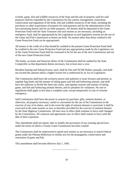to birds, game, fish and wildlife resources of the State and the sale of property used for said purposes shall be expended by the Commission for the control, management, restoration, conservation and regulation of the birds, fish and wildlife resources of the State, including the purchases or other acquisitions of property for said purposes and for the administration of the laws pertaining thereto and for no other purposes. All monies shall be deposited in the Game Protection Fund with the State Treasurer and such monies as are necessary, including an emergency fund, shall be appropriated by the Legislature at each legislative session for the use of the Game and Fish Commission as hereto set forth. No monies other than those credited to the Game Protection Fund can be appropriated.

All money to the credit of or that should be credited to the present Game Protection Fund shall be credited to the new Game Protection Fund and any appropriation made by the Legislature out of the Game Protection Fund shall be construed to be for the use of the new Commission and out of the new Game Protection Fund.

The books, accounts and financial affairs of the Commission shall be audited by the State Comptroller as that department deems necessary, but at least once a year.

Resident hunting and fishing license, each, shall be One and 50/100 Dollars annually, and shall not exceed this amount unless a higher license fee is authorized by an Act of Legislature.

The Commission shall have the exclusive power and authority to issue licenses and permits, to regulate bag limits and the manner of taking game and fish and furbearing animals, and shall have the authority to divide the State into zones, and regulate seasons and manner of taking game, and fish and furbearing animals therein, and fix penalties for violations. No rule or regulations shall apply to less than a complete zone, except temporarily in case of extreme emergency.

Said Commission shall have the power to acquire by purchase, gifts, eminent domain, or otherwise, all property necessary, useful or convenient for the use of the Commission in the exercise of any of its duties, and in the event the right of eminent domain is exercised, it shall be exercised in the same manner as now or hereafter provided for the exercise of eminent domain by the State Highway Commission. All laws now in effect shall continue in force until changed by the Commission. All contracts and agreements now in effect shall remain in force until the date of their expiration.

This amendment shall not repeal, alter or modify the provisions of any existing special laws under the terms of which a County Game Commission has been created:

The Commission shall be empowered to spend such monies as are necessary to match Federal grants under the Pittman-Robertson or similar acts for the propagation, conservation and restoration of game and fish.

This amendment shall become effective July 1, 1945.

——————————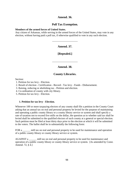# **Amend. 36.**

# **Poll Tax Exemption.**

#### **Members of the armed forces of United States.**

Any citizen of Arkansas, while serving in the armed forces of the United States, may vote in any election, without having paid a poll tax, if otherwise qualified to vote in any such election.

## **Amend. 37.**

——————————

# **[Repealed.]**

# **Amend. 38.**

——————————

# **County Libraries.**

Section:

- 1. Petition for tax levy Election.
- 2. Result of election Certification Record Tax levy Funds Disbursement.
- 3. Raising, reducing or abolishing tax Petition and election.
- 4. Co-ordination of county with city library.
- 5. Petition for tax levy Election.

#### **1. Petition for tax levy - Election.**

Whenever 100 or more taxpaying electors of any county shall file a petition in the County Court asking that an annual tax on real and personal property be levied for the purpose of maintaining and operating a public county library or a county library service or system and shall specify a rate of taxation not to exceed five mills on the dollar, the question as to whether said tax shall be levied shall be submitted to the qualified electors of such county at a general or special election. Such petition must be filed at least thirty days prior to the election at which it will be submitted to the voters. The ballot shall be in substantially the following form:

FOR a \_\_\_\_\_\_ mill tax on real and personal property to be used for maintenance and operation of a public county library or county library service or system.

AGAINST a \_\_\_\_\_\_ mill tax on real and personal property to be used for maintenance and operation of a public county library or county library service or system. [As amended by Const. Amend. 72, § 4.]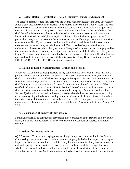#### **2. Result of election - Certification - Record - Tax levy - Funds - Disbursement.**

The election commissioners shall certify to the County Judge the result of the vote. The County Judge shall cause the result of the election to be entered of record in the County Court. The result so entered shall be conclusive unless attacked in the courts within thirty days. If a majority of the qualified electors voting on the question at such election vote in favor of the specified tax, then it shall thereafter be continually levied and collected as other general taxes of such county are levied and collected; provided, however, that such tax shall not be levied against any real or personal property which is taxed for the maintenance of a city library, pursuant to the provisions of Amendment No. 30; and no voter residing within such city shall be entitled to vote on the question as to whether county tax shall be levied. The proceeds of any tax voted for the maintenance of a county public library or county library service or system shall be segregated by the county officials and used only for that purpose. Such funds shall be held in the custody of the County Treasurer. No claim against said funds shall be approved by the County Court unless first approved by the County Library Board, if there is a county Library Board functioning under Act 244 of 1927 [§§ 17-1001 - 17-1011], or similar legislation.

#### **3. Raising, reducing or abolishing tax - Petition and election.**

Whenever 100 or more taxpaying electors of any county having library tax in force shall file a petition in the County Court asking that such tax be raised, reduced or abolished, the question shall be submitted to the qualified electors at a general or special election. Such petition must be filed at least thirty days prior to the election at which it will be submitted to the voters. The ballot shall follow, as far as practicable, the form set forth in Section 1 hereof. The result shall be certified and entered of record as provided in Section 2 hereof, and the result as entered of record shall be conclusive unless attacked in the courts within thirty days. Subject to the limitations of Section 5(e) hereof, the tax shall be lowered, raised or abolished, as the case may be, according to the majority of qualified electors voting on the question at such election. If lowered or raised, the revised tax shall thereafter be continually levied and collected and proceeds used in the manner and for the purposes as provided in Section 2 hereof. [As amended by Const. Amend. 72, § 5.]

### **4. Co-ordination of county with city library.**

Nothing herein shall be construed as preventing the co-ordination of the services of a city public library and county public library, or the co-ordination of the services of libraries of different counties.

### **5. Petition for tax levy - Election.**

(a) Whenever 100 or more taxpaying electors of any county shall file a petition in the County Court asking that an annual tax on real and personal property be levied for the purpose of capital improvements to or construction of a public county library or a county library service or system and shall specify a rate of taxation not to exceed three mills on the dollar, the question as to whether said tax shall be levied shall be submitted to the qualified electors of such county at a general or special election. Such petition must be filed at least thirty days prior to the election at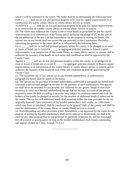which it will be submitted to the voters. The ballot shall be in substantially the following form: FOR a \_\_\_\_\_\_ mill tax on real and personal property to be used for capital improvements to or construction of a public county library or county library service or system.

AGAINST a \_\_\_\_\_\_ mill tax on real and personal property to be used for capital improvements to or construction of a public county library or county library service or system.

(b) The voters may authorize the County Court to issue bonds as prescribed by law for capital improvements to or construction of the library and to authorize the pledge of all, or any part of, the tax authorized in Section 1 of this Amendment for the purpose of retiring the bonds. The interest rate on any bonds shall not exceed the rate provided in this Constitution. The ballot submitting the question to the voters shall be in substantially the following form:

For a <u>same in</u> mill tax on real and personal property within the county, to be pledged to an issue or issues of bonds not to exceed \$\_\_\_\_\_\_, in aggregate principal amount, to finance capital improvements to or construction of the county library or county library service or system, and to authorize the issuance of the bonds on such terms and conditions as shall be approved by the County Court.

Against a \_\_\_\_\_\_ mill tax on real and personal property within the county, to be pledged to an issue or issues of bonds not to exceed \$\_\_\_\_\_\_, in aggregate principal amount, to finance capital improvements to or construction of the county library or county library service or system, and to authorize the issuance of the bonds on such terms and conditions as shall be approved by the County Court.

(c) The maximum rate of any special tax to pay bonded indebtedness, as authorized by paragraph (b) hereof shall be stated on the ballot.

(d) The special tax for payment of bonded indebtedness authorized in paragraph (b) hereof shall constitute a special fund pledged as security for the payment of such indebtedness. The special tax shall never be extended for any purpose, nor collected for any greater length of time than necessary to retire such bonded indebtedness, except that tax receipts in excess of the amount required to retire the debt according to its terms may, subject to covenants entered into with the holders of the bonds, be pledged as security for the issuance of additional bonds if authorized by the voters. The tax for such additional bonds shall terminate within the time provided for the tax originally imposed. Upon retirement of the bonded indebtedness, any surplus tax collections, which may have accumulated, shall be transferred to the general funds of the county, and shall be used for maintenance of the county library or county library service or system.

(e) Notwithstanding any other provision of this Amendment, a tax approved by the voters for the purpose of paying the bonded indebtedness shall not be reduced or diminished, nor shall it be used for any other purpose than to pay principal of, premium or interest on, and the reasonable fees of a trustee or paying agent, so long as the bonded indebtedness shall remain outstanding and unpaid. [Added by Const. Amend. 72, § 6.]

——————————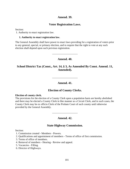### **Amend. 39.**

### **Voter Registration Laws.**

Section:

1. Authority to enact registration law.

#### **1. Authority to enact registration law.**

The General Assembly shall have power to enact laws providing for a registration of voters prior to any general, special, or primary election, and to require that the right to vote at any such election shall depend upon such previous registration.

### **Amend. 40.**

——————————

## **School District Tax (Const., Art. 14, § 3, As Amended By Const. Amend. 11, Amended).**

# **Amend. 41.**

——————————

#### **Election of County Clerks.**

#### **Election of county clerk.**

The provisions for the election of a County Clerk upon a population basis are hereby abolished and there may be elected a County Clerk in like manner as a Circuit Clerk, and in such cases, the County Clerk may be ex officio Clerk of the Probate Court of such county until otherwise provided by the General Assembly.

### **Amend. 42.**

——————————

### **State Highway Commission.**

Section:

- 1. Commission created Members Powers.
- 2. Qualifications and appointment of members Terms of office of first commission.
- 3. Terms of office of members.
- 4. Removal of members Hearing Review and appeal.
- 5. Vacancies Filling.
- 6. Director of Highways.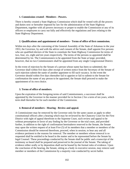### **1. Commission created - Members - Powers.**

There is hereby created a State Highway Commission which shall be vested with all the powers and duties now or hereafter imposed by law for the administration of the State Highway Department, together with all powers necessary or proper to enable the Commission or any of its officers or employees to carry out fully and effectively the regulations and laws relating to the State Highway Department.

### **2. Qualifications and appointment of members - Terms of office of first commission.**

Within ten days after the convening of the General Assembly of the State of Arkansas in the year 1953, the Governor, by and with the advice and consent of the Senate, shall appoint five persons who are qualified electors of the State to constitute the State Highway Commission for terms of two, four, six, eight and ten years respectively. The terms of the persons so appointed shall be determined by lot. The Commissioners to be appointed from the State at large; provided, however, that no two Commissioners shall be appointed from any single Congressional District.

In the event of rejection by the Senate of a person whose name has been so submitted, the Governor shall within five days after receipt of written notice from the Secretary of the Senate of such rejection submit the name of another appointee to fill such vacancy. In the event the Governor should within five days thereafter fail to appoint or fail to submit to the Senate for confirmation the name of any person to be appointed, the Senate shall proceed to make the appointment of its own choice.

### **3. Terms of office of members.**

Upon the expiration of the foregoing terms of said Commissioners, a successor shall be appointed by the Governor in the manner provided for in Section 2 for a term of ten years, which term shall thereafter be for each member of the Commission.

### **4. Removal of members - Hearing - Review and appeal.**

A Commissioner may be removed by the Governor only for the same causes as apply to other constitutional officers after a hearing which may be reviewed by the Chancery Court for the First District with right of appeal therefrom to the Supreme Court, such review and appeal to be without presumption in favor of any finding by the Governor or the trial court, and provided further, in addition to the right of confirmation hereinabove reserved to the Senate, the Senate may upon the written request of at least Five (5) of its members that a member or members of the Commission should be removed therefrom, proceed, when in session, to hear any and all evidence pertinent to the reasons for removal. The member or members whose removal is so requested shall be entitled to be heard in the matter and to be represented before the Senate by legal Counsel. These proceedings conducted by the Senate shall be public and a transcript of the testimony so heard shall be prepared and preserved in the journal of the Senate. The taking of evidence either orally or by deposition shall not be bound by the formal rules of evidence. Upon the conclusion of the hearing, the Senate, sitting as a body in executive session, may remove said member or members of the Commission by a majority vote conducted by secret ballot.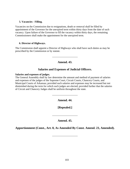#### **5. Vacancies - Filling.**

Vacancies on the Commission due to resignations, death or removal shall be filled by appointment of the Governor for the unexpired term within thirty days from the date of such vacancy. Upon failure of the Governor to fill the vacancy within thirty days, the remaining Commissioners shall make the appointment for the unexpired term.

### **6. Director of Highways.**

The Commission shall appoint a Director of Highways who shall have such duties as may be prescribed by the Commission or by statute.

# **Amend. 43.**

——————————

# **Salaries and Expenses of Judicial Officers.**

#### **Salaries and expenses of judges.**

The General Assembly shall by law determine the amount and method of payment of salaries and expenses of the judges of the Supreme Court, Circuit Courts, Chancery Courts, and Municipal Courts of Arkansas; provided such salaries and expenses may be increased but not diminished during the term for which such judges are elected; provided further that the salaries of Circuit and Chancery Judges shall be uniform throughout the state.

**Amend. 44.** 

——————————

**[Repealed.]** 

**Amend. 45.** 

——————————

**Apportionment (Const., Art. 8, As Amended By Const. Amend. 23, Amended).** 

——————————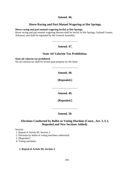## **Amend. 46.**

# **Horse Racing and Pari-Mutuel Wagering at Hot Springs.**

### **Horse racing and pari-mutuel wagering lawful at Hot Springs.**

Horse racing and pari-mutuel wagering thereon shall be lawful in Hot Springs, Garland County, Arkansas, and shall be regulated by the General Assembly.

# **Amend. 47.**

——————————

# **State Ad Valorem Tax Prohibition.**

**State ad valorem tax prohibited.**  No ad-valorem tax shall be levied upon property by the State.

**Amend. 48.** 

——————————

**[Repealed.]** 

**Amend. 49.** 

——————————

**[Repealed.]** 

**Amend. 50.** 

——————————

# **Elections Conducted by Ballot or Voting Machine (Const., Art. 3, § 3, Repealed and New Sections Added).**

Section:

1. Repeal of Article III, Section 3.

- 2. Elections by ballot or voting machines authorized.
- 3. [Repealed.]
- 4. Voting machines.

### **1. Repeal of Article III, Section 3.**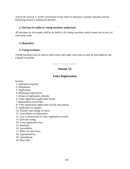Article III, Section 3, of the Constitution of the State of Arkansas is hereby repealed and the following section is substituted therefor.

### **2. Elections by ballot or voting machines authorized.**

All elections by the people shall be by ballot or by voting machines which insure the secrecy of individual votes.

## **3. [Repealed.]**

### **4. Voting machines.**

Voting machines may be used to such extent and under such rules as may be prescribed by the General Assembly.

# **Amend. 51.**

——————————

# **Voter Registration.**

Section:

- 1. Statement of policy.
- 2. Definitions.
- 3. Application.
- 4. Permanent registration.
- 5. Duties of registration officials.
- 6. Voter registration application forms.
- 7. Registration record files.
- 8. Voter registration application records and reports.
- 9. Application to register.
- 10. Transfer and change of status.
- 11. Cancellation of registration.
- 12. Loss or destruction of voter registration records.
- 13. Fail-safe voting.
- 14. Voter registration lists.
- 15. Penalties.
- 16. Severability.
- 17. Effect on other laws.
- 18. Appropriations.
- 19. Amendment.
- 20. Short title.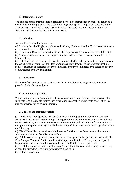## **1. Statement of policy.**

The purpose of this amendment is to establish a system of permanent personal registration as a means of determining that all who cast ballots in general, special and primary elections in this State are legally qualified to vote in such elections, in accordance with the Constitution of Arkansas and the Constitution of the United States.

## **2. Definitions.**

As used in this amendment, the terms:

(a) "County Board of Registration" means the County Board of Election Commissioners in each of the several counties of this State.

(b) "Permanent Registrar" means the County Clerk in each of the several counties of this State.

(c) "Deputy Registrar" means the Deputy County Clerk or clerical assistants appointed by the County Clerk.

(d) "Election" means any general, special or primary election held pursuant to any provisions of the Constitution or statutes of the State of Arkansas; provided, that this amendment shall not apply to selection of delegates to party conventions by party committees or to selection of party committeemen by party conventions.

## **3. Application.**

No person shall vote or be permitted to vote in any election unless registered in a manner provided for by this amendment.

## **4. Permanent registration.**

When a voter is once registered under the provisions of this amendment, it is unnecessary for such voter again to register unless such registration is cancelled or subject to cancellation in a manner provided for by this amendment.

## **5. Duties of registration officials.**

(a) Voter registration agencies shall distribute mail voter registration applications, provide assistance to applicants in completing voter registration application forms, unless the applicant refuses assistance, and accept completed voter registration application forms for transmittal to the appropriate permanent registrar via the Secretary of State. Voter registration agencies include the following:

(1) The Office of Driver Services of the Revenue Division of the Department of Finance and Administration and all State Revenue Offices;

(2) Public assistance agencies, which shall mean those agencies that provide services under the Food Stamps, Medicaid, Aid to Families with Dependent Children (AFDC), and the Special Supplemental Food Program for Women, Infants and Children (WIC) programs;

(3) Disabilities agencies, which shall mean agencies that offer state-funded programs primarily engaged in providing services to persons with disabilities;

(4) Public libraries; and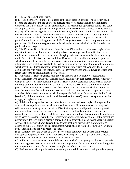#### (5) The Arkansas National Guard.

(b)(1) The Secretary of State is designated as the chief election official. The Secretary shall prepare and distribute the pre-addressed postcard mail voter registration application forms described in 51-6 [section 6] of this amendment. Mail registration application forms shall serve for purposes of initial applications to register and shall also serve for changes of name, address, or party affiliation. Bilingual (Spanish/English) forms, braille forms, and large print forms shall be available upon request. The Secretary of State shall make the state mail voter registration application form available for distribution through governmental and private entities with particular emphasis on making them available for organized voter registration programs. Any person may distribute state registration cards. All registration cards shall be distributed to the public without charge.

(2) The Office of Driver Services and State Revenue Offices shall provide voter registration opportunities to those obtaining or renewing drivers licenses, personal identification cards, duplicate or corrected licenses or cards, or changing address or name whether in person or by mail. The Office of Driver Services and State Revenue Offices shall use a computer process, which combines the drivers license and voter registration applications, minimizing duplicative information, and shall have available the federal or state mail voter registration application form, which may be used upon request or when the computer process is not available. If a person declines to apply to register to vote, the Office of Driver Services or State Revenue Office shall retain the record of declination for two (2) years.

(3) All public assistance agencies shall provide a federal or state mail voter registration application form with each application for assistance, and with each recertification, renewal or change of address or name relating to such assistance. Public assistance agencies shall provide voter registration application forms as part of the intake process, or as a combined computer process when a computer process is available. Public assistance agencies shall use a process or form that combines the application for assistance with the voter registration application when available. Public assistance agencies shall also provide declination forms as described in 51-6 [section 6] of this amendment, which shall be retained for two (2) years if an applicant declines to apply to register to vote.

(4) All disabilities agencies shall provide a federal or state mail voter registration application form with each application for services and with each recertification, renewal or change of address or name relating to such services. Disabilities agencies shall provide voter registration application forms as part of the intake process, or as a combined computer process when a computer process is available. Disabilities agencies may use a form that combines the application for services or assistance with the voter registration application when available. If the disabilities agency provides services in a person's home, then the agency shall also provide voter registration services at the person's home. Disabilities agencies shall also provide declination forms as described in 51-6 [section 6] of this amendment, which shall be retained for two (2) years if an applicant declines to apply to register to vote.

(c)(1) Employees of the Office of Driver Services and State Revenue Offices shall provide appropriate nonpartisan voter registration assistance and provide all applicants with a receipt containing the applicant's name and the date of the submission.

(2) Public assistance agencies and disabilities agencies shall train agency employees to provide the same degree of assistance in completing voter registration forms as is provided with regard to the completion of agency forms, unless the applicant refuses such assistance.

(3) Each revenue office, public assistance agency and disabilities agency shall provide ongoing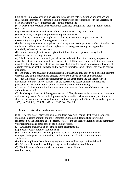training for employees who will be assisting persons with voter registration applications and shall include information regarding training procedures in the report filed with the Secretary of State pursuant to  $\S$  51-8(d) [section 8(d)] of this amendment.

(4) A person who provides voter registration assistance through any voter registration agency shall not:

(A) Seek to influence an applicant's political preference or party registration;

(B) Display any such political preference or party allegiance;

(C) Make any statement to an applicant or take any action to the purpose or effect of discouraging the applicant from registering to vote;

(D) Make any statement to an applicant or take any action to the purpose or effect of leading the applicant to believe that a decision to register or not to register has any bearing on the availability of services or benefits; or

(E) Disclose any applicant's voter registration information, except as necessary for the administration of voter registration.

(d) The Permanent Registrar shall provide office and clerical facilities and may employ such clerical assistants which he may deem necessary to fulfill the duties imposed by this amendment; provided, that all clerical assistants so employed shall have the qualifications required by law of eligible voters and shall be selected on the basis of competence and without reference to political affiliation.

(e) The State Board of Election Commissioners is authorized and, as soon as is possible after the effective date of this amendment, directed to prescribe, adopt, publish and distribute:

(1) such Rules and Regulations supplementary to this amendment and consistent with this amendment and other laws of Arkansas as are necessary to secure uniform and efficient procedures in the administration of this amendment throughout the State;

(2) a Manual of instruction for the information, guidance and direction of election officials within the state; and

(3) detailed specifications of the registration record files, the voter registration application forms and other registration forms, including voter registration list maintenance forms, all of which shall be consistent with this amendment and uniform throughout the State. [As amended by Acts 1995, No. 599, § 1; 1995, No. 947, § 1; 1995, No. 964, § 1.]

### **6. Voter registration application forms.**

(a)(1) The mail voter registration application form may only require identifying information, including signature or mark, and other information, including data relating to previous registration by the applicant, as is necessary to assess the applicant's eligibility and to administer voter registration and other parts of the election process.

(2) Such forms shall include, in identical print, statements that:

(A) Specify voter eligibility requirements;

(B) Contain an attestation that the applicant meets all voter eligibility requirements;

(C) Specify the penalties provided by law for submission of a false voter registration application;

(D) Inform applicants that where they register to vote will be kept confidential; and

(E) Inform applicants that declining to register will also be kept confidential.

(3) The following information will be required of the applicant:

(A) Full name;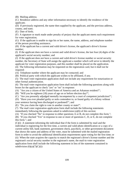(B) Mailing address;

(C) Residence address and any other information necessary to identify the residence of the applicant;

(D) If previously registered, the name then supplied by the applicant, and the previous address, county, and state;

(E) Date of birth;

(F) A signature or mark made under penalty of perjury that the applicant meets each requirement for voter registration;

(G) If the applicant is unable to sign his or her name, the name, address, and telephone number of the person providing assistance;

(H) If the applicant has a current and valid driver's license, the applicant's driver's license number;

(I) If the applicant does not have a current and valid driver's license, the last four (4) digits of the applicant's social security number; and

(J) If the applicant does not have a current and valid driver's license number or social security number, the Secretary of State will assign the applicant a number which will serve to identify the applicant for voter registration purposes, and this number shall be placed on the application.

(4) The following information may be requested on the registration card, but it shall not be required:

(A) Telephone number where the applicant may be contacted; and

(B) Political party with which the applicant wishes to be affiliated, if any.

(5) The mail voter registration application shall not include any requirement for notarization or other formal authentication.

(6) The mail voter registration application form shall include the following questions along with boxes for the applicant to check "yes" or "no" in response:

(A) "Are you a citizen of the United States of America and an Arkansas resident?";

(B) "Will you be eighteen (18) years of age on or before election day?";

(C) "Are you presently adjudged mentally incompetent by a court of competent jurisdiction?";

(D) "Have you ever pleaded guilty or nolo contendere to, or found guilty of a felony without your sentence having been discharged or pardoned?"; and

(E) "Do you claim the right to vote in another county or state?".

(7) The mail voter registration application form shall include the following statements immediately following the questions asked in subdivision (a)(6) of this section:

(A) "If you checked "No" in response to either questions A or B, do not complete this form.";

(B) "If you checked "Yes" in response to one or more of questions C, D, or E, do not complete this form."; and

(C)(i) A statement informing the individual that if the form is submitted by mail and the individual is registering for the first time, a current and valid photo identification or a copy of a current utility bill, bank statement, government check, paycheck, or other government document that shows the name and address of the voter, must be submitted with the mailed registration form in order to avoid the additional identification requirements upon voting for the first time; or (ii) When the state acquires the capacity to match the registrant's driver's license number and the

registrant's social security number to the registrant's name, the mail-in voter registration application form shall include the following statement in lieu of the statement contained in subdivision  $(6)(a)(7)(C)(i)$ :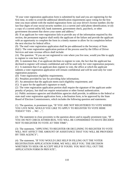"If your voter registration application form is submitted by mail and you are registering for the first time, in order to avoid the additional identification requirements upon voting for the first time you must submit with the mailed registration form: (a) your driver's license number; (b) the last four digits of your social security number; (c) a current and valid photo identification; or (d) a copy of a current utility bill, bank statement, government check, paycheck, or other government document that shows your name and address."

(8) If an applicant for voter registration fails to provide any of the information required by this section, the permanent registrar shall notify the applicant of the failure and provide the applicant with an opportunity to complete the form in a timely manner to allow for its completion before the next election for federal office.

(9) The mail voter registration application shall be pre-addressed to the Secretary of State. (b)(1) The voter registration application portion of the process used by the Office of Driver Services and state revenue offices shall include:

(A) The question: "If you are not registered to vote where you live now, would you like to apply to register to vote here today?";

(B) A statement that, if an applicant declines to register to vote, the fact that the applicant has declined to register will remain confidential and will be used only for voter registration purposes;

(C) A statement that if an applicant does register to vote, the office at which the applicant submits a voter registration application will remain confidential and will be used only for voter registration purposes;

(D) Voter registration eligibility requirements;

(E) Penalties provided by law for providing false information;

(F) An attestation that the applicant meets each eligibility requirement; and

(G) A space for the applicant's signature or mark.

(2) The voter registration application portion shall require the signature of the applicant under penalty of perjury, but shall not require notarization or other formal authentication.

(c) Public assistance agencies and disabilities agencies shall provide, in addition to the federal or state mail voter registration application form, a declination form, to be approved by the State Board of Election Commissioners, which includes the following question and statements:

(1) The question, in prominent type, "IF YOU ARE NOT REGISTERED TO VOTE WHERE YOU LIVE NOW, WOULD YOU LIKE TO APPLY TO REGISTER TO VOTE HERE TODAY? YES ... NO ...";

(2) The statement in close proximity to the question above and in equally prominent type, "IF YOU DO NOT CHECK EITHER BOX, YOU WILL BE CONSIDERED TO HAVE DECIDED NOT TO REGISTER TO VOTE AT THIS TIME";

(3) The statement, "APPLYING TO REGISTER OR DECLINING TO REGISTER TO VOTE WILL NOT AFFECT THE AMOUNT OF ASSISTANCE THAT YOU WILL BE PROVIDED BY THIS AGENCY";

(4) The statement, "IF YOU WOULD LIKE HELP IN FILLING OUT THE VOTER REGISTRATION APPLICATION FORM, WE WILL HELP YOU. THE DECISION WHETHER TO SEEK OR ACCEPT HELP IS YOURS. YOU MAY FILL OUT THE APPLICATION FORM IN PRIVATE";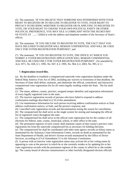(5) The statement, "IF YOU BELIEVE THAT SOMEONE HAS INTERFERED WITH YOUR RIGHT TO REGISTER OR TO DECLINE TO REGISTER TO VOTE, YOUR RIGHT TO PRIVACY IN DECIDING WHETHER TO REGISTER OR IN APPLYING TO REGISTER TO VOTE, OR YOUR RIGHT TO CHOOSE YOUR OWN POLITICAL PARTY OR OTHER POLITICAL PREFERENCE, YOU MAY FILE A COMPLAINT WITH THE SECRETARY OF STATE AT ......." (filled in with the address and telephone number of the Secretary of State's office);

(6) The statement, "IF YOU DECLINE TO REGISTER TO VOTE, THE FACT THAT YOU HAVE DECLINED TO REGISTER WILL REMAIN CONFIDENTIAL AND WILL BE USED ONLY FOR VOTER REGISTRATION PURPOSES"; and

(7) The statement, "IF YOU DO REGISTER TO VOTE, THE OFFICE AT WHICH YOU SUBMIT A VOTER REGISTRATION APPLICATION WILL REMAIN CONFIDENTIAL AND WILL BE USED ONLY FOR VOTER REGISTRATION PURPOSES". [As amended by Acts 1971, No. 828, § 1; 1995, No. 947, § 2; 1995, No. 964, § 2; 2003, No. 995, § 1.]

### **7. Registration record files.**

(a) By the deadline to establish a computerized statewide voter registration database under the federal Help America Vote Act of 2002, including any waivers or extensions of that deadline, the Secretary of State shall define, maintain, and administer the official, centralized, and interactive computerized voter registration list for all voters legally residing within the State. The list shall include:

(1) The name, address, county, precinct, assigned unique identifier and registration information of every legally registered voter in the state;

(2) The inactive registration records of persons who have failed to respond to address confirmation mailings described in § 10 of this amendment;

(3) List maintenance information for each person receiving address confirmation notices or final address confirmation notices, or both, and the person's response; and

(4) Cancelled voter registration records and documentation noting the reason for cancellation.

(b) The computerized list shall serve as the single system for storing and managing the official list of registered voters throughout the state.

(c) The computerized list shall serve as the official voter registration list for the conduct of all elections for federal, state, county, municipal, school, or other office in the state.

(d) The permanent registrar of each county shall maintain copies of that county's precinct voter registration list from the statewide computerized list as necessary for holding elections.

(e) The computerized list shall be coordinated with other state agency records on felony status as maintained by the Arkansas Crime Information Center, records on death as maintained by the State Department of Health, and driver's license records maintained by the Office of Driver Services, according to § 9 of Amendment 51 to the Arkansas Constitution.

(f) A person with an inactive voter registration status may activate his or her voting status by appearing to vote at the precinct in which he or she currently resides or by updating his or her voter registration records with the permanent registrar of the county in which he or she resides. (g) The county board of election commissioners or other lawfully designated election officials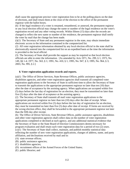shall cause the appropriate precinct voter registration lists to be at the polling places on the date of elections, and shall return them at the close of the election to the office of the permanent registrar with the ballot boxes.

(h) If the legal residence of a voter is renamed, renumbered, or annexed, the permanent registrar or any local election official may change the name or number of the legal residence on the voter's registration record and any other voting records. Within fifteen (15) days after the records are changed to reflect the new name or number of the residence, the permanent registrar shall notify the voter by mail that the change has been made.

(i)(1) The Secretary of State and any permanent registrar in the state, may obtain immediate electronic access to the information contained in the computerized list.

(2) All voter registration information obtained by any local election official in the state shall be electronically entered into the computerized list on an expedited basis at the time the information is provided to the local official.

(3) The Secretary of State shall provide the support as may be required so that local election officials are able to enter the information. [As amended by Acts 1971, No. 299, § 1; 1973, No. 149, §§ 1-4; 1977, No. 563, § 1; 1991, No. 410, § 1; 1995, No. 947, § 3; 1995, No. 964, § 3; 2003, No. 995, § 2.]

### **8. Voter registration application records and reports.**

(a)(1) The Office of Driver Services, State Revenue Offices, public assistance agencies, disabilities agencies, and other voter registration agencies shall transmit all completed voter registration applications to the Secretary of State in sufficient time to allow the Secretary of State to transmit the applications to the appropriate permanent registrar no later than ten (10) days after the date of acceptance by the assisting agency. When applications are accepted within five (5) days before the last day of registration for an election, they must be transmitted no later than five (5) days after the date of acceptance at the assisting agency.

(2) The Secretary of State shall transmit all mail voter registration applications to the appropriate permanent registrar no later than ten (10) days after the date of receipt. When applications are received within five (5) days before the last day of registration for an election, they must be transmitted no later than five (5) days after date of receipt. If forms are received by the wrong election office, they shall be forwarded to the appropriate permanent registrar not later than the fifth day after receipt.

(b) The Office of Driver Services, State Revenue Offices, public assistance agencies, disabilities and other voter registration agencies shall collect data on the number of voter registration applications completed or declined at each agency, and any additional statistical evidence that the Secretary of State or the State Board of Election Commissioners deems necessary for program evaluation and shall retain such voter registration data for a period of two (2) years. (c)(1) The Secretary of State shall collect, maintain, and publish monthly statistical data reflecting the number of new voter registration applications, changes of address, name, and party affiliation, and declinations received by mail and in:

(A) state revenue offices;

- (B) public assistance agencies;
- (C) disabilities agencies;
- (D) recruitment offices of the Armed Forces of the United States;
- (E) public libraries; and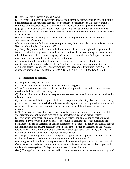(F) offices of the Arkansas National Guard.

(2) Every six (6) months the Secretary of State shall compile a statewide report available to the public reflecting the statistical data collected pursuant to subsection (a). This report shall be submitted to the Federal Election Commission for the national report pursuant to section (9)(a)(3) of the National Voter Registration Act of 1993. The state report shall also include: (A) numbers of and descriptions of the agencies, and the method of integrating voter registration in the agencies;

(B) an assessment of the impact of the National Voter Registration Act of 1993 on the administration of elections;

(C) recommendations for improvements in procedures, forms, and other matters affected by the National Voter Registration Act of 1993.

(d) Every six (6) months the state-level administration of each voter registration agency shall issue a report to the Legislative Council and the Secretary of State containing the statistical and other information collected in each agency office, and recommendations for improvements in procedures, forms, and other matters, including training.

(e) Information relating to the place where a person registered to vote, submitted a voter registration application, or updated voter registration records, and information relating to declination forms is confidential and exempt from the Freedom of Information Act, § 25-19-101, et seq. [As amended by Acts 1989, No. 540, § 1; 1995, No. 947, § 4; 1995, No. 964, § 4.]

### **9. Application to register.**

(a) All persons may register who:

(1) Are qualified electors and who have not previously registered;

(2) Will become qualified electors during the thirty-day period immediately prior to the next election scheduled within the county; or

(3) Are qualified electors but whose registration has been cancelled in a manner provided for by this amendment.

(b) Registration shall be in progress at all times except during the thirty-day period immediately prior to any election scheduled within the county, during which period registration of voters shall cease for that election, but registration during such period shall be effective for subsequent elections.

(c)(1) The permanent registrar shall register qualified applicants when a legible and complete voter registration application is received and acknowledged by the permanent registrar.

(2) Any person who assists applicants with a voter registration application as part of a voter registration drive or who gathers or possesses completed applications for submission to the permanent registrar or Secretary of State in furtherance of a voter registration drive, shall deliver all applications in his or her possession to the permanent registrar or Secretary of State within twenty-one (21) days of the date on the voter registration application and, in any event, no later than the deadline for voter registration for the next election.

(3) The permanent registrar shall register qualified applicants who apply to register to vote by mail using the state or federal mail voter registration application form if:

(A) A legible and complete voter registration application form is postmarked not later than thirty (30) days before the date of the election, or, if the form is received by mail without a postmark, not later than twenty-five (25) days before the date of an election; and

(B)(i) The applicant provides a current valid driver's license number or the last four (4) digits of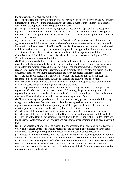the applicant's social security number; or

(ii) If an applicant for voter registration does not have a valid driver's license or a social security number, the Secretary of State shall assign the applicant a number that will serve as a unique identifier of the applicant for voter registration purposes.

(d) The permanent registrar shall notify applicants whether their applications are accepted or rejected, or are incomplete. If information required by the permanent registrar is missing from the voter registration application, the permanent registrar shall contact the applicant to obtain the missing information.

(e) The Secretary of State and the Director of the Office of Driver Services shall enter into an agreement to match information in the database of the statewide voter registration system with information in the database of the Office of Driver Services to the extent required to enable each official to verify the accuracy of the information provided on applications for voter registration. The Director of the Office of Driver Services shall enter into an agreement with the Commissioner of Social Security to verify driver's license information according to § 303 of the Federal Help America Vote Act of 2002.

(f) Registration records shall be entered promptly in the computerized statewide registration record files. If the applicant lacks one (1) or more of the qualifications required by law of voters in this state, the permanent registrar shall not register the applicant, but shall document the reason for denying the applicant's registration and promptly file or enter the application and the documented reason for denying registration in the statewide registration record files.

(g) If the permanent registrar has any reason to doubt the qualifications of an applicant for registration, he or she shall submit such application to the county board of election commissioners, and such board shall make a determination with respect to such qualifications and shall instruct the permanent registrar regarding the same.

(h) If any person eligible to register as a voter is unable to register in person at the permanent registrar's office by reason of sickness or physical disability, the permanent registrar shall register the applicant at his or her place of abode within such county, if practicable, in the same manner as if he or she had appeared at the permanent registrar's office.

(i) Notwithstanding other provisions of this amendment, every person in any of the following categories who is absent from the place of his or her voting residence may vote without registration by absentee ballot in any primary, special, or general election held in his or her election precinct if he or she is otherwise eligible to vote in that election:

(1) Members of the armed forces while in active service, and their spouses and dependents;

(2) Members of the Merchant Marines in the United States, and their spouses and dependents;

(3) Citizens of the United States temporarily residing outside the limits of the United States and the District of Columbia, and their spouses and dependents when residing with or accompanying them.

(j)(1) The Secretary of State shall be responsible for providing to all absent uniformed services voters and overseas voters who wish to register to vote or vote in any jurisdiction in the state, information regarding voter registration procedures and absentee ballot procedures.

(2) No later than ninety (90) days after the date of each regularly scheduled general election for federal office, the Secretary of State shall submit a report, based on information submitted to him or her by the permanent registrars of each county, to the Election Assistance Commission on the combined number of absentee ballots transmitted to absent uniformed services voters and overseas voters for the election and the combined number of the ballots which were returned by the voters and cast in the election.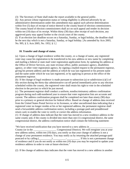(3) The Secretary of State shall make the report available to the general public.

(k) Any person whose registration status or voting eligibility is affected adversely by an administrative determination under this amendment may appeal such adverse determination within five (5) days of receipt of notice thereof to the county board of election commissioners. The county board of election commissioners shall act on such appeal and render its decision within ten (10) days of its receipt. Within thirty (30) days after receipt of such decision, any aggrieved party may appeal further to the circuit court of the county.

(l) If an election law deadline occurs on a Saturday, Sunday, or legal holiday, the deadline shall be the next day which is not a Saturday, Sunday, or legal holiday. [As amended by Acts 2003, No. 995, § 3; Acts 2005, No. 1952, § 1.]

### **10. Transfer and change of status.**

(a) Upon a change of legal residence within the county, or a change of name, any registered voter may cause his registration to be transferred to his new address or new name by completing and mailing a federal or state mail voter registration application form, by updating his address at the Office of Driver Services, any state revenue office, public assistance agency, disabilities agency, or other voter registration agency, by signing a mailed request to the permanent registrar, giving his present address and the address at which he was last registered or his present name and the name under which he was last registered, or by applying in person at the office of the permanent registrar.

(b) If the change of legal residence is made pursuant to subsection (a) or subdivision  $(c)(1)$  of this section during the thirty-day administrative cut-off period immediately prior to any election scheduled within the county, the registered voter shall retain his right to vote in the scheduled election in the precinct to which he just moved.

(c) The permanent registrar shall conduct a uniform, nondiscriminatory address confirmation program during each odd-numbered year to ensure that voter registration lists are accurate and current. The address confirmation program shall be completed not later than ninety (90) days prior to a primary or general election for federal office. Based on change of address data received from the United States Postal Service or its licensees, or other unconfirmed data indicating that a registered voter no longer resides at his or her registered address, the permanent registrar shall send a forwardable address confirmation notice, including a postage-paid and preaddressed return card, to enable the voter to verify or correct the address information.

(1) If change of address data indicate that the voter has moved to a new residence address in the same county and, if the county is divided into more than one (1) congressional district, the same congressional district, the address confirmation notice shall contain the following statement:

"We have received notification that you have moved to a new address in

County (or in the County congressional District). We will reregister you at your new address unless, within ten (10) days, you notify us that your change of address is not a change of your permanent residence. You may notify us by returning the attached postage-paid postcard or by calling  $(\_\_\_\_\_)$  \_\_\_\_\_\_\_\_\_\_\_\_\_\_\_\_\_\_\_\_\_\_\_\_\_. If this is not a permanent change of residence and if you do not notify us within ten (10) days you may be required to update your residence address in order to vote at future elections."

(2) If the change of address data indicates that the voter has moved to a new address in another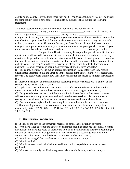county or, if a county is divided into more than one (1) congressional district, to a new address in the same county but in a new congressional district, the notice shall include the following statement:

"We have received notification that you have moved to a new address not in

\_\_\_\_\_\_\_\_\_\_\_\_\_\_\_\_\_\_ County (or not in the \_\_\_\_\_\_\_\_\_\_\_\_\_\_\_\_\_\_ Congressional District). If you no longer live in County (or in the Congressional District), you must reregister at your new residence address in order to vote in the next election. If you are still an Arkansas resident, you may obtain a form to register to vote by calling your county clerk's office or the Secretary of State. If your change of address is not a change of your permanent residence, you must return the attached postage-paid postcard. If you

do not return this card and continue to reside in \_\_\_\_\_\_\_\_\_\_\_\_\_\_\_\_\_\_ County (and in the Congressional District), you may be required to provide identification and update your residence address in order to vote at future elections, and if you do not vote at any election in the period between the date of this notice and the second federal general election after the date of this notice, your voter registration will be cancelled and you will have to reregister in order to vote. If the change of address is permanent, please return the attached postage-paid postcard which will assist us in keeping our voter registration records accurate."

(d) The county clerk may send out an address confirmation to any voter when they receive unconfirmed information that the voter no longer resides at the address on the voter registration records. The county clerk shall follow the same confirmation procedure as set forth in subsection (c).

(e) Based on change of address information received pursuant to subsections (a) and (c) of this section, the permanent registrar shall:

(1) Update and correct the voter's registration if the information indicates that the voter has moved to a new address within the same county and the same congressional district;

(2) Designate the voter as inactive if the information indicates the voter has moved to a new address in another county or to a new address in another congressional district in the same county or if the address confirmation notices have been returned as undeliverable; or

(3) Cancel the voter registration in the county from which the voter has moved if the voter verifies in writing that he or she has moved to a residence address in another county. [As amended by Acts 1977, No. 882, § 1; 1991, No. 581, § 1; 1995, No. 947, § 6; 1995, No. 964, § 6; 1999, No. 1108, § 1.]

# **11. Cancellation of registration.**

(a) It shall be the duty of the permanent registrar to cancel the registration of voters:

(1) Who have failed to respond to address confirmation mailings described in section 10 of this amendment and have not voted or appeared to vote in an election during the period beginning on the date of the notice and ending on the day after the date of the second general election for federal office that occurs after the date of the address confirmation notice;

(2) Who have changed their residence to an address outside the county;

(3) Who have died;

(4) Who have been convicted of felonies and have not discharged their sentence or been pardoned;

(5) Who are not lawfully qualified or registered electors of this state, or of the county; or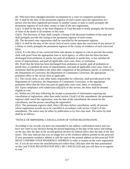(6) Who have been adjudged mentally incompetent by a court of competent jurisdiction.

(b) It shall be the duty of the permanent registrar of each county upon the registration of a person who has been registered previously in another county or state to notify promptly the permanent registrar of such other county or state of the new registration.

(c)(1) It shall be the duty of the State Registrar of Vital Records to notify promptly the Secretary of State of the death of all residents of this state.

(2)(A) The Secretary of State shall compile a listing of the deceased residents of this state and shall promptly provide this listing to the permanent registrar of each county.

(B) The deceased voter registration shall be cancelled by the permanent registrar.

(d)(1) It shall be the duty of the circuit clerk of each county upon the conviction of any person of a felony to notify promptly the permanent registrar of the county of residence of such convicted felon.

(2)(A) It is the duty of any convicted felon who desires to register to vote to provide the county clerk with proof from the appropriate state or local agency, or office that the felon has been discharged from probation or parole, has paid all probation or parole fees, or has satisfied all terms of imprisonment, and paid all applicable court costs, fines, or restitution.

(B) Proof that the felon has been discharged from probation or parole, paid all probation or parole fees, or satisfied all terms of imprisonment, and paid all applicable court costs, fines, or restitution shall be provided to the felon after completion of the probation, parole, or sentence by the Department of Correction, the Department of Community Correction, the appropriate probation office or the circuit clerk as applicable.

(C) The circuit clerk, or any other entity responsible for collection, shall provide proof to the Department of Correction, the Department of Community Correction, or the appropriate probation office that the felon has paid all applicable court costs, fines, or restitution. (D) Upon compliance with subdivision  $(d)(2)(A)$  of this section, the felon shall be deemed eligible to vote.

(e) Within ten (10) days following the receipt or possession of information requiring any cancellation of registration, other than under section  $11(a)(1)$  of this amendment, the permanent registrar shall cancel the registration, note the date of the cancellation, the reason for the cancellation, and the person cancelling the registration.

(f)(1) The permanent registrar shall, thirty (30) days before cancellation, notify all persons whose registration records are to be cancelled in accordance with section  $11(a)(1)$  of this amendment. The notice may be either by publication or by first class mail. The notice by mail shall be as follows:

### "NOTICE OF IMPENDING CANCELLATION OF VOTER REGISTRATION.

According to our records you have not responded to our address confirmation notice and you have not voted in any election during the period beginning on the date of the notice and ending on the day after the date of the second general election for federal office after the date of the first notice. This may indicate that you no longer live at the residence address printed on the postcard. If your permanent residence address is still the same as the printed address on this postcard YOU MUST CONFIRM YOUR RESIDENCE ADDRESS in order to remain on the voter registration list. If you do not return the attached postcard within thirty (30) days after the date postmarked on this card YOUR REGISTRATION WILL BE CANCELLED and you will have to re-register to vote."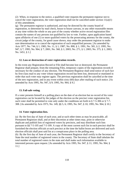(2) When, in response to the notice, a qualified voter requests the permanent registrar not to cancel the voter registration, the voter registration shall not be cancelled under section 11(a)(1) of this amendment.

(g) The permanent registrar is authorized, and may be directed by the county board of registration, to determine by mail check, house to house canvass, or any other reasonable means at any time within the whole or any part of the county whether active record registration files contain the names of any persons not qualified by law to vote. Further, upon application based upon affidavits of one (1) or more qualified voters by the prosecuting attorney for the county, the circuit judge of the county, for good cause shown, may order the permanent registrar to make sure determination or to cancel the registration of such unqualified persons. [As amended by Acts 1977, No. 744, § 1; 1983, No. 11, § 1; 1987, No. 800, § 1; 1991, No. 581, § 2; 1995, No. 947, § 7; 1995, No. 964, § 7; 2001, No. 560, § 1; 2003, No. 271, § 1; 2003, No. 375, § 1; 2003, No. 1451, § 1.]

### **12. Loss or destruction of voter registration records.**

In the event any Registration Record or File shall become lost or destroyed, the Permanent Registrar shall prepare, from the remaining Files, temporary copies of the registration records if necessary for the conduct of any election. The Permanent Registrar shall send notice of such fact by first-class mail to any voter whose registration record has been lost, destroyed or mutilated in order that such voter may register again. The previous registration shall be cancelled at the time of the new registration, and in any event within sixty (60) days after mailing of such notice. [As amended by Acts 1995, No. 947, § 9; 1995, No. 964, § 9.]

### **13. Fail-safe voting.**

If a voter presents himself at a polling place on the date of an election but no record of his voter registration can be located by the judges of the election on the precinct voter registration list, such voter shall be permitted to vote only under the conditions set forth in § 7-5-306 or § 7-7- 308. [As amended by Acts 1973, No. 149, §§ 5, 6; 1995, No. 947, § 10; 1995, No. 964, § 10.]

#### **14. Voter registration lists.**

(a) By the first day of June of each year, and at such other times as may be practicable, all Permanent Registrars shall, and at their discretion at other times may, print or otherwise duplicate and publish lists of registered voters by precincts, and may distribute such lists pursuant to §§ 7-5-105 and 7-5-109. A copy of the most current such list in each precinct shall be furnished the election officials at each precinct at the time the ballot boxes are delivered and such election officials shall post said list at a conspicuous place in the polling area. (b) By the first day of June of each year, the Permanent Registrar shall certify to the Secretary of State the total number of registered voters in the county. The Secretary of State shall tabulate the total number of registered voters in the state and shall make such information available to interested persons upon request. [As amended by Acts 1995, No. 947, § 11; 1995, No. 964, § 11.]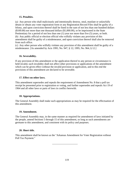### **15. Penalties.**

(a) Any person who shall maliciously and intentionally destroy, steal, mutilate or unlawfully detain or obtain any voter registration form or any Registration Record Files shall be guilty of a felony, and upon conviction thereof shall be fined in the sum of not less than one hundred dollars (\$100.00) nor more than one thousand dollars (\$1,000.00), or be imprisoned in the State Penitentiary for a period of not less than one (1) year nor more than five (5) years, or both. (b) Any public official or election official who wilfully violates any provision of this amendment shall be guilty of a misdemeanor, and upon conviction thereof shall also be removed from such office.

(c) Any other person who wilfully violates any provision of this amendment shall be guilty of a misdemeanor. [As amended by Acts 1995, No. 947, § 12; 1995, No. 964, § 12.]

#### **16. Severability.**

If any provision of this amendment or the application thereof to any person or circumstance is held invalid, such invalidity shall not affect other provisions or applications of the amendment which can be given effect without the invalid provision or application, and to this end the provisions of this amendment are declared to be severable.

### **17. Effect on other laws.**

This amendment supersedes and repeals the requirement of Amendment No. 8 that a poll tax receipt be presented prior to registration or voting, and further supersedes and repeals Act 19 of 1964 and all other laws or parts of laws in conflict herewith.

### **18. Appropriations.**

The General Assembly shall make such appropriations as may be required for the effectuation of this amendment.

#### **19. Amendment.**

The General Assembly may, in the same manner as required for amendment of laws initiated by the people, amend Sections 5 through 15 of this amendment, so long as such amendments are germane to this amendment, and consistent with its policy and purposes.

#### **20. Short title.**

This amendment shall be known as the "Arkansas Amendment for Voter Registration without Poll Tax Payment."

——————————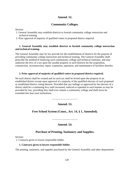# **Amend. 52.**

# **Community Colleges.**

Section:

- 1. General Assembly may establish districts to furnish community college instruction and technical training.
- 2. Prior approval of majority of qualified voters in proposed district required.

### **1. General Assembly may establish districts to furnish community college instruction and technical training.**

The General Assembly may by law provide for the establishment of districts for the purpose of providing community college instruction and technical training. The General Assembly shall prescribe the method of financing such communuity college and technical institutes, and may authorize the levy of a tax upon the taxable property in such districts for the acquisition, construction, reconstruction, repair, expansion, operation, and maintenance of facilities therefor.

### **2. Prior approval of majority of qualified voters in proposed district required.**

No such district shall be created and no such tax shall be levied upon the property in an established district except upon approval of a majority of the qualified electors of such proposed or established district voting thereon. Provided that any millage so approved by the electors of a district shall be a continuing levy until increased, reduced or repealed in such manner as may be provided by law, providing they shall ever remain a community college and shall never be extended into four-year institutions.

# **Amend. 53.**

——————————

## **Free School System (Const., Art. 14, § 1, Amended).**

# **Amend. 54.**

——————————

# **Purchase of Printing, Stationery and Supplies.**

Section:

1. Contracts given to lowest responsible bidder.

### **1. Contracts given to lowest responsible bidder.**

The printing, stationery, and supplies purchased by the General Assembly and other departments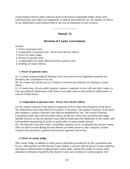of government shall be under contracts given to the lowest responsible bidder, below such maximum price and under such regulations as shall be prescribed by law. No member or officer of any department of government shall in any way be interested in such contracts.

# **Amend. 55.**

——————————

# **Revision of County Government.**

Section:

- 1. Power of quorum court.
- 2. Composition of quorum court Power over elective offices.
- 3. Power of county judge.
- 4. Powers of quorum court.
- 5. Compensation of county officers fixed by quorum court.
- 6. Bonding of county officers.

## **1. Power of quorum court.**

(a) A county acting through its Quorum Court may exercise local legislative authority not denied by the Constitution or by law.

(b) No county may declare any act a felony or exercise any authority not relating to county affairs.

(c) A county may, for any public purpose, contract, cooperate, or join with any other county, or with any political subdivisions of the State or any other states or their political subdivisions, or with the United States.

### **2. Composition of quorum court - Power over elective offices.**

(a) No county's Quorum Court shall be comprised of fewer than nine (9) justices of the peace, nor comprised of more than fifteen (15) justices of the peace. The number of justices of the peace that comprise a county's Quorum Court shall be determined by law. The county's Election Commission shall, after each decennial census, divide the county into convenient and single member districts so that the Quorum Court shall be based upon the inhabitants of the county with each member representing, as nearly as practicable, an equal number thereof.

(b) The Quorum Court may create, consolidate, separate, revise, or abandon any elective county office or offices except during the term thereof; provided, however, that a majority of those voting on the question at a general election have approved said action.

## **3. Power of county judge.**

The County Judge, in addition to other powers and duties provided for by the Constitution and by law, shall preside over the Quorum Court without a vote but with the power of veto; authorize and approve disbursement of appropriated county funds; operate the system of county roads; administer ordinances enacted by the Quorum Court; have custody of county property; hire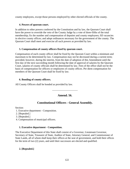county employees, except those persons employed by other elected officials of the county.

### **4. Powers of quorum court.**

In addition to other powers conferred by the Constitution and by law, the Quorum Court shall have the power to override the veto of the County Judge by a vote of three-fifths of the total membership; fix the number and compensation of deputies and county employees; fill vacancies in elective county offices; and adopt ordinances necessary for the government of the county. The Quorum Court shall meet and exercise all such powers as provided by law.

### **5. Compensation of county officers fixed by quorum court.**

Compensation of each county officer shall be fixed by the Quorum Court within a minimum and maximum to be determined by law. Compensation may not be decreased during a current term; provided, however, during the interim, from the date of adoption of this Amendment until the first day of the next succeeding month following the date of approval of salaries by the Quorum Court, salaries of county officials shall be determined by law. Fees of the office shall not be the basis of compensation for officers or employees of county offices. Per diem compensation for members of the Quorum Court shall be fixed by law.

### **6. Bonding of county officers.**

All County Officers shall be bonded as provided by law.

# **Amend. 56.**

——————————

# **Constitutional Officers - General Assembly.**

Section:

- 1. Executive department Composition.
- 2. [Repealed.]
- 3. [Repealed.]
- 4. Compensation of municipal officers.

#### **1. Executive department - Composition.**

The Executive Department of this State shall consist of a Governor, Lieutenant Governor, Secretary of State, Treasurer of State, Auditor of State, Attorney General, and Commissioner of State Lands, all of whom shall keep their offices at the seat of government, and hold their offices for the term of two (2) years, and until their successors are elected and qualified.

### **2. [Repealed.]**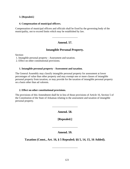### **3. [Repealed.]**

### **4. Compensation of municipal officers.**

Compensation of municipal officers and officials shall be fixed by the governing body of the municipality, not to exceed limits which may be established by law.

# **Amend. 57.**

——————————

# **Intangible Personal Property.**

Section:

1. Intangible personal property - Assessment and taxation.

2. Effect on other constitutional provisions.

### **1. Intangible personal property - Assessment and taxation.**

The General Assembly may classify intangible personal property for assessment at lower percentages of value than other property and may exempt one or more classes of intangible personal property from taxation, or may provide for the taxation of intangible personal property on a basis other than ad valorem.

### **2. Effect on other constitutional provisions.**

The provisions of this Amendment shall be in lieu of those provisions of Article 16, Section 5 of the Constitution of the State of Arkansas relating to the assessment and taxation of intangible personal property.

**Amend. 58.** 

——————————

**[Repealed.]** 

**Amend. 59.** 

——————————

**Taxation (Const., Art. 16, § 5 Repealed; §§ 5, 14, 15, 16 Added).** 

——————————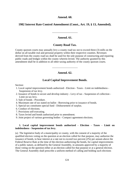### **Amend. 60.**

## **1982 Interest Rate Control Amendment (Const., Art. 19, § 13, Amended).**

### **Amend. 61.**

——————————

## **County Road Tax.**

County quorum courts may annually levy a county road tax not to exceed three (3) mills on the dollar on all taxable real and personal property within their respective counties. Revenues derived from the county road tax shall be used for the sole purpose of constructing and repairing public roads and bridges within the county wherein levied. The authority granted by this amendment shall be in addition to all other taxing authority of the county quorum courts.

### **Amend. 62.**

——————————

### **Local Capital Improvement Bonds.**

Section:

- 1. Local capital improvement bonds authorized Election Taxes Limit on indebtedness Suspension of tax levy.
- 2. Issuance of bonds to secure and develop industry Levy of tax Suspension of collection Limit on tax levy.
- 3. Sale of bonds Procedure.
- 4. Maximum rate of tax stated on ballot Borrowing prior to issuance of bonds.
- 5. Special tax constitutes special fund Disbursement of surplus.
- 6. Conduct of elections.
- 7. Provisions self-executing.
- 8. Taxes levied and bonds authorized prior to amendment.
- 9. Joint project of various governing bodies Compact agreement elections.

#### **1. Local capital improvement bonds authorized - Election - Taxes - Limit on indebtedness - Suspension of tax levy.**

(a) The legislative body of a municipality or county, with the consent of a majority of the qualified electors voting on the question at an election called for that purpose, may authorize the issuance of bonds, to bear interest at a rate not to exceed two percent (2%) per annum above the Federal Reserve Rate at the time of the election authorizing the bonds, for capital improvements of a public nature, as defined by the General Assembly, in amounts approved by a majority of those voting on the question either at an election called for that purpose or at a general election. The General Assembly shall prescribe a uniform method of calling and holding such elections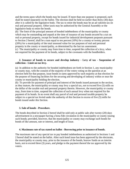and the terms upon which the bonds may be issued. If more than one purpose is proposed, each shall be stated separately on the ballot. The election shall be held no earlier than thirty (30) days after it is called by the legislative body. The tax to retire the bonds may be an ad valorem tax on real and personal property. Other taxes may be authorized by the General Assembly or the legislative body to retire the bonds.

(b) The limit of the principal amount of bonded indebtedness of the municipality or county which may be outstanding and unpaid at the time of issuance of any bonds secured by a tax on real or personal property, except for bonds issued for industrial development purposes pursuant to Section 2 hereof, shall be a sum equal to ten percent (10%) for a county or twenty percent (20%) for a municipality of the total assessed value for tax purposes of real and personal property in the county or municipality, as determined by the last tax assessment.

(c) The municipality or county may from time to time, suspend the collection of a levy, when not required for the payment of its bonds, subject to the covenants with the bondholders.

### **2. Issuance of bonds to secure and develop industry - Levy of tax - Suspension of collection - Limit on tax levy.**

(a) In addition to the authority for bonded indebtedness set forth in Section 1, any municipality or county may, with the consent of the majority of the voters voting on the question at an election held for that purpose, issue bonds in sums approved by such majority at that election for the purpose of financing facilities for the securing and developing of industry within or near the county or municipality holding the election.

(b) To provide for payment of principal and interest of the bonds issued pursuant to the section, as they mature, the municipality or county may levy a special tax, not to exceed five (5) mills on the dollar of the taxable real and personal property therein. However, the municipality or county may, from time to time, suspend the collection of such annual levy when not required for the payment of its bonds. In no event shall any parcel of real and personal taxable property be subject to a special tax levied under the authority of this Section in excess of five (5) mills for bonds issued under this Section.

### **3. Sale of bonds - Procedure.**

The bonds described in Section 2 hereof shall be sold only at public sale after twenty (20) days advertisement in a newspaper having a bona fide circulation in the municipality or county issuing such bonds; provided, however, that the municipality or county may exchange such bonds for bonds of like amount, rate or interest, and length of issue.

#### **4. Maximum rate of tax stated on ballot - Borrowing prior to issuance of bonds.**

The maximum rate of any special tax to pay bonded indebtedness as authorized in Sections 1 and 2 hereof shall be stated on the ballot. After such bond issue has been approved by the electorate, the municipality or county may, prior to the issuance of the bonds, borrow funds on an interim basis, not to exceed three (3) years, and pledge to the payment thereof the tax approved by the voters.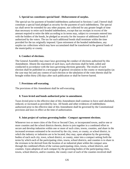### **5. Special tax constitutes special fund - Disbursement of surplus.**

The special tax for payment of bonded indebtedness authorized in Sections 1 and 2 hereof shall constitute a special fund pledged as security for the payment of such indebtedness. The special tax shall never be extended for any other purpose, nor collected for any greater length of time than necessary to retire such bonded indebtedness, except that tax receipts in excess of the amount required to retire the debt according to its terms may, subject to covenants entered into with the holders of the bonds, be pledged as security for the issuance of additional bonds if authorized by the voters. The tax for such additional bonds shall terminate within the time provided for the tax originally imposed. Upon retirement of the bonded indebtedness, any surplus tax collections which may have accumulated shall be transferred to the general funds of the municipality or county.

### **6. Conduct of elections.**

The General Assembly may enact laws governing the conduct of elections authorized by this Amendment. Absent the enactment of such laws, such elections shall be held, called and conducted in accordance with the laws governing elections generally. The results of such election shall be published in a newspaper of general circulation in the county or municipality (as the case may be) and any contest of such election or the tabulation of the votes therein shall be brought within thirty (30) days after such publication or shall be forever barred.

### **7. Provisions self-executing.**

The provisions of this Amendment shall be self-executing.

### **8. Taxes levied and bonds authorized prior to amendment.**

Taxes levied prior to the effective date of this Amendment shall continue in force until abolished, reduced, or increased as provided by law. All bonds and other evidences of indebtedness authorized prior to the effective date of this Amendment shall be governed by the Constitutional provision and laws in effect at the time of authorization.

### **9. Joint project of various governing bodies - Compact agreement elections.**

Whenever two or more cities of the First or Second Class, or incorporated towns, and/or one or more counties and the school districts therein, desire to join together in a combined effort to secure and develop industries within one or more of such cities, towns, counties, and share in the increased revenues estimated to be received by the city, town, or county, or school district, in which the industry or industries are to be located, they may, upon adoption by the governing bodies of each such city, town, school district, or county, enter into a compact setting forth the terms by which each of the participating cities, towns, school districts, and counties is to share in the revenues to be derived from the location of an industrial plant within the compact area through the combined efforts of the various participating cities, towns, school districts, and counties. Upon adoption of such compact by the governing bodies of the participating cities, towns, school districts, and/or counties, the county court of each of the counties involved shall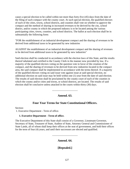cause a special election to be called within not more than forty-five (45) days from the date of the filing of such compact with the county court. At such special election, the qualified electors of each of the cities, towns, school districts, and counties shall vote on whether to approve the compact and the method of sharing in increased revenues to be derived by the city, school district, and/or county in which the proposed industry is to be located among the various participating cities, towns, counties, and school districts. The ballot at such election shall be in substantially the following form:

"FOR the establishment of an industrial development compact and the sharing of revenues to be derived from additional taxes to be generated by new industries

AGAINST the establishment of an industrial development compact and the sharing of revenues to be derived from additional taxes to be generated by new industries"

Said election shall be conducted in accordance with the election laws of this State, and the results thereof tabulated and certified to the County Clerk in the manner now provided by law. If a majority of the qualified electors voting on the question vote in favor of the creation of the compact, and the sharing of revenues to be derived from new industries located in the compact area, the said compact shall be implemented in accordance with the terms thereof. If a majority of the qualified electors voting on said issue vote against issue at said special election, no additional election on said issue may be held within one (1) year from the date of said election. The results of said election shall be proclaimed by the county court of each of the counties in which the county and/or cities and towns, or school districts, are located. The results of said election shall be conclusive unless attacked in the courts within thirty (30) days.

## **Amend. 63.**

——————————

## **Four Year Terms for State Constitutional Officers.**

Section:

1. Executive Department - Term of office.

#### **1. Executive Department - Term of office.**

The Executive Department of this State shall consist of a Governor, Lieutenant Governor, Secretary of State, Treasurer of State, Auditor of State, Attorney General and Commissioner of State Lands, all of whom shall keep their offices at the seat of government, and hold their offices for the term of four (4) years, and until their successors are elected and qualified.

## **Amend. 64.**

——————————

# **[Repealed.]**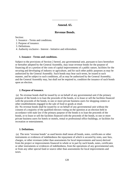# **Amend. 65.**

——————————

## **Revenue Bonds.**

Section:

1. Issuance - Terms and conditions.

2. Purpose of issuance.

3. Definitions.

4. Authority exclusive - Interest - Initiative and referendum.

#### **1. Issuance - Terms and conditions.**

Subject to the provisions of Section 2 hereof, any governmental unit, pursuant to laws heretofore or hereafter adopted by the General Assembly, may issue revenue bonds for the purpose of financing all or a portion of the costs of capital improvements of a public nature, facilities for the securing and developing of industry or agriculture, and for such other public purposes as may be authorized by the General Assembly. Such bonds may bear such terms, be issued in such manner, and be subject to such conditions, all as may be authorized by the General Assembly; and the General Assembly may, but shall not be required to, condition the issuance of such bonds upon an election.

### **2. Purpose of issuance.**

 (a) No revenue bonds shall be issued by or on behalf of any governmental unit if the primary purpose of the bonds is to loan the proceeds of the bonds, or to lease or sell the facilities financed with the proceeds of the bonds, to one or more private business users for shopping centers or other establishments engaged in the sale of food or goods at retail.

(b) No revenue bonds shall be issued by or on behalf of any governmental unit without the consent of a majority of the qualified electors voting on the question at an election held in accordance with state law if the primary purpose of the bonds is to loan the proceeds of the bonds, or to lease or sell the facilities financed with the proceeds of the bonds, to one or more private business users for hotels or motels, rental or professional office buildings, or facilities for recreation or entertainment.

### **3. Definitions.**

 (a) The term "revenue bonds" as used herein shall mean all bonds, notes, certificates or other instruments or evidences of indebtedness the repayment of which is secured by rents, user fees, charges, or other revenues (other than assessments for local improvements and taxes) derived from the project or improvements financed in whole or in part by such bonds, notes, certificates or other instruments or evidences of indebtedness, from the operations of any governmental unit, or from any other special fund or source other than assessments for local improvements and taxes.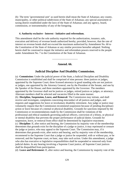(b) The term "governmental unit" as used herein shall mean the State of Arkansas; any county, municipality, or other political subdivision of the State of Arkansas; any special assessment or taxing district established under the laws of the State of Arkansas; and any agency, board, commission, or instrumentality of any of the foregoing.

#### **4. Authority exclusive - Interest - Initiative and referendum.**

This amendment shall be the sole authority required for the authorization, issuance, sale, execution and delivery of revenue bonds authorized hereby; provided, however, that the rate of interest on revenue bonds shall not exceed the maximum authorized by Amendment No. 60 to the Constitution of the State of Arkansas or any similar provision hereafter adopted. Nothing herein shall be construed to impair the initiative and referendum powers reserved to the people under Amendment No. 7 to the Constitution of the State of Arkansas.

## **Amend. 66.**

——————————

# **Judicial Discipline And Disability Commission.**

(a) **Commission:** Under the judicial power of the State, a Judicial Discipline and Disability Commission is established and shall be comprised of nine persons: three justices or judges, appointed by the Supreme Court; three licensed attorneys in good standing who are not justices or judges, one appointed by the Attorney General, one by the President of the Senate, and one by the Speaker of the House; and three members appointed by the Governor. The members appointed by the Governor shall not be justices or judges, retired justices or judges, or attorneys. Alternate members shall be selected and vacancies filled in the same manner. (b) **Discipline, Suspension, Leave, and Removal:** The Commission may initiate, and shall receive and investigate, complaints concerning misconduct of all justices and judges, and requests and suggestions for leave or involuntary disability retirement. Any judge or justice may voluntarily request that the Commission recommend suspension because of pending disciplinary action or leave because of a mental or physical disability. Grounds for sanctions imposed by the

Commission or recommendations made by the Commission shall be violations of the professional and ethical standards governing judicial officers, conviction of a felony, or physical or mental disability that prevents the proper performance of judicial duties. Grounds for suspension, leave, or removal from office shall be determined by legislative enactment.

(c) **Discipline:** If, after notice and hearing, the Commission by majority vote of the membership determines that grounds exist for the discipline of a judge or justice, it may reprimand or censure the judge or justice, who may appeal to the Supreme Court. The Commission may, if it determines that grounds exist, after notice and hearing, and by majority vote of the membership, recommend to the Supreme Court that a judge or justice be suspended, with or without pay, or be removed, and the Supreme court, en banc, may take such action. Under this amendment, a judge who also has executive or legislative responsibilities shall be suspended or removed only from judicial duties. In any hearing involving a Supreme Court justice, all Supreme Court justices shall be disqualified from participation.

(d) **Leave and Retirement:** If, after notice and hearing, the Commission by majority vote of the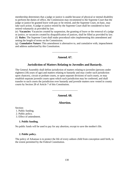membership determines that a judge or justice is unable because of physical or mental disability to perform the duties of office, the Commission may recommend to the Supreme Court that the judge or justice be granted leave with pay or be retired, and the Supreme Court, en banc, may take such action. A judge or justice retired by the Supreme Court shall be considered to have retired voluntarily as provided by law.

(e) **Vacancies:** Vacancies created by suspension, the granting of leave or the removal of a judge or justice, or vacancies created by disqualification of justices, shall be filled as provided by law. (f) **Rules:** The Supreme Court shall make procedural rules implementing this amendment and setting the length of terms on the Commission.

(g) **Cumulative Nature:** This amendment is alternative to, and cumulative with, impeachment and address authorized by this Constitution.

## **Amend. 67.**

——————————

## **Jurisdiction of Matters Relating to Juveniles and Bastardy.**

The General Assembly shall define jurisdiction of matters relating to juveniles (persons under eighteen (18) years of age) and matters relating to bastardy and may confer such jurisdiction upon chancery, circuit or probate courts, or upon separate divisions of such courts, or may establish separate juvenile courts upon which such jurisdiction may be conferred, and shall transfer to such courts the jurisdiction over bastardy and juvenile matters now vested in county courts by Section 28 of Article 7 of this Constitution.

### **Amend. 68.**

——————————

### **Abortion.**

Section:

- 1. Public funding.
- 2. Public policy.
- 3. Effect of amendment.

#### **1. Public funding.**

No public funds will be used to pay for any abortion, except to save the mother's life.

#### **2. Public policy.**

The policy of Arkansas is to protect the life of every unborn child from conception until birth, to the extent permitted by the Federal Constitution.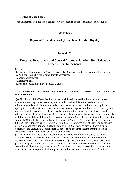#### **3. Effect of amendment.**

This amendment will not affect contraceptives or require an appropriation of public funds.

## **Amend. 69.**

——————————

## **Repeal of Amendment 44 (Protection of States' Rights).**

**Amend. 70.** 

——————————

## **Executive Department and General Assembly Salaries - Restrictions on Expense Reimbursements.**

Section:

1. Executive Department and General Assembly - Salaries - Restrictions on reimbursements.

2. Additional Constitutional amendments authorized.

3. Salary adjustments.

4. Effective date.

5. Repeal of Amendment 56, Sections 2 and 3.

### **1. Executive Department and General Assembly - Salaries - Restrictions on reimbursements.**

 (a) No official of the Executive Department shall be reimbursed by the State of Arkansas for any expenses except those reasonably connected to their official duties and only if such reimbursement is made for documented expenses actually incurred and from the regular budget appropriated for the official's office. Such restrictions on expense reimbursement are of a general application and also are intended specifically to prohibit the appropriation and use of public relations funds. The annual salaries of the Executive Department, which shall be paid in monthly installments, shall be as follows: the Governor, the sum of \$60,000; the Lieutenant Governor, the sum of \$29,000; the Secretary of State, the sum of \$37,500; the Treasurer of State, the sum of \$37,000; the Attorney General, the sum of \$50,000; the Commissioner of State Lands, the sum of \$37,500; and the Auditor of State, the sum of \$37,500. Except as provided herein, such officials of the Executive Department shall not receive any other income from the State of Arkansas, whether in the form of salaries or expenses.

(b) The members of the General Assembly shall receive as their annual salary the sum of \$12,500, except the President Pro Tempore of the Senate and the Speaker of the House of Representatives, who shall each receive the sum of \$14,000 annually, with such salaries to be payable in equal monthly installments. Except as provided herein, no member of the General Assembly shall receive any other income for service in the General Assembly, whether in the form of salaries or expenses, including, but not limited to, public relations funds. Provided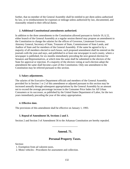further, that no member of the General Assembly shall be entitled to per diem unless authorized by law, or to reimbursement for expenses or mileage unless authorized by law, documented, and reasonably related to their official duties.

#### **2. Additional Constitutional amendments authorized.**

In addition to the three amendments to the Constitution allowed pursuant to Article 19, § 22, either branch of the General Assembly at a regular session thereof may propose an amendment to the Constitution to change the salaries for the offices of Governor, Lieutenant Governor, Attorney General, Secretary of State, Treasurer of State, Commissioner of State Lands, and Auditor of State and for members of the General Assembly. If the same be agreed to by a majority of all members elected to each house, such proposed amendment shall be entered on the journals with the yeas and nays, and published in at least one newspaper in each county, where a newspaper is published, for six months immediately preceding the next general election for Senators and Representatives, at which time the same shall be submitted to the electors of the State for approval or rejection. If a majority of the electors voting at such election adopt the amendment the same shall become a part of this Constitution. Only one amendment to the Constitution may be referred pursuant to this section.

#### **3. Salary adjustments.**

The salaries of the Executive Department officials and members of the General Assembly provided for in Section 1 or 2 of this amendment or adjusted pursuant to this section may be increased annually through subsequent appropriations by the General Assembly by an amount not to exceed the average percentage increase in the Consumer Price Index for All Urban Consumers or its successor, as published by the United States Department of Labor, for the two years immediately preceding the year of the salary appropriation.

### **4. Effective date.**

The provisions of this amendment shall be effective on January 1, 1993.

### **5. Repeal of Amendment 56, Sections 2 and 3.**

Section 2 and Section 3 of Amendment 56 to the Arkansas Constitution are hereby repealed.

# **Amend. 71.**

——————————

# **Personal Property Taxes.**

Section:

1. Exemption from ad valorem taxes.

2. Motor vehicles - Procedures for assessment and collection.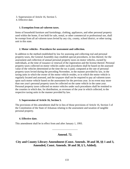- 3. Supersession of Article 16, Section 5.
- 4. Effective date.

#### **1. Exemption from ad valorem taxes.**

Items of household furniture and furnishings, clothing, appliances, and other personal property used within the home, if not held for sale, rental, or other commercial or professional use, shall be exempt from all ad valorem taxes levied by any city, county, school district, or other taxing unit in this state.

#### **2. Motor vehicles - Procedures for assessment and collection.**

In addition to the method established by law for assessing and collecting real and personal property taxes, the General Assembly may establish special procedures, in lieu thereof, for the assessment and collection of annual personal property taxes on motor vehicles, owned by individuals, at the time of issuance or renewal of the registration and the license thereof. Personal property taxes collected on motor vehicles under such procedures shall be based on the assessed value of the vehicles determined at the time the tax is paid, computed at the rate of personal property taxes levied during the preceding November, in the manner provided by law, in the taxing units in which the owner of the motor vehicle resides, or in which the motor vehicle is regularly located and assessed, and the taxpayer shall not be required to pay ad valorem taxes upon such motor vehicle based on the assessment for the previous year. In no event may more than one year's personal property taxes be collected on the same vehicle in the same year. Personal property taxes collected on motor vehicles under such procedures shall be remitted to the counties in which due, for distribution, as revenues of the year in which collected, to the respective taxing units in the manner provided by law.

#### **3. Supersession of Article 16, Section 5.**

The provisions of this amendment shall be in lieu of those provisions of Article 16, Section 5 of the Constitution of the State of Arkansas relating to the assessment and taxation of tangible personal property.

#### **4. Effective date.**

This amendment shall be in effect from and after January 1, 1993.

### **Amend. 72.**

——————————

# **City and County Library Amendment (Const. Amends. 30 and 38, §§ 1 and 3, Amended, Const. Amends. 30 and 38, § 5, Added).**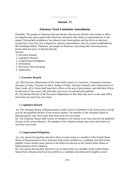# **Amend. 73.**

——————————

# **Arkansas Term Limitation Amendment.**

Preamble: The people of Arkansas find and declare that elected officials who remain in office too long become preoccupied with reelection and ignore their duties as representatives of the people. Entrenched incumbency has reduced voter participation and has led to an electoral system that is less free, less competitive, and less representative than the system established by the Founding Fathers. Therefore, the people of Arkansas, exercising their reserved powers, herein limit the terms of elected officials.

- Section:
- 1. Executive Branch.
- 2. Legislative Branch.
- 3. Congressional Delegation.
- 4. Severability.
- 5. Provisions Self-executing.
- 6. Application.

### **1. Executive Branch.**

 (a) The Executive Department of this State shall consist of a Governor, Lieutenant Governor, Secretary of State, Treasurer of State, Auditor of State, Attorney General, and Commissioner of State Lands, all of whom shall keep their offices at the seat of government, and hold their offices for the term of four years, and until their successors are elected and qualified.

(b) No elected officials of the Executive Department of this State may serve in the same office more than two such four year terms.

### **2. Legislative Branch.**

 (a) The Arkansas House of Representatives shall consist of members to be chosen every second year by the qualified electors of the several counties. No member of the Arkansas House of Representatives may serve more than three such two year terms.

(b) The Arkansas Senate shall consist of members to be chosen every four years by the qualified electors of the several districts. No member of the Arkansas Senate may serve more than two such four year terms.

### **3. Congressional Delegation.**

 (a) Any person having been elected to three or more terms as a member of the United States House of Representatives from Arkansas shall not be certified as a candidate and shall not be eligible to have his/her name placed on the ballot for election to the United States House of Representatives from Arkansas.

(b) Any person having been elected to two or more terms as a member of the United States Senate from Arkansas shall not be certified as a candidate and shall not be eligible to have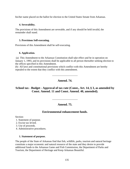his/her name placed on the ballot for election to the United States Senate from Arkansas.

#### **4. Severability.**

The provisions of this Amendment are severable, and if any should be held invalid, the remainder shall stand.

#### **5. Provisions Self-executing.**

Provisions of this Amendment shall be self-executing.

#### **6. Application.**

 (a) This Amendment to the Arkansas Constitution shall take effect and be in operation on January 1, 1993, and its provisions shall be applicable to all person thereafter seeking election to the offices specified in this Amendment.

(b) All laws and constitutional provisions which conflict with this Amendment are hereby repealed to the extent that they conflict with this amendment.

# **Amend. 74.**

——————————

# **School tax - Budget - Approval of tax rate (Const., Art. 14, § 3, as amended by Const. Amend. 11 and Const. Amend. 40, amended).**

## **Amend. 75.**

——————————

# **Environmental enhancement funds.**

Section:

- 1. Statement of purpose.
- 2. Excise tax levied.
- 3. Use of proceeds.
- 4. Administrative procedures.

#### **1. Statement of purpose.**

The people of the State of Arkansas find that fish, wildlife, parks, tourism and natural heritage constitute a major economic and natural resource of the state and they desire to provide additional funds to the Arkansas Game and Fish Commission, the Department of Parks and Tourism, the Department of Heritage and Keep Arkansas Beautiful.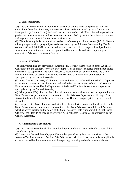### **2. Excise tax levied.**

(a) There is hereby levied an additional excise tax of one-eighth of one percent  $(1/8 \text{ of } 1\%)$ upon all taxable sales of property and services subject to the tax levied by the Arkansas Gross Receipts Act (Arkansas Code § 26-52-101 et seq.), and such tax shall be collected, reported, and paid in the same manner and at the same time as is prescribed by law for the collection, reporting and payment of all other Arkansas gross receipts taxes.

(b) There is hereby levied an additional excise tax of one-eighth of one percent (1/8 of 1%) upon all tangible personal property subject to the tax levied by the Arkansas Compensating Tax Act (Arkansas Code § 26-53-101 et seq.), and such tax shall be collected, reported, and paid in the same manner and at the same time as is prescribed by law for the collection, reporting and payment of Arkansas compensating taxes.

### **3. Use of proceeds.**

 (a) Notwithstanding any provision of Amendment 35 or any other provision of the Arkansas Constitution to the contrary, forty-five percent (45%) of all monies collected from the tax levied herein shall be deposited in the State Treasury as special revenues and credited to the Game Protection Fund to be used exclusively by the Arkansas Game and Fish Commission, as appropriated by the General Assembly.

(b) Forty-five percent (45%) of all monies collected from the tax levied herein shall be deposited in the State Treasury as special revenues and credited to the Department of Parks and Tourism Fund Account to be used by the Department of Parks and Tourism for state park purposes, as appropriated by the General Assembly.

(c) Nine percent (9%) of all monies collected from the tax levied herein shall be deposited in the State Treasury as special revenues and credited to the Arkansas Department of Heritage Fund Account to be used exclusively by the Department of Heritage as appropriated by the General Assembly.

(d) One percent (1%) of all monies collected from the tax levied herein shall be deposited in the State Treasury as special revenues and credited to the Keep Arkansas Beautiful Fund Account, which is hereby created on the books of the State Treasurer, State Auditor and the Chief Fiscal Officer of the State, to be used exclusively by Keep Arkansas Beautiful, as appropriated by the General Assembly.

## **4. Administrative procedures.**

 (a) The General Assembly shall provide for the proper administration and enforcement of this amendment by law.

(b) Unless the General Assembly provides another procedure by law, the provisions of the Arkansas Tax Procedure Act, Sections 26-18-101 et seq., shall so far as practicable be applicable to the tax levied by this amendment and the reporting, remitting and enforcement of the tax.

——————————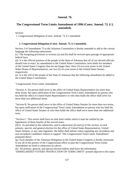# **Amend. 76.**

# **The Congressional Term Limits Amendment of 1996 (Const. Amend. 73, § 3, amended).**

Section:

1. Congressional Delegation (Const. Amend. 73, § 3 amended).

#### **1. Congressional Delegation (Const. Amend. 73, § 3 amended).**

Section 3 of Amendment 73 to the Arkansas Constitution is hereby amended to add to the current language the following subsections:

(c) The foregoing provisions in sections (a) and (b) shall be revived upon passage of appropriate federal laws.

(d) It is the official position of the people of the State of Arkansas that all of our elected officials should vote to enact, by amendment to the United States Constitution, term limits for members of the United States Congress that are not longer than: three (3) two-year terms in the United States House of Representatives, nor two (2) six-year terms in the United States Senate, respectively.

(e) It is the will of the people of the State of Arkansas that the following amendment be added to the United States Constitution:

"Congressional Term Limits Amendment

"Section A. No person shall serve in the office of United States Representative for more than three terms, but upon ratification of the Congressional Term Limits Amendment no person who has held the office of United States Representative or who then holds the office shall serve for more than two additional terms.

"Section B. No person shall serve in the office of United States Senator for more than two terms, but upon ratification of the Congressional Term Limits Amendment no person who has held the office of United States Senator or who then holds the office shall serve more than one additional term.

"Section C. This article shall have no time limit within which it must be ratified by the legislatures of three-fourths of the several states.

 $(f)(1)$  As provided in this subsection, and in subsections (h) and (j) of this section, at each primary, special, and general election for the office of United States Representative, United States Senator, or any state legislator, the ballot shall inform voters regarding any incumbent and non-incumbent candidate's failure to support "The Congressional Term Limits Amendment" proposed above.

(g) Each member of the Arkansas Delegation to the United States Congress is hereby instructed to use all of the powers of the Congressional office to pass the Congressional Term Limits Amendment set forth in subsection (e) above.

(h) All primary, general, and special election ballots shall have the information "DISREGARDED VOTERS' INSTRUCTION ON TERM LIMITS" printed adjacent to the name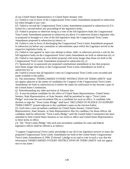of any United States Representative or United States Senator who:

(1) Failed to vote in favor of the Congressional Term Limits Amendment proposed in subsection (e) when brought to any vote;

(2) Failed to second the Congressional Term Limits Amendment proposed in subsection (e) if it lacked for a second before any proceeding of the legislative body;

(3) Failed to propose or otherwise bring to a vote of the full legislative body the Congressional Term Limits Amendment proposed in subsection (e) above if it otherwise lacked a legislator who so proposed or brought to a vote of the full legislative body the Congressional Term Limits Amendment proposed in subsection (e) above; or

(4) Failed to vote in favor of discharging the Congressional Term Limits Amendment proposed in subsection (e) before any committee or subcommittee upon which the Legislator served in the respective legislative body; or

(5) Failed to vote against or reject any attempt to delay, table, or otherwise prevent a vote by the full legislative body on the Congressional Term Limits Amendment set forth in subsection (e); or

(6) Failed to vote against any term limits proposal with terms longer than those set forth in the Congressional Term Limits Amendment proposed in subsection (e); or

(7) Sponsored or co-sponsored any proposed constitutional amendment or law that proposes term limits longer than those in the Congressional Term Limits Amendment set forth in subsection (e); or

(8) Failed to ensure that all legislative votes on Congressional Term Limits were recorded and made available to the public.

(i) The information "DISREGARDED VOTERS' INSTRUCTION ON TERM LIMITS" shall not appear adjacent to the names of candidates for Congress if the Congressional Term Limits Amendment set forth in subsection (e) is before the states for ratification or has become a part of the United States Constitution.

(j) Notwithstanding any other provision of Arkansas law:

(1) A non-incumbent candidate for the office of United States Representative, United States Senator, State Representative, or State Senator, shall be permitted to sign a "Term Limits Pledge" each time the non-incumbent files as a candidate for such an office. A candidate who declines to sign the "Term Limits Pledge" shall have "DECLINED TO PLEDGE TO SUPPORT TERM LIMITS" printed adjacent to the candidate's name on the election ballot;

(2) Each time a non-incumbent candidate for United States Senator, United States Representative, State Senator, or State Representative files for candidacy for those offices, the candidate shall be offered the "Term Limits Pledge" until the United States Constitution has been amended to limit United States Senators to two terms in office and United States Representative to three terms in office;

(3) The "Term Limits Pledge" that each non-incumbent candidate for state and federal legislative offices shall be offered is as follows:

"I support Congressional Term Limits and pledge to use all of my legislative powers to enact the proposed Congressional Term Limits Amendment set forth in the United States Congressional Term Limits Amendment of 1996. If elected, I pledge to act and to vote in such a way that the information 'DISREGARDED VOTERS' INSTRUCTION ON TERM LIMITS' will not appear next to my name."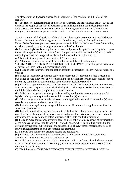The pledge form will provide a space for the signature of the candidate and the date of the signature.

(k) The House of Representatives of the State of Arkansas, and the Arkansas Senate, due to the desire of the people of the State of Arkansas to establish term limits for the Congress of the United States, are hereby instructed to make the following application to the United States Congress, pursuant to their powers under Article V of the United States Constitution, to wit:

"We, the people and the legislature of the State of Arkansas, due to our desire to establish term limits on the members of the Congress of the United States, hereby make application to the United States Congress, pursuant to our power under Article V of the United States Constitution, to call a convention for proposing amendments to the Constitution."

(l) Each state legislator is hereby instructed to use all powers delegated to each legislator to pass the Article V application to the United States Congress set forth in subsection (k) above, and to ratify, if proposed, the Congressional Term Limits Amendment set forth above.

(m) Not withstanding any other provision of Arkansas Law:

(1) All primary, general, and special election ballots shall have the information

"DISREGARDED VOTERS' INSTRUCTION ON TERM LIMITS" printed adjacent to the name of any State Senator or State Representative who:

(A) Failed to vote in favor of the application set forth in subsection (k) above when brought to a vote; or

(B) Failed to second the application set forth in subsection (k) above if it lacked a second; or

(C) Failed to vote in favor of all votes bringing the application set forth in subsection (k) above before any committee or subcommittee upon which the legislator served; or

(D) Failed to propose or otherwise bring to a vote of the full legislative body the application set forth in subsection (k) if it otherwise lacked a legislator who so proposed or brought to a vote of the full legislative body the application set forth above; or

(E) Failed to vote against any attempt to delay, table, or otherwise prevent a vote by the full legislative body on the application set forth in subsection (k) above; or

(F) Failed in any way to ensure that all votes on the application set forth in subsection (k) were recorded and made available to the public; or

(G) Failed to vote against any change, addition, or modification to the application set forth in subsection (k) above; or

(H) Failed to attend a hearing, session, or vote of the legislative body concerning any aspect of consideration of the proposals in subsection (e) and subsection (k) above, where such failure to attend resulted in any failure to obtain a quorum sufficient to conduct business; or

(I) Failed to move for, second, or vote in favor of a roll-call vote on any aspect of consideration of the proposals in subsection (e) and subsection (k) above, where such failure resulted in the defeat of any aspect of subsection (e) and subsection (k) above, without recording the votes of individual legislators to be held accountable at a later time.

(J) Failed to vote against any effort to rescind the application.

(K) Failed to vote in favor of the amendment set forth in subsection (e) above, when the amendment was sent to the states for ratification; or

(L) Failed to vote against any term limits amendment with terms longer than the limits set forth in the proposed amendment in subsection (e) above, when such an amendment is ssent [sic] to the states for ratification.

(2) The information "DISREGARDED VOTERS' INSTRUCTION ON TERM LIMITS" as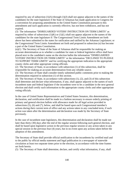required by any of subsection  $(1)(A)$  through  $(1)(J)$  shall not appear adjacent to the names of the candidates for the state legislature if the State of Arkansas has made application to Congress for a convention for proposing amendments to the United States Constitution pursuant to this amendment and such application is currently effective, has not been withdrawn, and has not expired.

(3) The information "DISREGARDED VOTERS' INSTRUCTION ON TERM LIMITS" as required by either of subsections  $(1)(K)$  or  $(1)(L)$  shall not appear adjacent to the names of the candidates for the state legislature if: The Congressional Term Limits Amendment set forth above has been submitted to the states for ratification and ratified by the Arkansas Legislature; or the Congressional Term Limits Amendment set forth and proposed in subsection (e) has become a part of the United States Constitution.

(n)(1) The Secretary of State of the State of Arkansas shall be responsible for making an accurate determination as to whether a candidate for state or federal legislative office shall have placed next to the candidate's name on the election ballot the information "DISREGARDED VOTERS' INSTRUCTION ON TERM LIMITS" or the information "DECLINED TO PLEDGE TO SUPPORT TERM LIMITS" and for certifying the appropriate indication to the appropriate county clerks and other appropriate voting officials.

(2) The Secretary of State, in accordance with subsection (1) of this subsection, shall be responsible for making an accurate determination from any reliable source.

(3) The Secretary of State shall consider timely submitted public comments prior to making the determination required in subsection (1) of this section.

(4) The Secretary of State, in accordance with subsections (1), (2), and (3) of this subsection shall determine and declare what information, if any, shall appear adjacent to the names of each incumbent state and federal legislator if the incumbent were to be a candidate in the next general election and shall certify such information to the appropriate county clerks and other appropriate voting officials.

In the case of United States Representatives and United States Senators, this determination, declaration, and certification shall be made in a fashion necessary to ensure orderly printing of primary and general election ballots with allowance made for all legal action provided in subsections (5), (6) and (7), below, and shall be based upon each Congressional member's actions during their current term of office and any actions taken in any concluded term, if such action was taken after the determination and declaration was made by the Secretary of State previously.

In the case of incumbent state legislators, this determination and declaration shall be made not later than thirty (30) days after the end of the regular session following each general election, and shall be based upon legislative action in the previous regular session or any action taken in any special session in the previous four (4) years, but in no event upon any actions taken before the adoption of this amendment.

The Secretary of State shall provide official notification to the incumbents by certified mail and to the public by official media statement and legal publication in a newspaper of statewide circulation at least two separate times prior to the election, in accordance with the time frames set forth herein.

(5) The Secretary of State shall determine, declare, and certify what information, if any, shall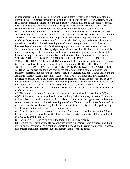appear adjacent to the names of non-incumbent candidates for state and federal legislator, not later than five (5) business days after the deadline for filing for the office. The Secretary of State shall provide official notification to the candidate by certified mail and to the public by official media statement and legal publication in a newspaper of statewide circulation at least two separate times prior to the election, in accordance with the time frames set forth herein. (6) If the Secretary of State makes the determination that the information "DISREGARDED VOTERS' INSTRUCTION ON TERM LIMITS" OR "DECLINED TO PLEDGE TO SUPPORT TERM LIMITS" shall not be certified for placement on the ballot adjacent to the name of a candidate for senator or representative for state or federal office, any candidate or elector may appeal such decision to the Arkansas Supreme Court as an original action within five (5) business days after the second official newspaper publication of the determination by the Secretary of State or shall waive any right to appeal such decision. The burden of proof shall be upon the Secretary of State to demonstrate by clear and convincing evidence that the candidate has met the requirements set forth in this act and therefore should not have the information "DISREGARDED VOTERS' INSTRUCTION ON TERM LIMITS" or "DECLINED TO PLEDGE TO SUPPORT TERM LIMITS" printed on the ballot adjacent to the candidate's name. (7) If the Secretary of State determines that the information "DISREGARDED VOTERS' INSTRUCTION ON TERM LIMITS" OR "DECLINED TO PLEDGE TO SUPPORT TERM LIMITS" shall be certified for placement on the ballot adjacent to a candidate's name for a senator or representative for state or federal office, the candidate may appeal such decision to the Arkansas Supreme Court as an original action within five (5) business days after receipt of notification or shall waive any right to appeal such decision. The burden of proof shall be upon the candidate to demonstrate by clear and convincing evidence that the candidate should not have the information "DISREGARDED VOTERS' INSTRUCTION ON TERM LIMITS" or "DECLINED TO PLEDGE TO SUPPORT TERM LIMITS" printed on the ballot adjacent to the candidate's name.

(o) The Arkansas Supreme Court shall hear the appeal provided for in subsections (n)(6) and (n)(7) of this section, on an expedited basis as the first priority among any Supreme Court case, and shall issue its decision on an expedited basis before any other civil appeals are resolved after submission of the matter to the Arkansas Supreme Court. Failure of the Arkansas Supreme Court to render a timely decision will require the Secretary of State to certify the challenged language for placement on the ballot next to the candidate's name.

(p) At such time as the congressional Term Limits Amendment set forth in subsection (e) has become a part of the United States Constitution, subsections (e) through (o) of this amendment automatically shall be repealed.

(q) Repealer. All laws in conflict with the foregoing are hereby repealed.

(r) Severability. If any portion, clause, or phrase of this Amendment is for any reason held to be invalid or unconstitutional by a court of competent jurisdiction, the remaining portions, clauses, and phrases shall not be affected, but shall remain in full force and effect.

——————————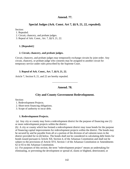## **Amend. 77.**

# **Special Judges (Ark. Const. Art 7, §§ 9, 21, 22, repealed).**

Section:

- 1. Repealed.
- 2. Circuit, chancery, and probate judges.
- 3. Repeal of Ark. Const., Art. 7, §§ 9, 21, 22.

## **1. [Repealed.]**

### **2. Circuit, chancery, and probate judges.**

Circuit, chancery, and probate judges may temporarily exchange circuits by joint order. Any circuit, chancery, or probate judge who consents may be assigned to another circuit for temporary service under rules prescribed by the Supreme Court.

## **3. Repeal of Ark. Const., Art. 7, §§ 9, 21, 22.**

Article 7, Section 9, 21, and 22 are hereby repealed.

# **Amend. 78.**

——————————

# **City and County Government Redevelopment.**

### Section:

3. Scope of authority to incur debt.

### **1. Redevelopment Projects.**

 (a) Any city or county may form a redevelopment district for the purpose of financing one (1) or more redevelopment projects within the district.

(b) A city or county which has formed a redevelopment district may issue bonds for the purpose of financing capital improvements for redevelopment projects within the district. The bonds may be secured by and be payable from all or a portion of the division of ad valorem taxes in the district provided for in (d) below. The bonds shall not be considered in calculating debt limits for bonds issued pursuant to Article XII, Section 4, of the Arkansas Constitution and shall not be subject to the provisions of Article XVI, Section 1 of the Arkansas Constitution or Amendments 62 or 65 to the Arkansas Constitution.

(c) For purposes of this section, the term "redevelopment project" means an undertaking for eliminating, or preventing the development or spread of, slums or blighted, deteriorated, or

 <sup>1.</sup> Redevelopment Projects.

 <sup>2.</sup> Short-term financing obligations.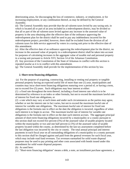deteriorating areas, for discouraging the loss of commerce, industry, or employment, or for increasing employment, or any combination thereof, as may be defined by the General Assembly.

(d) The General Assembly may provide that the ad valorem taxes levied by any taxing unit, in which is located all or part of an area included in a redevelopment district, may be divided so that all or part of the ad valorem taxes levied against any increase in the assessed value of property in the area obtaining after the effective date of the ordinance approving the redevelopment plan for the district shall be used to pay any indebtedness incurred for the redevelopment project; provided, however, there shall be excluded from the division all ad valorem taxes for debt service approved by voters in a taxing unit prior to the effective date of this amendment.

(e) After the effective date of an ordinance approving the redevelopment plan for the district, no increase in the assessed value of property in a redevelopment district shall be taken into account for purposes of calculating increases in the aggregate value of taxable real and personal property in a taxing unit pursuant to Article XVI, Section 14 of the Arkansas Constitution.

(f) Any provision of the Constitution of the State of Arkansas in conflict with this section is repealed insofar as it is in conflict with this amendment.

(g) The General Assembly shall provide for the implementation of this section by law.

#### **2. Short-term financing obligations.**

 (a) For the purpose of acquiring, constructing, installing or renting real property or tangible personal property having an expected useful life of more than one (1) year, municipalities and counties may incur short-term financing obligations maturing over a period of, or having a term, not to exceed five (5) years. Such obligations may bear interest at either:

(1) a fixed rate throughout the term thereof, including a fixed interest rate which is to be determined by reference to an index or other formula, but not to exceed the maximum lawful rate of interest for fixed rate obligations, or

(2) a rate which may vary at such times and under such circumstances as the parties may agree, whether or not the interest rate in fact varies, but not to exceed the maximum lawful rate of interest for variable rate obligations. The maximum lawful rate of interest for fixed rate obligations is the formula rate in effect on the date the obligation is incurred, regardless of when such interest is to begin to accrue. The maximum lawful rate of interest for variable rate obligations is the formula rate in effect on the date such interest accrues. The aggregate principal amount of short-term financing obligations incurred by a municipality or a county pursuant to this section shall not exceed five percent (5%) of the assessed value of taxable property located within the municipality or two and one half percent (2.5%) of the assessed value of taxable property located within the county, as determined by the last tax assessment completed before the last obligation was incurred by the city or county. The total annual principal and interest payments in each fiscal year on all outstanding obligations of a municipality or a county pursuant to this section shall be charged against and paid from the general revenues for such fiscal year, which may include road fund revenues. Tax revenues earmarked for solid waste disposal purposes may be used to pay printing and other costs associated with bonds issued under this amendment for solid waste disposal purposes.

#### (b) As used here:

(1) "Short-term financing obligation" means a debt, a note, an installment purchase agreement, a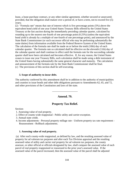lease, a lease-purchase contract, or any other similar agreement, whether secured or unsecured; provided, that the obligation shall mature over a period of, or have a term, not to exceed five (5) years;

(2) "Formula rate" means that rate of interest which is five percentage points (5%) above the equivalent bond yield of one year United States Treasury Bills offered by the United States Treasury at the last auction during the immediately preceding calendar quarter, calculated by rounding up to the nearest one-fourth of one percentage point (0.25%) (unless the equivalent bond yield is already by a multiple of one-fourth of one percentage point), and announced by the State Bank Commissioner (or such successor official who may be performing substantially the same duties) from information available from the Federal Reserve System of the United States. The calculation of the formula rate shall be made on or before the tenth (10th) day of each calendar quarter. The formula rate so calculated shall be effective on the eleventh (11th) day of the calendar quarter and shall continue in effect until the formula rate for the succeeding calendar quarter shall have been calculated and becomes effective. If, for any reason, the United States ceases to issue one year Treasury Bills, such calculation shall be made using a debt instrument of the United States having substantially the same general character and maturity. The calculation and announcement of the formula rate by the State Bank Commissioner shall be final. (c) The provisions of this section shall be self-executing.

#### **3. Scope of authority to incur debt.**

The authority conferred by this amendment shall be in addition to the authority of municipalities and counties to issue bonds and other debt obligations pursuant to Amendments 62, 65, and 72, and other provisions of the Constitution and laws of the state.

# **Amend. 79.**

——————————

# **Property Tax Relief.**

Section:

- 1. Assessing value of real property.
- 2. Effect of county-wide reappraisal Public utility and carrier exception.
- 3. Annual state credit.
- 4. Income adjustments Personal property millage rate Uniform property tax rate requirement Reassessment - Rollback adjustments.

#### **1. Assessing value of real property.**

 (a) After each county-wide reappraisal, as defined by law, and the resulting assessed value of property for ad valorum tax purposes and after each Tax Division appraisal and the resulting assessed value of utility and carrier real property for ad valorem tax purposes, the county assessor, or other official or officials designated by law, shall compare the assessed value of each parcel of real property reappraised or reassessed to the prior year's assessed value. If the assessed value of the parcel increased, then the assessed value of the parcel shall be adjusted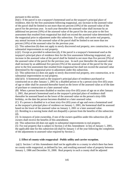pursuant to this section.

(b)(1) If the parcel is not a taxpayer's homestead used as the taxpayer's principal place of residence, then for the first assessment following reappraisal, any increase in the assessed value of the parcel shall be limited to not more than ten percent (10%) of the assessed value of the parcel for the previous year. In each year thereafter the assessed value shall increase by an additional ten percent (10%) of the assessed value of the parcel for the year prior to the first assessment that resulted from reappraisal but shall not exceed the assessed value determined by the reappraisal prior to adjustment under this subsection. For utility and carrier real property, any annual increase in the assessed value of the parcel shall be limited to not more than ten percent (10%) of the assessed value for the previous year.

(2) This subsection (b) does not apply to newly discovered real property, new construction, or to substantial improvements to real property.

(c)(1) Except as provided in subsection (d), if the parcel is a taxpayer's homestead used as the taxpayer's principal place of residence then for the first assessment following reappraisal, any increase in the assessed value of the parcel shall be limited to not more than five percent (5%) of the assessed value of the parcel for the previous year. In each year thereafter the assessed value shall increase by an additional five percent (5%) of the assessed value of the parcel for the year prior to the first assessment that resulted from reappraisal but shall not exceed the assessed value determined by the reappraisal prior to adjustment under this subsection.

(2) This subsection (c) does not apply to newly discovered real property, new construction, or to substantial improvements to real property.

 $(d)(1)(A)$  A homestead used as the taxpayer's principal place of residence purchased or constructed on or after January 1, 2001 by a disabled person or by a person sixty-five (65) years of age or older shall be assessed thereafter based on the lower of the assessed value as of the date of purchase or construction or a later assessed value.

(B) When a person becomes disabled or reaches sixty-five (65) years of age on or after January 1, 2001, that person's homestead used as the taxpayer's principal place of residence shall thereafter be assessed based on the lower of the assessed value on the person's sixty-fifth birthday, on the date the person becomes disabled or a later assessed value.

(C) If a person is disabled or is at least sixty-five (65) years of age and owns a homestead used as the taxpayer's principal place of residence on January 1, 2001, the homestead shall be assessed based on the lower of the assessed value on January 1, 2001 or a later assessed value.

(2) Residing in a nursing home shall not disqualify a person from the benefits of this subsection (d).

(3) In instances of joint ownership, if one of the owners qualifies under this subsection (d), all owners shall receive the benefits of this amendment.

(4) This subsection (d) does not apply to substantial improvements to real property.

(5) For real property that is subject to Section 2 of this Amendment in lieu of January 1, 2001, the applicable date for this subsection (d) shall be January 1 of the year following the completion of the adjustments to assessed value required by Section 2.

### **2. Effect of county-wide reappraisal - Public utility and carrier exception.**

 (a)(1) Section 1 of this Amendment shall not be applicable to a county in which there has been no county-wide reappraisal, as defined by law, and resulting assessed value of property between January 1, 1986 and December 31, 2000. Real property in such a county shall be adjusted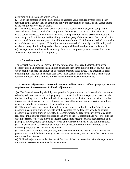according to the provisions of this section.

(2) Upon the completion of the adjustments to assessed value required by this section each taxpayer of that county shall be entitled to apply the provision of Section 1 of this Amendment to the real property owned by them.

(b) The county assessor, or other official or officials designated by law, shall compare the assessed value of each parcel of real property to the prior year's assessed value. If assessed value of the parcel increased, then the assessed value of the parcel for the first assessment resulting from reappraisal shall be adjusted by adding one-third (1/3) of the increase to the assessed value of the parcel for the previous year. An additional one-third (1/3) of the increase shall be added in each of the next two (2) years. This adjustment procedure shall not apply to public utility and carrier property. Public utility and carrier property shall be adjusted pursuant to Section 1. (c) No adjustment shall be made for newly discovered real property, new construction, or to substantial improvements to real property.

#### **3. Annual state credit.**

The General Assembly shall provide by law for an annual state credit against ad valorem property tax on a homestead in an amount of not less than three hundred dollars (\$300). The credit shall not exceed the amount of ad valorem property taxes owed. The credit shall apply beginning for taxes due in calendar year 2001. This section shall be applied in a manner that would not impair a bond holder's interest in ad valorem debt service revenues.

#### **4. Income adjustments - Personal property millage rate - Uniform property tax rate requirement - Reassessment - Rollback adjustments.**

 (a) The General Assembly shall, by law, provide for procedures to be followed with respect to adjusting ad valorem taxes or millage pledged for bonded indebtedness purposes, to assure that the tax or millage levied for bonded indebtedness purposes will, at all times, provide a level of income sufficient to meet the current requirements of all principal, interest, paying agent fees, reserves, and other requirements of the bond indenture.

(b) The millage rate levied against taxable personal property and utility and regulated carrier property in each taxing unit in the state shall be equal to the millage rate levied against real property in each taxing unit in the state. Personal property millage rates currently not equal to real estate millage rates shall be reduced to the level of the real estate millage rate; except to the extent necessary to provide a level of income sufficient to meet the current requirements of all principal, interest, paying agent fees, reserves, and other requirements of the bond indenture. (c) The provisions of this section shall not affect or repeal the required uniform rate of ad valorem property tax set forth in Amendment 74.

(d) The General Assembly may, by law, prescribe the method and means for reassessing real property and establish the frequency of reassessment. However, reassessment shall occur at least once every five (5) years.

(e) Rollback adjustments under Article 16, Section 14 shall be determined after the adjustments are made to assessed value under this Amendment.

——————————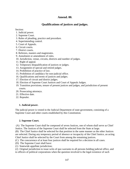# **Amend. 80.**

# **Qualifications of justices and judges.**

Section:

- 1. Judicial power.
- 2. Supreme Court.
- 3. Rules of pleading, practice and procedure.
- 4. Superintending control.
- 5. Court of Appeals.
- 6. Circuit courts.
- 7. District courts.
- 8. Referees, masters and magistrates.
- 9. Annulment or amendment of rules.
- 10. Jurisdiction, venue, circuits, districts and number of judges.
- 11. Right of appeal.
- 12. Temporary disqualification of justices or judges.
- 13. Assignment of special and retired judges.
- 14. Prohibition of practice of law.
- 15. Prohibition of candidacy for non-judicial office.
- 16. Qualifications and terms of justices and judges.
- 17. Election of circuit and district judges.
- 18. Election of Supreme Court Justices and Court of Appeals Judges.
- 19. Transition provisions, tenure of present justices and judges, and jurisdiction of present courts.
- 20. Prosecuting attorneys.
- 21. Effective date.
- 22. Repealer.

## **1. Judicial power.**

The judicial power is vested in the Judicial Department of state government, consisting of a Supreme Court and other courts established by this Constitution.

## **2. Supreme Court.**

 (A) The Supreme Court shall be composed of seven Justices, one of whom shall serve as Chief Justice. The Justices of the Supreme Court shall be selected from the State at large.

(B) The Chief Justice shall be selected for that position in the same manner as the other Justices are selected. During any temporary period of absence or incapacity of the Chief Justice, an acting Chief Justice shall be selected by the Court from among the remaining justices.

(C) The concurrence of at least four justices shall be required for a decision in all cases.

- (D) The Supreme Court shall have:
- (1) Statewide appellate jurisdiction;

(2) Original jurisdiction to issue writs of quo warranto to all persons holding judicial office, and to officers of political corporations when the question involved is the legal existence of such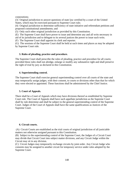corporations;

(3) Original jurisdiction to answer questions of state law certified by a court of the United States, which may be exercised pursuant to Supreme Court rule;

(4) Original jurisdiction to determine sufficiency of state initiative and referendum petitions and proposed constitutional amendments; and

(5) Only such other original jurisdiction as provided by this Constitution.

(E) The Supreme Court shall have power to issue and determine any and all writs necessary in

aid of its jurisdiction and to delegate to its several justices the power to issue such writs.

(F) The Supreme Court shall appoint its clerk and reporter.

(G) The sessions of the Supreme Court shall be held at such times and places as may be adopted by Supreme Court rule.

#### **3. Rules of pleading, practice and procedure.**

The Supreme Court shall prescribe the rules of pleading, practice and procedure for all courts; provided these rules shall not abridge, enlarge or modify any substantive right and shall preserve the right of trial by jury as declared in this Constitution.

#### **4. Superintending control.**

The Supreme Court shall exercise general superintending control over all courts of the state and may temporarily assign judges, with their consent, to courts or divisions other than that for which they were elected or appointed. These functions shall be administered by the Chief Justice.

### **5. Court of Appeals.**

There shall be a Court of Appeals which may have divisions thereof as established by Supreme Court rule. The Court of Appeals shall have such appellate jurisdiction as the Supreme Court shall by rule determine and shall be subject to the general superintending control of the Supreme Court. Judges of the Court of Appeals shall have the same qualifications as Justices of the Supreme Court.

#### **6. Circuit courts.**

 (A) Circuit Courts are established as the trial courts of original jurisdiction of all justiciable matters not otherwise assigned pursuant to this Constitution.

(B) Subject to the superintending control of the Supreme Court, the Judges of a Circuit Court may divide that Circuit Court into subject matter divisions, and any Circuit Judge within the Circuit may sit in any division.

(C) Circuit Judges may temporarily exchange circuits by joint order. Any Circuit Judge who consents may be assigned to another circuit for temporary service under rules adopted by the Supreme Court.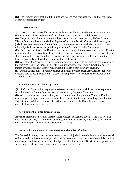(D) The Circuit Courts shall hold their sessions in each county at such times and places as are, or may be, prescribed by law.

### **7. District courts.**

 (A) District Courts are established as the trial courts of limited jurisdiction as to amount and subject matter, subject to the right of appeal to Circuit Courts for a trial de novo.

(B) The jurisdictional amount and the subject matter of civil cases that may be heard in the District Courts shall be established by Supreme Court rule. District Courts shall have original jurisdiction, concurrent with Circuit Courts, of misdemeanors, and shall also have such other criminal jurisdiction as may be provided pursuant to Section 10 of this Amendment.

(C) There shall be at least one District Court in each county. If there is only one District Court in a county, it shall have county-wide jurisdiction. Fines and penalties received by the district court shall continue to be distributed in the manner provided by current law, unless and until the General Assembly shall establish a new method of distribution.

(D) A District Judge may serve in one or more counties. Subject to the superintending control of the Supreme Court, the Judges of a District Court may divide that District Court into subject matter divisions, and any District Judge within the district may sit in any division.

(E) District Judges may temporarily exchange districts by joint order. Any District Judge who consents may be assigned to another district for temporary service under rules adopted by the Supreme Court.

### **8. Referees, masters and magistrates.**

 (A) A Circuit Court Judge may appoint referees or masters, who shall have power to perform such duties of the Circuit Court as may be prescribed by Supreme Court rule.

(B) With the concurrence of a majority of the Circuit Court Judges of the Circuit, a District Court judge may appoint magistrates, who shall be subject to the superintending control of the District Court and shall have power to perform such duties of the District Court as may be prescribed by Supreme Court rule.

### **9. Annulment or amendment of rules.**

Any rules promulgated by the Supreme Court pursuant to Sections 5, 6(B), 7(B), 7(D), or 8 of this Amendment may be annulled or amended, in whole or in part, by a two-thirds (2/3) vote of the membership of each house of the General Assembly.

## **10. Jurisdiction, venue, circuits, districts and number of judges.**

The General Assembly shall have the power to establish jurisdiction of all courts and venue of all actions therein, unless otherwise provided in this Constitution, and the power to establish judicial circuits and districts and the number of judges for Circuit Courts and District Courts, provided such circuits or districts are comprised of contiguous territories.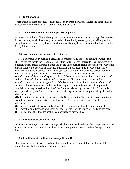### **11. Right of appeal.**

There shall be a right of appeal to an appellate court from the Circuit Courts and other rights of appeal as may be provided by Supreme Court rule or by law.

### **12. Temporary disqualification of justices or judges.**

No Justice or Judge shall preside or participate in any case in which he or she might be interested in the outcome, in which any party is related to him or her by consanguinity or affinity within such degree as prescribed by law, or in which he or she may have been counsel or have presided in any inferior court.

### **13. Assignment of special and retired judges.**

 (A) If a Supreme Court Justice is disqualified or temporarily unable to serve, the Chief Justice shall certify the fact to the Governor, who within thirty (30) days thereafter shall commission a Special Justice, unless the time is extended by the Chief Justice upon a showing by the Governor that, in spite of the exercise of diligence, additional time is needed. If the Governor fails to commission a Special Justice within thirty (30) days, or within any extended period granted by the Chief Justice, the Lieutenant Governor shall commission a Special Justice.

(B) If a Judge of the Court of Appeals is disqualified or temporarily unable to serve, the Chief Judge shall certify the fact to the Chief Justice who shall commission a Special Judge.

(C) If a Circuit or District Judge is disqualified or temporarily unable to serve, or if the Chief Justice shall determine there is other need for a Special Judge to be temporarily appointed, a Special Judge may be assigned by the Chief Justice or elected by the bar of that Court, under rules prescribed by the Supreme Court, to serve during the period of temporary disqualification, absence or need.

(D) In naming Special Justices and Judges, the Governor or the Chief Justice may commission, with their consent, retired Justices or Judges, active Circuit or District Judges, or licensed attorneys.

(E) Special and retired Justices and Judges selected and assigned for temporary judicial service shall meet the qualifications of Justices or Judges of the Court to which selected and assigned. (F) Special and retired judges shall be compensated as provided by law.

## **14. Prohibition of practice of law.**

Justices and Judges, except District Judges, shall not practice law during their respective terms of office. The General Assembly may, by classification, prohibit District Judges from practicing law.

### **15. Prohibition of candidacy for non-judicial office.**

If a Judge or Justice files as a candidate for non-judicial governmental office, that candidate's judicial office shall immediately become vacant.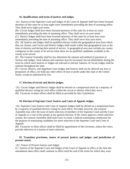### **16. Qualifications and terms of justices and judges.**

 (A) Justices of the Supreme Court and Judges of the Court of Appeals shall have been licensed attorneys of this state for at least eight years immediately preceding the date of assuming office. They shall serve eight-year terms.

(B) Circuit Judges shall have been licensed attorneys of this state for at least six years immediately preceding the date of assuming office. They shall serve six-year terms.

(C) District Judges shall have been licensed attorneys of this state for at least four years immediately preceding the date of assuming office. They shall serve four-year terms.

(D) All Justices and Judges shall be qualified electors within the geographical area from which they are chosen, and Circuit and District Judges shall reside within that geographical area at the time of election and during their period of service. A geographical area may include any county contiguous to the county to be served when there are no qualified candidates available in the county to be served.

(E) The General Assembly shall by law determine the amount and method of payment of Justices and Judges. Such salaries and expenses may be increased, but not diminished, during the term for which such Justices or Judges are selected or elected. Salaries of Circuit Judges shall be uniform throughout the state.

(F) Circuit, District, and Appellate Court Judges and Justices shall not be allowed any fees or perquisites of office, nor hold any other office of trust or profit under this state or the United States, except as authorized by law.

### **17. Election of circuit and district judges.**

 (A) Circuit Judges and District Judges shall be elected on a nonpartisan basis by a majority of qualified electors voting for such office within the circuit or district which they serve. (B) Vacancies in these offices shall be filled as provided by this Constitution.

### **18. Election of Supreme Court Justices and Court of Appeals Judges.**

 (A) Supreme Court Justices and Court of Appeals Judges shall be elected on a nonpartisan basis by a majority of qualified electors voting for such office. Provided, however, the General Assembly may refer the issue of merit selection of members of the Supreme Court and the Court of Appeals to a vote of the people at any general election. If the voters approve a merit selection system, the General Assembly shall enact laws to create a judicial nominating commission for the purpose of nominating candidates for merit selection to the Supreme Court and Court of Appeals.

(B) Vacancies in these offices shall be filled by appointment of the Governor, unless the voters provide otherwise in a system of merit selection.

### **19. Transition provisions, tenure of present justices and judges, and jurisdiction of present courts.**

(A) Tenure of Present Justices and Judges.

(1) Justices of the Supreme Court and Judges of the Court of Appeals in office at the time this amendment takes effect shall continue in office until the end of the terms for which they were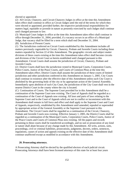elected or appointed.

(2) All Circuit, Chancery, and Circuit-Chancery Judges in office at the time this Amendment takes effect shall continue in office as Circuit Judges until the end of the terms for which they were elected or appointed; provided further, the respective jurisdictional responsibilities for matters legal, equitable or juvenile in nature as presently exercised by such Judges shall continue until changed pursuant to law.

(3) Municipal Court Judges in office at the time this Amendment takes effect shall continue in office through December 31, 2004; provided, if a vacancy occurs in an office of a Municipal Judge, that vacancy shall be filled for a term which shall end December 31, 2004.

(B) Jurisdiction of Present Courts.

(1) The Jurisdiction conferred on Circuit Courts established by this Amendment includes all matters previously cognizable by Circuit, Chancery, Probate and Juvenile Courts including those matters repealed by Section 22 of this Amendment. The geographic circuits and subject matter divisions of these courts existing at the time this Amendment takes effect shall become circuits and divisions of the Circuit Court as herein established until changed pursuant to this Amendment. Circuit Courts shall assume the jurisdiction of Circuit, Chancery, Probate and Juvenile Courts.

(2) District Courts shall have the jurisdiction vested in Municipal Courts, Corporation Courts, Police Courts, Justice of the Peace Courts, and Courts of Common Pleas at the time this Amendment takes effect. District Courts shall assume the jurisdiction of these courts of limited jurisdiction and other jurisdiction conferred in this Amendment on January 1, 2005. City Courts shall continue in existence after the effective date of this Amendment unless such City Court is abolished by the governing body of the city or by appropriate action of the General Assembly. Immediately upon abolition of such City Court, the jurisdiction of the City Court shall vest in the nearest District Court in the county where the city is located.

(C) Continuation of Courts. The Supreme Court provided for in this Amendment shall be a continuation of the Supreme Court now existing. The Court of Appeals shall be regarded as a continuation of the Court of Appeals now existing. All laws and parts of laws relating to the Supreme Court and to the Court of Appeals which are not in conflict or inconsistent with this Amendment shall remain in full force and effect and shall apply to the Supreme Court and Court of Appeals, respectively, established by this Amendment until amended, repealed or superseded by appropriate action of the General Assembly or the Supreme Court pursuant to this Amendment. The Circuit Courts shall be regarded as a continuation of the Circuit, Chancery, Probate and Juvenile Courts now existing. Effective January 1, 2005, the District Courts shall be regarded as a continuation of the Municipal Courts, Corporation Courts, Police Courts, Justice of the Peace Courts and Courts of Common Pleas now existing. All the papers and records pertaining to these courts shall be transferred accordingly, and no suit or prosecution of any kind or nature shall abate because of any change made by this Amendment. All writs, actions, suits, proceedings, civil or criminal liabilities, prosecutions, judgments, decrees, orders, sentences, regulations, causes of action and appeals existing on the effective date of this Amendment shall continue unaffected except as modified in accordance with this Amendment.

### **20. Prosecuting attorneys.**

A Prosecuting Attorney shall be elected by the qualified electors of each judicial circuit. Prosecuting Attorneys shall have been licensed attorneys of this state for at least four years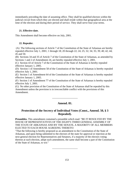immediately preceding the date of assuming office. They shall be qualified electors within the judicial circuit from which they are elected and shall reside within that geographical area at the time of the election and during their period of service. They shall serve four-year terms.

### **21. Effective date.**

This Amendment shall become effective on July, 2001.

### **22. Repealer.**

 (A) The following sections of Article 7 of the Constitution of the State of Arkansas are hereby repealed effective July 1, 2001; 1 through 18; 20 through 22; 24; 25; 32; 34; 35; 39; 40; 42; 44; 45 and 50.

(B) Sections 34 and 35 of Article 7 of the Constitution of the State of Arkansas, as amended by Sections 1 and 2 of Amendment 24, are hereby repealed effective July 1, 2001.

(C) Section 43 of Article 7 of the Constitution of the State of Arkansas is hereby repealed effective January 1, 2005.

(D) Section 1 of Amendment 58 of the Constitution of the State of Arkansas is hereby repealed effective July 1, 2001.

(E) Section 1 of Amendment 64 of the Constitution of the State of Arkansas is hereby repealed effective January 1, 2005.

(F) Section 1 of Amendment 77 of the Constitution of the State of Arkansas is hereby repealed effective July 1, 2001.

(G) No other provision of the Constitution of the State of Arkansas shall be repealed by this Amendment unless the provision is in irreconcilable conflict with the provisions of this Amendment.

# **Amend. 81.**

——————————

# **Protection of the Secrecy of Individual Votes (Const., Amend. 50, § 3 Repealed).**

**Preambles.** This amendment contained a preamble which read: "BE IT RESOLVED BY THE HOUSE OF REPRESENTATIVES OF THE EIGHTY-THIRD GENERAL ASSEMBLY OF THE STATE OF ARKANSAS AND BY THE SENATE, A MAJORITY OF ALL MEMBERS ELECTED TO EACH HOUSE AGREEING THERETO:

"That the following is hereby proposed as an amendment to the Constitution of the State of Arkansas, and upon being submitted to the electors of the state for approval or rejection at the next general election for Representatives and Senators, if a majority of the electors voting thereon at such election, adopt such amendment, the same shall become a part of the Constitution of the State of Arkansas, to wit:"

——————————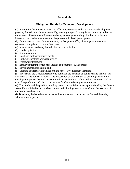# **Amend. 82.**

# **Obligation Bonds for Economic Development.**

(a) In order for the State of Arkansas to effectively compete for large economic development projects, the Arkansas General Assembly, meeting in special or regular session, may authorize the Arkansas Development Finance Authority to issue general obligation bonds to finance infrastructure or other needs to attract large economic development projects.

(b) Bonds may be issued for an amount up to five percent (5%) of state general revenues collected during the most recent fiscal year.

(c) Infrastructure needs may include, but are not limited to:

(1) Land acquisition;

(2) Site preparation;

(3) Road and highway improvements;

(4) Rail spur construction; water service;

(5) Wastewater treatment;

(6) Employee training which may include equipment for such purpose;

(7) Environmental mitigation; and

(8) Training and research facilities and the necessary equipment therefore.

(d) In order for the General Assembly to authorize the issuance of bonds bearing the full faith and credit of the State of Arkansas, the prospective employer must be planning an economic development project that will invest more than five hundred million dollars (\$500,000,000) in capital expenditures and plan on hiring over five hundred (500) new employees.

(e) The bonds shall be paid for in full by general or special revenues appropriated by the General Assembly until the bonds have been retired and all obligations associated with the issuance of the bonds have been met.

(f) Bonds may be issued under this amendment pursuant to an act of the General Assembly without voter approval.

——————————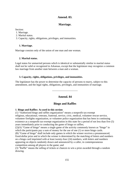# **Amend. 83.**

# **Marriage.**

Section:

- 1. Marriage.
- 2. Marital status.
- 3. Capacity, rights, obligations, privileges, and immunities.

### **1. Marriage.**

Marriage consists only of the union of one man and one woman.

### **2. Marital status.**

Legal status for unmarried persons which is identical or substantially similar to marital status shall not be valid or recognized in Arkansas, except that the legislature may recognize a common law marriage from another state between a man and a woman.

### **3. Capacity, rights, obligations, privileges, and immunities.**

The legislature has the power to determine the capacity of persons to marry, subject to this amendment, and the legal rights, obligations, privileges, and immunities of marriage.

# **Amend. 84**

——————————

# **Bingo and Raffles**

### **1**. **Bingo and Raffles: As used in this section**

(1) "Authorized bingo and raffles organization" means a nonprofit tax-exempt religious, educational, veterans, fraternal, service, civic, medical, volunteer rescue service, volunteer firefights organization, or volunteer police organization that has been in continuing existence as a nonprofit tax-exempt organization in this state for a period of not less than five (5) years immediately prior to conducting the game of bingo or raffles;

(2)(A) "Game of bingo" means a single game of the activity commonly known as "bingo" in which the participants pay a sum of money for the use of one (1) or more bingo cards.

(B) "Game of bingo" shall include only games in which the winner receives a preannounced, fixed-dollar prize and in which the winner is determined by the matching of letters and numbers on a bingo card imprinted with at least twenty-four (24) numbers, with letters and numbers appearing on objects randomly drawn and announced by a caller, in contemporaneous competition among all players in the game; and

(3) "Raffle" means the selling of tickets or chances to win a prize awarded through a random drawing.